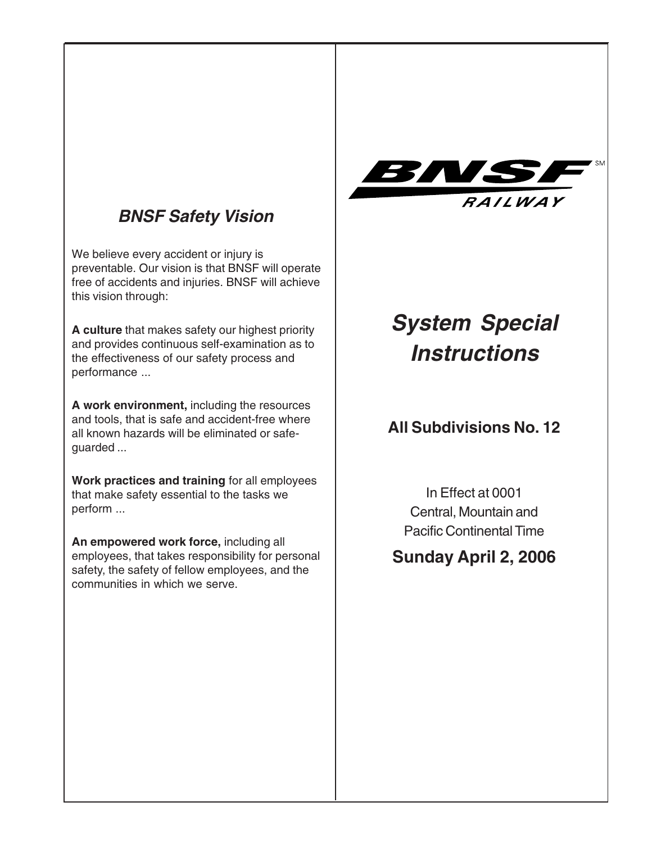# **BNSF Safety Vision**

We believe every accident or injury is preventable. Our vision is that BNSF will operate free of accidents and injuries. BNSF will achieve this vision through:

**A culture** that makes safety our highest priority and provides continuous self-examination as to the effectiveness of our safety process and performance ...

**A work environment,** including the resources and tools, that is safe and accident-free where all known hazards will be eliminated or safeguarded ...

**Work practices and training** for all employees that make safety essential to the tasks we perform ...

**An empowered work force,** including all employees, that takes responsibility for personal safety, the safety of fellow employees, and the communities in which we serve.



# **System Special Instructions**

# **All Subdivisions No. 12**

In Effect at 0001 Central, Mountain and Pacific Continental Time

# **Sunday April 2, 2006**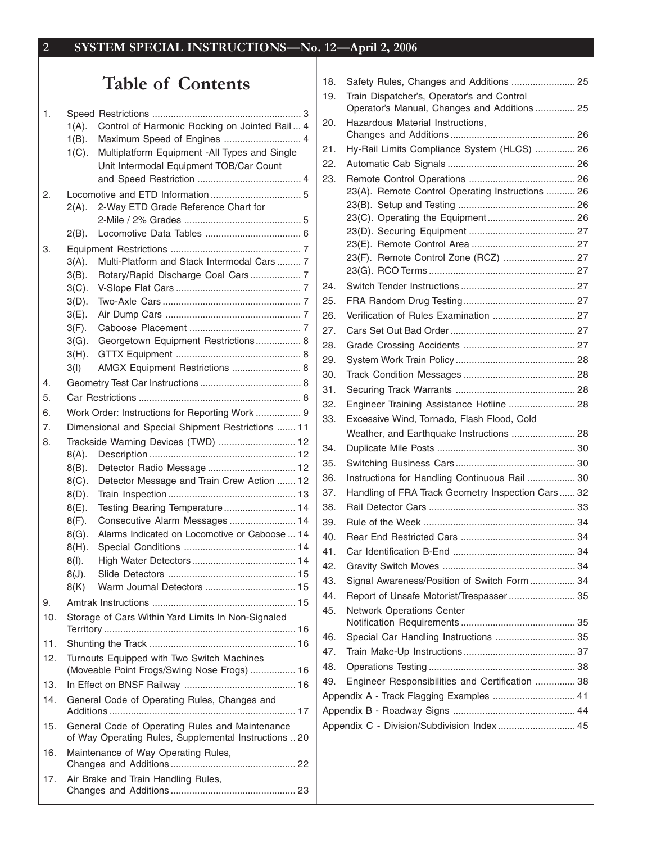# Table of Contents

|     | $1(A)$ . | Control of Harmonic Rocking on Jointed Rail  4                                                           |
|-----|----------|----------------------------------------------------------------------------------------------------------|
|     | $1(B)$ . | Maximum Speed of Engines  4                                                                              |
|     | $1(C)$ . | Multiplatform Equipment -All Types and Single                                                            |
|     |          | Unit Intermodal Equipment TOB/Car Count                                                                  |
|     |          |                                                                                                          |
| 2.  |          |                                                                                                          |
|     | 2(A).    | 2-Way ETD Grade Reference Chart for                                                                      |
|     |          |                                                                                                          |
|     | $2(B)$ . |                                                                                                          |
| 3.  |          |                                                                                                          |
|     | $3(A)$ . | Multi-Platform and Stack Intermodal Cars  7                                                              |
|     | $3(B)$ . | Rotary/Rapid Discharge Coal Cars 7                                                                       |
|     | $3(C)$ . |                                                                                                          |
|     | $3(D)$ . |                                                                                                          |
|     | $3(E)$ . |                                                                                                          |
|     | $3(F)$ . |                                                                                                          |
|     | $3(G)$ . | Georgetown Equipment Restrictions 8                                                                      |
|     | $3(H)$ . |                                                                                                          |
|     | 3(1)     | AMGX Equipment Restrictions  8                                                                           |
| 4.  |          |                                                                                                          |
| 5.  |          |                                                                                                          |
| 6.  |          | Work Order: Instructions for Reporting Work  9                                                           |
|     |          |                                                                                                          |
| 7.  |          | Dimensional and Special Shipment Restrictions  11                                                        |
| 8.  |          | Trackside Warning Devices (TWD)  12                                                                      |
|     | $8(A)$ . |                                                                                                          |
|     |          |                                                                                                          |
|     | $8(B)$ . | Detector Radio Message  12                                                                               |
|     | $8(C)$ . | Detector Message and Train Crew Action  12                                                               |
|     | $8(D)$ . |                                                                                                          |
|     | $8(E)$ . | Testing Bearing Temperature 14                                                                           |
|     | $8(F)$ . | Consecutive Alarm Messages  14                                                                           |
|     | $8(G)$ . | Alarms Indicated on Locomotive or Caboose  14                                                            |
|     | $8(H)$ . |                                                                                                          |
|     | $8(1)$ . |                                                                                                          |
|     | $8(J)$ . |                                                                                                          |
|     | 8(K)     |                                                                                                          |
| 9.  |          |                                                                                                          |
| 10. |          | Storage of Cars Within Yard Limits In Non-Signaled                                                       |
|     |          |                                                                                                          |
| 11. |          |                                                                                                          |
| 12. |          | Turnouts Equipped with Two Switch Machines                                                               |
|     |          | (Moveable Point Frogs/Swing Nose Frogs)  16                                                              |
| 13. |          |                                                                                                          |
| 14. |          | General Code of Operating Rules, Changes and                                                             |
| 15. |          | General Code of Operating Rules and Maintenance<br>of Way Operating Rules, Supplemental Instructions  20 |
| 16. |          | Maintenance of Way Operating Rules,                                                                      |
|     |          |                                                                                                          |
| 17. |          | Air Brake and Train Handling Rules,                                                                      |

| 18. |                                                                                            |  |
|-----|--------------------------------------------------------------------------------------------|--|
| 19. | Train Dispatcher's, Operator's and Control<br>Operator's Manual, Changes and Additions  25 |  |
| 20. | Hazardous Material Instructions,                                                           |  |
| 21. | Hy-Rail Limits Compliance System (HLCS)  26                                                |  |
| 22. |                                                                                            |  |
| 23. |                                                                                            |  |
|     | 23(A). Remote Control Operating Instructions  26                                           |  |
|     |                                                                                            |  |
|     |                                                                                            |  |
|     |                                                                                            |  |
|     | 23(F). Remote Control Zone (RCZ)  27                                                       |  |
|     |                                                                                            |  |
| 24. |                                                                                            |  |
| 25. |                                                                                            |  |
| 26. | Verification of Rules Examination  27                                                      |  |
| 27. |                                                                                            |  |
| 28. |                                                                                            |  |
| 29. |                                                                                            |  |
| 30. |                                                                                            |  |
| 31. |                                                                                            |  |
| 32. | Engineer Training Assistance Hotline  28                                                   |  |
| 33. | Excessive Wind, Tornado, Flash Flood, Cold                                                 |  |
|     | Weather, and Earthquake Instructions  28                                                   |  |
| 34. |                                                                                            |  |
| 35. |                                                                                            |  |
| 36. | Instructions for Handling Continuous Rail  30                                              |  |
| 37. | Handling of FRA Track Geometry Inspection Cars 32                                          |  |
| 38. |                                                                                            |  |
| 39. |                                                                                            |  |
| 40. |                                                                                            |  |
| 41. |                                                                                            |  |
| 42. |                                                                                            |  |
| 43. | Signal Awareness/Position of Switch Form  34                                               |  |
| 44. | Report of Unsafe Motorist/Trespasser 35                                                    |  |
| 45. | <b>Network Operations Center</b>                                                           |  |
| 46. | Special Car Handling Instructions  35                                                      |  |
| 47. |                                                                                            |  |
| 48. |                                                                                            |  |
| 49. | Engineer Responsibilities and Certification  38                                            |  |
|     | Appendix A - Track Flagging Examples  41                                                   |  |
|     |                                                                                            |  |
|     | Appendix C - Division/Subdivision Index  45                                                |  |
|     |                                                                                            |  |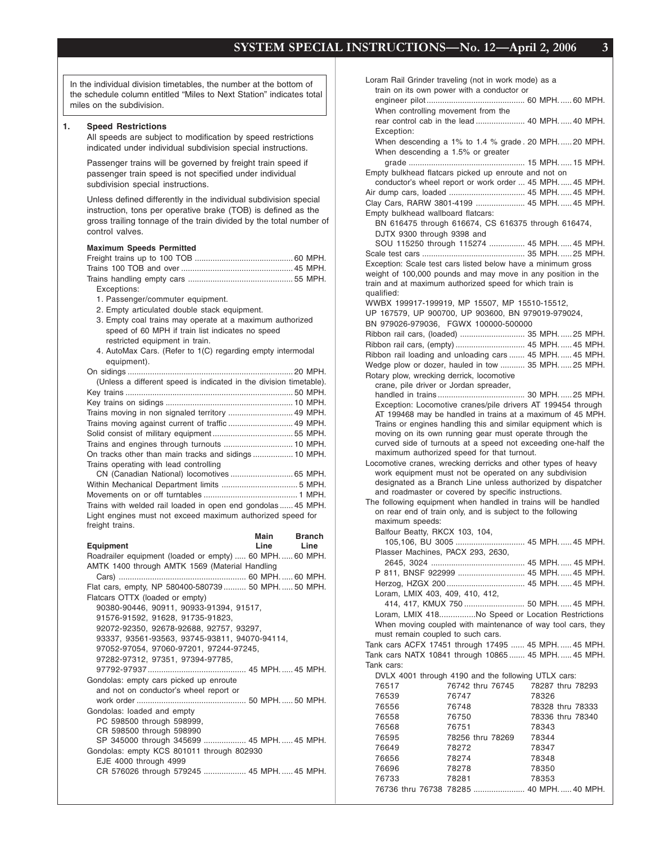In the individual division timetables, the number at the bottom of the schedule column entitled "Miles to Next Station" indicates total miles on the subdivision.

#### **1. Speed Restrictions**

All speeds are subject to modification by speed restrictions indicated under individual subdivision special instructions.

Passenger trains will be governed by freight train speed if passenger train speed is not specified under individual subdivision special instructions.

Unless defined differently in the individual subdivision special instruction, tons per operative brake (TOB) is defined as the gross trailing tonnage of the train divided by the total number of control valves.

#### **Maximum Speeds Permitted**

| Exceptions: |  |
|-------------|--|

- 1. Passenger/commuter equipment.
- 2. Empty articulated double stack equipment.
- 3. Empty coal trains may operate at a maximum authorized speed of 60 MPH if train list indicates no speed restricted equipment in train.
- 4. AutoMax Cars. (Refer to 1(C) regarding empty intermodal equipment).

| (Unless a different speed is indicated in the division timetable). |  |
|--------------------------------------------------------------------|--|
|                                                                    |  |
|                                                                    |  |
|                                                                    |  |
|                                                                    |  |
|                                                                    |  |
|                                                                    |  |
|                                                                    |  |
| Trains operating with lead controlling                             |  |
| CN (Canadian National) locomotives  65 MPH.                        |  |
|                                                                    |  |
|                                                                    |  |
| Trains with welded rail loaded in open end gondolas  45 MPH.       |  |
| Light engines must not exceed maximum authorized speed for         |  |
| freight trains.                                                    |  |

|                                                        | Main | <b>Branch</b> |
|--------------------------------------------------------|------|---------------|
| <b>Equipment</b>                                       | Line | Line          |
| Roadrailer equipment (loaded or empty)  60 MPH 60 MPH. |      |               |
| AMTK 1400 through AMTK 1569 (Material Handling         |      |               |
|                                                        |      |               |
| Flat cars, empty, NP 580400-580739 50 MPH 50 MPH.      |      |               |
|                                                        |      |               |
| Flatcars OTTX (loaded or empty)                        |      |               |
| 90380-90446, 90911, 90933-91394, 91517,                |      |               |
| 91576-91592, 91628, 91735-91823,                       |      |               |
| 92072-92350, 92678-92688, 92757, 93297,                |      |               |
| 93337, 93561-93563, 93745-93811, 94070-94114,          |      |               |
| 97052-97054, 97060-97201, 97244-97245,                 |      |               |
| 97282-97312, 97351, 97394-97785,                       |      |               |
|                                                        |      |               |
|                                                        |      |               |
| Gondolas: empty cars picked up enroute                 |      |               |
| and not on conductor's wheel report or                 |      |               |
|                                                        |      |               |
| Gondolas: loaded and empty                             |      |               |
| PC 598500 through 598999,                              |      |               |
| CR 598500 through 598990                               |      |               |
| SP 345000 through 345699  45 MPH.  45 MPH.             |      |               |
| Gondolas: empty KCS 801011 through 802930              |      |               |
| EJE 4000 through 4999                                  |      |               |
| CR 576026 through 579245  45 MPH.  45 MPH.             |      |               |
|                                                        |      |               |

Loram Rail Grinder traveling (not in work mode) as a train on its own power with a conductor or engineer pilot ............................................ 60 MPH. ..... 60 MPH. When controlling movement from the rear control cab in the lead ...................... 40 MPH. ..... 40 MPH. Exception: When descending a 1% to 1.4 % grade . 20 MPH. ..... 20 MPH. When descending a 1.5% or greater grade .................................................... 15 MPH. ..... 15 MPH. Empty bulkhead flatcars picked up enroute and not on conductor's wheel report or work order ... 45 MPH. ..... 45 MPH. Air dump cars, loaded .................................. 45 MPH. ..... 45 MPH. Clay Cars, RARW 3801-4199 ...................... 45 MPH. ..... 45 MPH. Empty bulkhead wallboard flatcars: BN 616475 through 616674, CS 616375 through 616474, DJTX 9300 through 9398 and SOU 115250 through 115274 ................ 45 MPH. ..... 45 MPH. Scale test cars .............................................. 35 MPH. ..... 25 MPH. Exception: Scale test cars listed below have a minimum gross weight of 100,000 pounds and may move in any position in the train and at maximum authorized speed for which train is qualified: WWBX 199917-199919, MP 15507, MP 15510-15512, UP 167579, UP 900700, UP 903600, BN 979019-979024, BN 979026-979036, FGWX 100000-500000 Ribbon rail cars, (loaded) ............................. 35 MPH. ..... 25 MPH. Ribbon rail cars, (empty) ............................... 45 MPH. ..... 45 MPH. Ribbon rail loading and unloading cars ....... 45 MPH. ..... 45 MPH. Wedge plow or dozer, hauled in tow ........... 35 MPH. ..... 25 MPH. Rotary plow, wrecking derrick, locomotive crane, pile driver or Jordan spreader, handled in trains ....................................... 30 MPH. ..... 25 MPH. Exception: Locomotive cranes/pile drivers AT 199454 through AT 199468 may be handled in trains at a maximum of 45 MPH. Trains or engines handling this and similar equipment which is moving on its own running gear must operate through the curved side of turnouts at a speed not exceeding one-half the maximum authorized speed for that turnout. Locomotive cranes, wrecking derricks and other types of heavy work equipment must not be operated on any subdivision designated as a Branch Line unless authorized by dispatcher and roadmaster or covered by specific instructions. The following equipment when handled in trains will be handled on rear end of train only, and is subject to the following maximum speeds: Balfour Beatty, RKCX 103, 104, 105,106, BU 3005 ............................... 45 MPH. ..... 45 MPH. Plasser Machines, PACX 293, 2630, 2645, 3024 .......................................... 45 MPH. ..... 45 MPH. P 811, BNSF 922999 .............................. 45 MPH. ..... 45 MPH. Herzog, HZGX 200 ................................... 45 MPH. ..... 45 MPH. Loram, LMIX 403, 409, 410, 412, 414, 417, KMUX 750 ........................... 50 MPH. ..... 45 MPH. Loram, LMIX 418................No Speed or Location Restrictions When moving coupled with maintenance of way tool cars, they must remain coupled to such cars. Tank cars ACFX 17451 through 17495 ...... 45 MPH. ..... 45 MPH. Tank cars NATX 10841 through 10865 ....... 45 MPH. ..... 45 MPH. Tank cars: DVLX 4001 through 4190 and the following UTLX cars: 76517 76742 thru 76745 78287 thru 78293 76539 76747 78326 76556 76748 78328 thru 78333 76558 76750 78336 thru 78340 76568 76751 78343 76595 78256 thru 78269 78344 76649 78272 78347 76656 78274 78348 76696 78278 78350 76733 78281 78353

76736 thru 76738 78285 ....................... 40 MPH. ..... 40 MPH.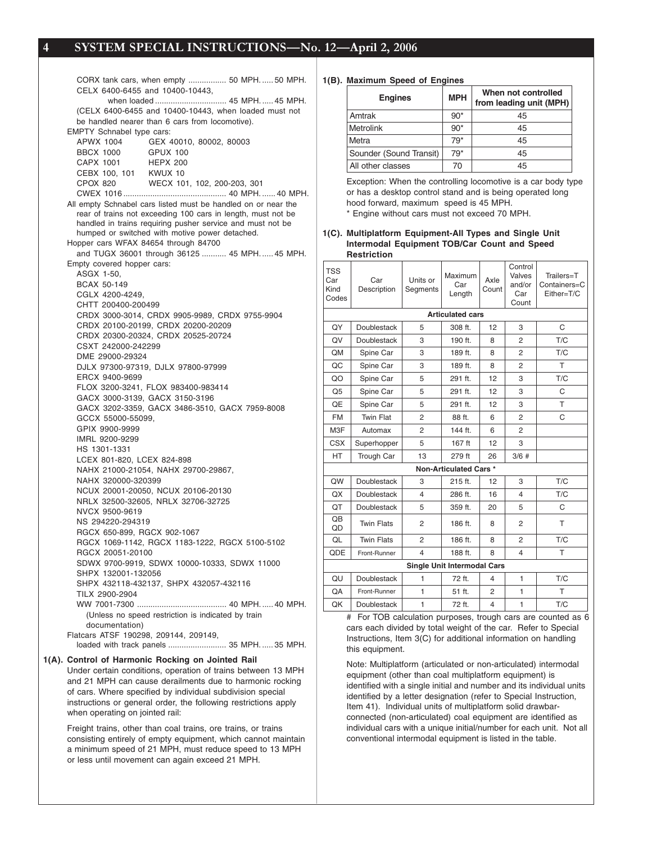CORX tank cars, when empty ................. 50 MPH. ..... 50 MPH. CELX 6400-6455 and 10400-10443, when loaded ................................ 45 MPH. ..... 45 MPH. (CELX 6400-6455 and 10400-10443, when loaded must not be handled nearer than 6 cars from locomotive). EMPTY Schnabel type cars: APWX 1004 GEX 40010, 80002, 80003 BBCX 1000 GPUX 100 CAPX 1001 HEPX 200 CEBX 100, 101 KWUX 10 WECX 101, 102, 200-203, 301 CWEX 1016 .............................................. 40 MPH. ...... 40 MPH. All empty Schnabel cars listed must be handled on or near the rear of trains not exceeding 100 cars in length, must not be handled in trains requiring pusher service and must not be humped or switched with motive power detached. Hopper cars WFAX 84654 through 84700 and TUGX 36001 through 36125 ........... 45 MPH. ..... 45 MPH. Empty covered hopper cars: ASGX 1-50, BCAX 50-149 CGLX 4200-4249, CHTT 200400-200499 CRDX 3000-3014, CRDX 9905-9989, CRDX 9755-9904 CRDX 20100-20199, CRDX 20200-20209 CRDX 20300-20324, CRDX 20525-20724 CSXT 242000-242299 DME 29000-29324 DJLX 97300-97319, DJLX 97800-97999 ERCX 9400-9699 FLOX 3200-3241, FLOX 983400-983414 GACX 3000-3139, GACX 3150-3196 GACX 3202-3359, GACX 3486-3510, GACX 7959-8008 GCCX 55000-55099, GPIX 9900-9999 IMRL 9200-9299 HS 1301-1331 LCEX 801-820, LCEX 824-898 NAHX 21000-21054, NAHX 29700-29867, NAHX 320000-320399 NCUX 20001-20050, NCUX 20106-20130 NRLX 32500-32605, NRLX 32706-32725 NVCX 9500-9619 NS 294220-294319 RGCX 650-899, RGCX 902-1067 RGCX 1069-1142, RGCX 1183-1222, RGCX 5100-5102 RGCX 20051-20100 SDWX 9700-9919, SDWX 10000-10333, SDWX 11000 SHPX 132001-132056 SHPX 432118-432137, SHPX 432057-432116 TILX 2900-2904 WW 7001-7300 ........................................ 40 MPH. ..... 40 MPH. (Unless no speed restriction is indicated by train documentation) Flatcars ATSF 190298, 209144, 209149, loaded with track panels .......................... 35 MPH. ..... 35 MPH. **1(A). Control of Harmonic Rocking on Jointed Rail** Under certain conditions, operation of trains between 13 MPH

and 21 MPH can cause derailments due to harmonic rocking of cars. Where specified by individual subdivision special instructions or general order, the following restrictions apply when operating on jointed rail:

Freight trains, other than coal trains, ore trains, or trains consisting entirely of empty equipment, which cannot maintain a minimum speed of 21 MPH, must reduce speed to 13 MPH or less until movement can again exceed 21 MPH.

#### **1(B). Maximum Speed of Engines**

| <b>Engines</b>          | <b>MPH</b> | When not controlled<br>from leading unit (MPH) |
|-------------------------|------------|------------------------------------------------|
| Amtrak                  | $90*$      | 45                                             |
| Metrolink               | $90*$      | 45                                             |
| Metra                   | 79*        | 45                                             |
| Sounder (Sound Transit) | 79*        | 45                                             |
| All other classes       | 70         | 45                                             |

Exception: When the controlling locomotive is a car body type or has a desktop control stand and is being operated long hood forward, maximum speed is 45 MPH. \* Engine without cars must not exceed 70 MPH.

#### **1(C). Multiplatform Equipment-All Types and Single Unit Intermodal Equipment TOB/Car Count and Speed Restriction**

|                                    | ncəlikliyi         |                      |                                    |               |                                             |                                          |  |  |
|------------------------------------|--------------------|----------------------|------------------------------------|---------------|---------------------------------------------|------------------------------------------|--|--|
| <b>TSS</b><br>Car<br>Kind<br>Codes | Car<br>Description | Units or<br>Segments | Maximum<br>Car<br>Length           | Axle<br>Count | Control<br>Valves<br>and/or<br>Car<br>Count | Trailers=T<br>Containers=C<br>Either=T/C |  |  |
|                                    |                    |                      | <b>Articulated cars</b>            |               |                                             |                                          |  |  |
| QY                                 | Doublestack        | 5                    | 308 ft.                            | 12            | 3                                           | C                                        |  |  |
| QV                                 | <b>Doublestack</b> | 3                    | 190 ft.                            | 8             | 2                                           | T/C                                      |  |  |
| QM                                 | Spine Car          | 3                    | 189 ft.                            | 8             | $\overline{2}$                              | T/C                                      |  |  |
| QC                                 | Spine Car          | 3                    | 189 ft.                            | 8             | 2                                           | T                                        |  |  |
| QO                                 | Spine Car          | 5                    | 291 ft.                            | 12            | 3                                           | T/C                                      |  |  |
| O <sub>5</sub>                     | Spine Car          | 5                    | 291 ft.                            | 12            | 3                                           | C                                        |  |  |
| QE                                 | Spine Car          | 5                    | 291 ft.                            | 12            | 3                                           | T                                        |  |  |
| <b>FM</b>                          | <b>Twin Flat</b>   | 2                    | 88 ft.                             | 6             | 2                                           | C                                        |  |  |
| M3F                                | Automax            | $\overline{2}$       | 144 ft.                            | 6             | $\overline{2}$                              |                                          |  |  |
| <b>CSX</b>                         | Superhopper        | 5                    | 167 ft                             | 12            | 3                                           |                                          |  |  |
| HT                                 | Trough Car         | 13                   | 279 ft                             | 26            | $3/6$ #                                     |                                          |  |  |
|                                    |                    |                      | Non-Articulated Cars *             |               |                                             |                                          |  |  |
| <b>OW</b>                          | Doublestack        | 3                    | 215 ft.                            | 12            | 3                                           | T/C                                      |  |  |
| QX                                 | Doublestack        | $\overline{4}$       | 286 ft.                            | 16            | $\overline{4}$                              | T/C                                      |  |  |
| QT                                 | <b>Doublestack</b> | 5                    | 359 ft.                            | 20            | 5                                           | C                                        |  |  |
| <b>OB</b><br>QD                    | <b>Twin Flats</b>  | 2                    | 186 ft.                            | 8             | 2                                           | T                                        |  |  |
| QL                                 | <b>Twin Flats</b>  | 2                    | 186 ft.                            | 8             | $\overline{2}$                              | T/C                                      |  |  |
| QDE                                | Front-Runner       | 4                    | 188 ft.                            | 8             | 4                                           | T                                        |  |  |
|                                    |                    |                      | <b>Single Unit Intermodal Cars</b> |               |                                             |                                          |  |  |
| QU                                 | Doublestack        | 1                    | 72 ft.                             | 4             | 1                                           | T/C                                      |  |  |
| QA                                 | Front-Runner       | 1                    | 51 ft.                             | 2             | 1                                           | T                                        |  |  |
| QK                                 | Doublestack        | 1                    | 72 ft.                             | 4             | 1                                           | T/C                                      |  |  |

# For TOB calculation purposes, trough cars are counted as 6 cars each divided by total weight of the car. Refer to Special Instructions, Item 3(C) for additional information on handling this equipment.

Note: Multiplatform (articulated or non-articulated) intermodal equipment (other than coal multiplatform equipment) is identified with a single initial and number and its individual units identified by a letter designation (refer to Special Instruction, Item 41). Individual units of multiplatform solid drawbarconnected (non-articulated) coal equipment are identified as individual cars with a unique initial/number for each unit. Not all conventional intermodal equipment is listed in the table.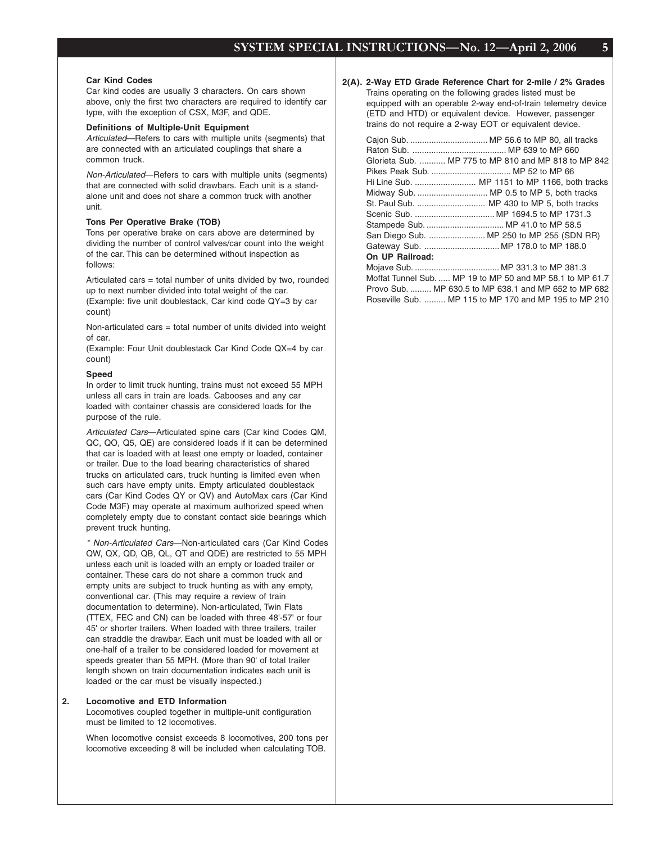#### **Car Kind Codes**

Car kind codes are usually 3 characters. On cars shown above, only the first two characters are required to identify car type, with the exception of CSX, M3F, and QDE.

#### **Definitions of Multiple-Unit Equipment**

Articulated—Refers to cars with multiple units (segments) that are connected with an articulated couplings that share a common truck.

Non-Articulated—Refers to cars with multiple units (segments) that are connected with solid drawbars. Each unit is a standalone unit and does not share a common truck with another unit.

#### **Tons Per Operative Brake (TOB)**

Tons per operative brake on cars above are determined by dividing the number of control valves/car count into the weight of the car. This can be determined without inspection as follows:

Articulated cars = total number of units divided by two, rounded up to next number divided into total weight of the car.

(Example: five unit doublestack, Car kind code QY=3 by car count)

Non-articulated cars = total number of units divided into weight of car.

(Example: Four Unit doublestack Car Kind Code QX=4 by car count)

#### **Speed**

In order to limit truck hunting, trains must not exceed 55 MPH unless all cars in train are loads. Cabooses and any car loaded with container chassis are considered loads for the purpose of the rule.

Articulated Cars-Articulated spine cars (Car kind Codes QM, QC, QO, Q5, QE) are considered loads if it can be determined that car is loaded with at least one empty or loaded, container or trailer. Due to the load bearing characteristics of shared trucks on articulated cars, truck hunting is limited even when such cars have empty units. Empty articulated doublestack cars (Car Kind Codes QY or QV) and AutoMax cars (Car Kind Code M3F) may operate at maximum authorized speed when completely empty due to constant contact side bearings which prevent truck hunting.

\* Non-Articulated Cars—Non-articulated cars (Car Kind Codes QW, QX, QD, QB, QL, QT and QDE) are restricted to 55 MPH unless each unit is loaded with an empty or loaded trailer or container. These cars do not share a common truck and empty units are subject to truck hunting as with any empty, conventional car. (This may require a review of train documentation to determine). Non-articulated, Twin Flats (TTEX, FEC and CN) can be loaded with three 48'-57' or four 45' or shorter trailers. When loaded with three trailers, trailer can straddle the drawbar. Each unit must be loaded with all or one-half of a trailer to be considered loaded for movement at speeds greater than 55 MPH. (More than 90' of total trailer length shown on train documentation indicates each unit is loaded or the car must be visually inspected.)

#### **2. Locomotive and ETD Information**

Locomotives coupled together in multiple-unit configuration must be limited to 12 locomotives.

When locomotive consist exceeds 8 locomotives, 200 tons per locomotive exceeding 8 will be included when calculating TOB.

#### **2(A). 2-Way ETD Grade Reference Chart for 2-mile / 2% Grades**

Trains operating on the following grades listed must be equipped with an operable 2-way end-of-train telemetry device (ETD and HTD) or equivalent device. However, passenger trains do not require a 2-way EOT or equivalent device.

|                 | Glorieta Sub.  MP 775 to MP 810 and MP 818 to MP 842                                                                                                                                                                                 |
|-----------------|--------------------------------------------------------------------------------------------------------------------------------------------------------------------------------------------------------------------------------------|
|                 |                                                                                                                                                                                                                                      |
|                 | Hi Line Sub.  MP 1151 to MP 1166, both tracks                                                                                                                                                                                        |
|                 | Midway Sub.  MP 0.5 to MP 5, both tracks                                                                                                                                                                                             |
|                 | St. Paul Sub.  MP 430 to MP 5, both tracks                                                                                                                                                                                           |
|                 |                                                                                                                                                                                                                                      |
|                 |                                                                                                                                                                                                                                      |
|                 | San Diego Sub.  MP 250 to MP 255 (SDN RR)                                                                                                                                                                                            |
|                 | Gateway Sub.  MP 178.0 to MP 188.0                                                                                                                                                                                                   |
| On UP Railroad: |                                                                                                                                                                                                                                      |
|                 |                                                                                                                                                                                                                                      |
|                 | $\mathbf{M} \times \mathbf{F}$ , $\mathbf{A} \times \mathbf{F}$ , $\mathbf{A} \times \mathbf{F}$ , $\mathbf{A} \times \mathbf{F}$ , $\mathbf{A} \times \mathbf{F}$ , $\mathbf{A} \times \mathbf{F}$ , $\mathbf{A} \times \mathbf{F}$ |

Moffat Tunnel Sub. ..... MP 19 to MP 50 and MP 58.1 to MP 61.7 Provo Sub. ......... MP 630.5 to MP 638.1 and MP 652 to MP 682 Roseville Sub. ......... MP 115 to MP 170 and MP 195 to MP 210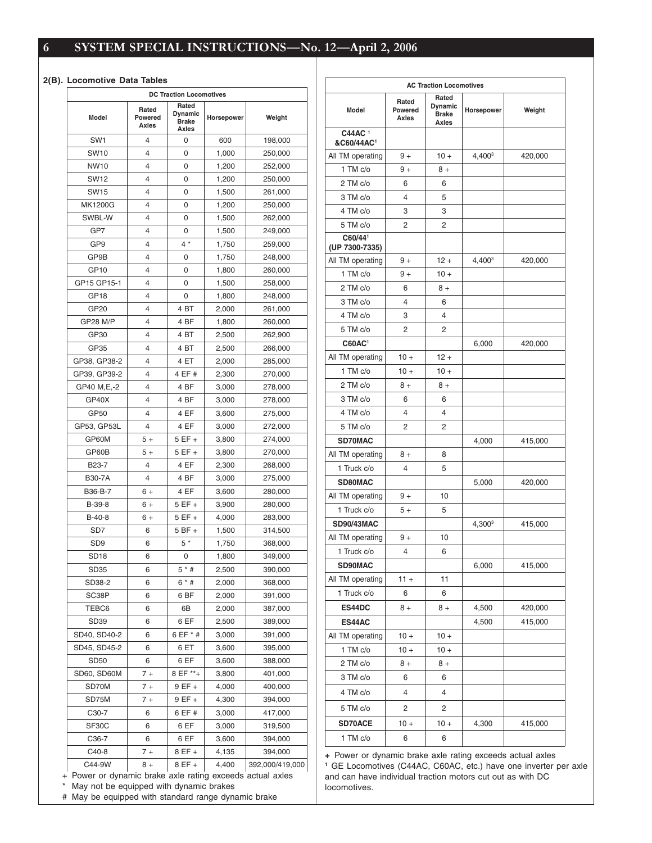#### **2(B). Locomotive Data Tables**

|                                                                          |                           | <b>DC Traction Locomotives</b>            |            |                 |
|--------------------------------------------------------------------------|---------------------------|-------------------------------------------|------------|-----------------|
| Model                                                                    | Rated<br>Powered<br>Axles | Rated<br>Dynamic<br><b>Brake</b><br>Axles | Horsepower | Weight          |
| SW <sub>1</sub>                                                          | 4                         | 0                                         | 600        | 198,000         |
| SW <sub>10</sub>                                                         | 4                         | 0                                         | 1,000      | 250,000         |
| <b>NW10</b>                                                              | 4                         | 0                                         | 1,200      | 252,000         |
| <b>SW12</b>                                                              | 4                         | 0                                         | 1,200      | 250,000         |
| <b>SW15</b>                                                              | 4                         | 0                                         | 1,500      | 261,000         |
| MK1200G                                                                  | 4                         | 0                                         | 1,200      | 250,000         |
| SWBL-W                                                                   | 4                         | 0                                         | 1,500      | 262,000         |
| GP7                                                                      | 4                         | 0                                         | 1,500      | 249,000         |
| GP9                                                                      | 4                         | $4 *$                                     | 1,750      | 259,000         |
| GP9B                                                                     | 4                         | 0                                         | 1,750      | 248,000         |
| GP10                                                                     | 4                         | 0                                         | 1,800      | 260,000         |
| GP15 GP15-1                                                              | 4                         | 0                                         | 1,500      | 258,000         |
| GP <sub>18</sub>                                                         | 4                         | 0                                         | 1,800      | 248,000         |
| GP20                                                                     | 4                         | 4 <sub>BT</sub>                           | 2,000      | 261,000         |
| <b>GP28 M/P</b>                                                          | 4                         | 4 BF                                      |            |                 |
|                                                                          | 4                         |                                           | 1,800      | 260,000         |
| GP30                                                                     |                           | 4 BT                                      | 2,500      | 262,900         |
| GP35                                                                     | 4                         | 4 BT                                      | 2,500      | 266,000         |
| GP38, GP38-2                                                             | 4                         | 4 ET                                      | 2,000      | 285,000         |
| GP39, GP39-2                                                             | 4                         | 4 EF #                                    | 2,300      | 270,000         |
| GP40 M,E,-2                                                              | 4                         | 4 BF                                      | 3,000      | 278,000         |
| GP40X                                                                    | 4                         | 4 BF                                      | 3,000      | 278,000         |
| GP50                                                                     | 4                         | 4 EF                                      | 3,600      | 275,000         |
| GP53, GP53L                                                              | 4                         | 4 EF                                      | 3,000      | 272,000         |
| GP60M                                                                    | $5+$                      | $5EF +$                                   | 3,800      | 274,000         |
| GP60B                                                                    | $5+$                      | $5EF +$                                   | 3,800      | 270,000         |
| B23-7                                                                    | 4                         | 4 EF                                      | 2,300      | 268,000         |
| <b>B30-7A</b>                                                            | 4                         | 4 BF                                      | 3,000      | 275,000         |
| B36-B-7                                                                  | 6 +                       | 4 EF                                      | 3,600      | 280,000         |
| B-39-8                                                                   | 6 +                       | 5 EF +                                    | 3,900      | 280,000         |
| $B-40-8$                                                                 | 6 +                       | 5 EF +                                    | 4,000      | 283,000         |
| SD7                                                                      | 6                         | $5BF +$                                   | 1,500      | 314,500         |
| SD <sub>9</sub>                                                          | 6                         | $5*$                                      | 1,750      | 368,000         |
| SD <sub>18</sub>                                                         | 6                         | 0                                         | 1,800      | 349,000         |
| SD35                                                                     | 6                         | $5 *  #$                                  | 2,500      | 390,000         |
| SD38-2                                                                   | 6                         | $6 * #$                                   | 2,000      | 368,000         |
| SC38P                                                                    | 6                         | 6 BF                                      | 2,000      | 391,000         |
| TEBC6                                                                    | 6                         | 6В                                        | 2,000      | 387,000         |
| SD39                                                                     | 6                         | 6 EF                                      | 2,500      | 389,000         |
| SD40, SD40-2                                                             | 6                         | 6 EF * #                                  | 3,000      | 391,000         |
| SD45, SD45-2                                                             | 6                         | 6 ET                                      | 3,600      | 395,000         |
| <b>SD50</b>                                                              | 6                         | 6 EF                                      | 3,600      | 388,000         |
| SD60, SD60M                                                              | $7+$                      | 8 EF **+                                  | 3,800      | 401,000         |
| SD70M                                                                    | $7+$                      | 9 EF +                                    | 4,000      | 400,000         |
|                                                                          |                           |                                           |            |                 |
| SD75M                                                                    | $7+$                      | 9 EF +                                    | 4,300      | 394,000         |
| C30-7                                                                    | 6                         | 6 EF #                                    | 3,000      | 417,000         |
| SF30C                                                                    | 6                         | 6 EF                                      | 3,000      | 319,500         |
| C36-7                                                                    | 6                         | 6 EF                                      | 3,600      | 394,000         |
| C40-8                                                                    | $7+$                      | 8 EF +                                    | 4,135      | 394,000         |
| C44-9W<br>Power or dynamic brake axle rating exceeds actual axles<br>$+$ | 8 +                       | 8 EF +                                    | 4,400      | 392,000/419,000 |

|                                  |                           | <b>AC Traction Locomotives</b>            |                    |         |
|----------------------------------|---------------------------|-------------------------------------------|--------------------|---------|
| Model                            | Rated<br>Powered<br>Axles | Rated<br>Dynamic<br><b>Brake</b><br>Axles | Horsepower         | Weight  |
| C44AC <sup>1</sup><br>&C60/44AC1 |                           |                                           |                    |         |
| All TM operating                 | $9+$                      | $10 +$                                    | 4,400 <sup>3</sup> | 420,000 |
| 1 TM c/o                         | $9+$                      | $8+$                                      |                    |         |
| 2 TM c/o                         | 6                         | 6                                         |                    |         |
| 3 TM c/o                         | 4                         | 5                                         |                    |         |
| 4 TM c/o                         | 3                         | 3                                         |                    |         |
| 5 TM c/o                         | 2                         | 2                                         |                    |         |
| C60/441<br>(UP 7300-7335)        |                           |                                           |                    |         |
| All TM operating                 | $9+$                      | 12 +                                      | 4,400 <sup>3</sup> | 420,000 |
| 1 TM c/o                         | $9+$                      | $10 +$                                    |                    |         |
| 2 TM c/o                         | 6                         | $8+$                                      |                    |         |
| 3 TM c/o                         | 4                         | 6                                         |                    |         |
| 4 TM c/o                         | 3                         | 4                                         |                    |         |
| 5 TM c/o                         | 2                         | 2                                         |                    |         |
| C60AC <sup>1</sup>               |                           |                                           | 6,000              | 420,000 |
| All TM operating                 | $10 +$                    | $12 +$                                    |                    |         |
| 1 TM c/o                         | $10 +$                    | $10 +$                                    |                    |         |
| 2 TM c/o                         | $8+$                      | $8+$                                      |                    |         |
| 3 TM c/o                         | 6                         | 6                                         |                    |         |
| 4 TM c/o                         | 4                         | 4                                         |                    |         |
| 5 TM c/o                         | 2                         | 2                                         |                    |         |
| SD70MAC                          |                           |                                           | 4,000              | 415,000 |
| All TM operating                 | $8+$                      | 8                                         |                    |         |
| 1 Truck c/o                      | 4                         | 5                                         |                    |         |
| SD80MAC                          |                           |                                           | 5,000              | 420,000 |
| All TM operating                 | $9+$                      | 10                                        |                    |         |
| 1 Truck c/o                      | $5+$                      | 5                                         |                    |         |
| <b>SD90/43MAC</b>                |                           |                                           | 4,300 <sup>3</sup> | 415,000 |
| All TM operating                 | $9+$                      | 10                                        |                    |         |
| 1 Truck c/o                      | 4                         | 6                                         |                    |         |
| SD90MAC                          |                           |                                           | 6,000              | 415,000 |
| All TM operating                 | 11 +                      | 11                                        |                    |         |
| 1 Truck c/o                      | 6                         | 6                                         |                    |         |
| ES44DC                           | $8+$                      | $8+$                                      | 4,500              | 420,000 |
| ES44AC                           |                           |                                           | 4,500              | 415,000 |
| All TM operating                 | $10 +$                    | $10 +$                                    |                    |         |
| 1 TM c/o                         | $10 +$                    | $10 +$                                    |                    |         |
| 2 TM c/o                         | $8+$                      | $8+$                                      |                    |         |
| 3 TM c/o                         | 6                         | 6                                         |                    |         |
| 4 TM c/o                         | 4                         | 4                                         |                    |         |
| 5 TM c/o                         | 2                         | 2                                         |                    |         |
| <b>SD70ACE</b>                   | $10 +$                    | $10 +$                                    | 4,300              | 415,000 |
|                                  |                           |                                           |                    |         |
| 1 TM c/o                         | 6                         | 6                                         |                    |         |

**+** Power or dynamic brake axle rating exceeds actual axles **<sup>1</sup>** GE Locomotives (C44AC, C60AC, etc.) have one inverter per axle and can have individual traction motors cut out as with DC locomotives.

\* May not be equipped with dynamic brakes

# May be equipped with standard range dynamic brake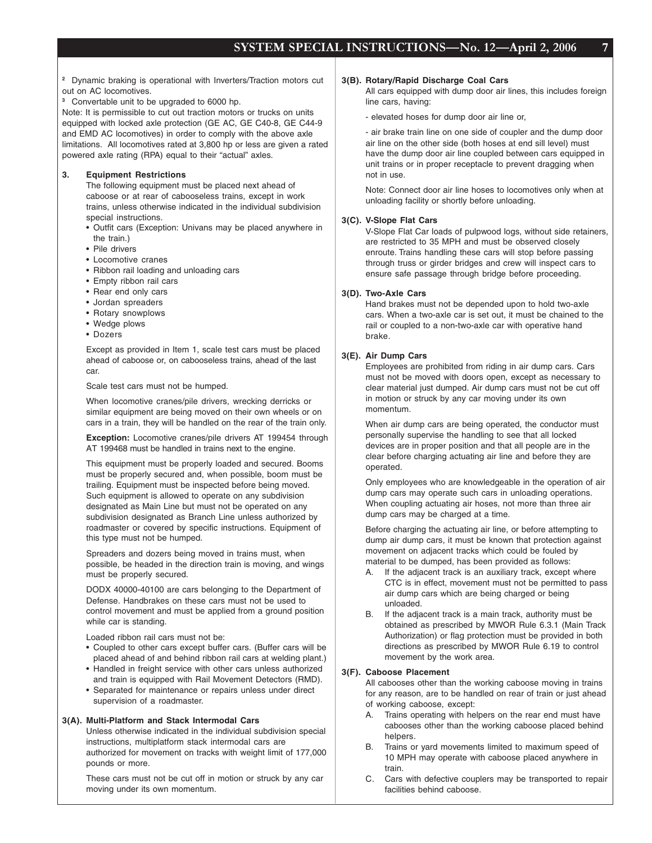**<sup>2</sup>** Dynamic braking is operational with Inverters/Traction motors cut out on AC locomotives.

**<sup>3</sup>** Convertable unit to be upgraded to 6000 hp.

Note: It is permissible to cut out traction motors or trucks on units equipped with locked axle protection (GE AC, GE C40-8, GE C44-9 and EMD AC locomotives) in order to comply with the above axle limitations. All locomotives rated at 3,800 hp or less are given a rated powered axle rating (RPA) equal to their "actual" axles.

#### **3. Equipment Restrictions**

The following equipment must be placed next ahead of caboose or at rear of cabooseless trains, except in work trains, unless otherwise indicated in the individual subdivision special instructions.

- Outfit cars (Exception: Univans may be placed anywhere in the train.)
- Pile drivers
- Locomotive cranes
- Ribbon rail loading and unloading cars
- Empty ribbon rail cars
- Rear end only cars
- Jordan spreaders
- Rotary snowplows
- Wedge plows
- Dozers

Except as provided in Item 1, scale test cars must be placed ahead of caboose or, on cabooseless trains, ahead of the last car.

Scale test cars must not be humped.

When locomotive cranes/pile drivers, wrecking derricks or similar equipment are being moved on their own wheels or on cars in a train, they will be handled on the rear of the train only.

**Exception:** Locomotive cranes/pile drivers AT 199454 through AT 199468 must be handled in trains next to the engine.

This equipment must be properly loaded and secured. Booms must be properly secured and, when possible, boom must be trailing. Equipment must be inspected before being moved. Such equipment is allowed to operate on any subdivision designated as Main Line but must not be operated on any subdivision designated as Branch Line unless authorized by roadmaster or covered by specific instructions. Equipment of this type must not be humped.

Spreaders and dozers being moved in trains must, when possible, be headed in the direction train is moving, and wings must be properly secured.

DODX 40000-40100 are cars belonging to the Department of Defense. Handbrakes on these cars must not be used to control movement and must be applied from a ground position while car is standing.

Loaded ribbon rail cars must not be:

- Coupled to other cars except buffer cars. (Buffer cars will be placed ahead of and behind ribbon rail cars at welding plant.)
- Handled in freight service with other cars unless authorized and train is equipped with Rail Movement Detectors (RMD).
- Separated for maintenance or repairs unless under direct supervision of a roadmaster.

#### **3(A). Multi-Platform and Stack Intermodal Cars**

Unless otherwise indicated in the individual subdivision special instructions, multiplatform stack intermodal cars are authorized for movement on tracks with weight limit of 177,000 pounds or more.

These cars must not be cut off in motion or struck by any car moving under its own momentum.

#### **3(B). Rotary/Rapid Discharge Coal Cars**

All cars equipped with dump door air lines, this includes foreign line cars, having:

- elevated hoses for dump door air line or,

- air brake train line on one side of coupler and the dump door air line on the other side (both hoses at end sill level) must have the dump door air line coupled between cars equipped in unit trains or in proper receptacle to prevent dragging when not in use.

Note: Connect door air line hoses to locomotives only when at unloading facility or shortly before unloading.

#### **3(C). V-Slope Flat Cars**

V-Slope Flat Car loads of pulpwood logs, without side retainers, are restricted to 35 MPH and must be observed closely enroute. Trains handling these cars will stop before passing through truss or girder bridges and crew will inspect cars to ensure safe passage through bridge before proceeding.

#### **3(D). Two-Axle Cars**

Hand brakes must not be depended upon to hold two-axle cars. When a two-axle car is set out, it must be chained to the rail or coupled to a non-two-axle car with operative hand brake.

#### **3(E). Air Dump Cars**

Employees are prohibited from riding in air dump cars. Cars must not be moved with doors open, except as necessary to clear material just dumped. Air dump cars must not be cut off in motion or struck by any car moving under its own momentum.

When air dump cars are being operated, the conductor must personally supervise the handling to see that all locked devices are in proper position and that all people are in the clear before charging actuating air line and before they are operated.

Only employees who are knowledgeable in the operation of air dump cars may operate such cars in unloading operations. When coupling actuating air hoses, not more than three air dump cars may be charged at a time.

Before charging the actuating air line, or before attempting to dump air dump cars, it must be known that protection against movement on adjacent tracks which could be fouled by material to be dumped, has been provided as follows:

- A. If the adjacent track is an auxiliary track, except where CTC is in effect, movement must not be permitted to pass air dump cars which are being charged or being unloaded.
- B. If the adjacent track is a main track, authority must be obtained as prescribed by MWOR Rule 6.3.1 (Main Track Authorization) or flag protection must be provided in both directions as prescribed by MWOR Rule 6.19 to control movement by the work area.

#### **3(F). Caboose Placement**

All cabooses other than the working caboose moving in trains for any reason, are to be handled on rear of train or just ahead of working caboose, except:

- A. Trains operating with helpers on the rear end must have cabooses other than the working caboose placed behind helpers.
- B. Trains or yard movements limited to maximum speed of 10 MPH may operate with caboose placed anywhere in train.
- C. Cars with defective couplers may be transported to repair facilities behind caboose.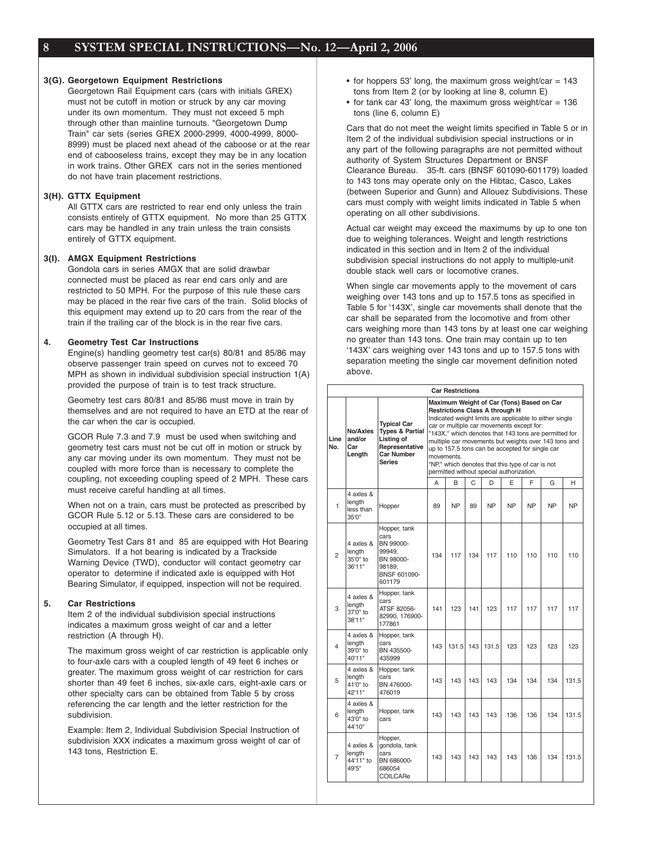#### **3(G). Georgetown Equipment Restrictions**

Georgetown Rail Equipment cars (cars with initials GREX) must not be cutoff in motion or struck by any car moving under its own momentum. They must not exceed 5 mph through other than mainline turnouts. "Georgetown Dump Train" car sets (series GREX 2000-2999, 4000-4999, 8000- 8999) must be placed next ahead of the caboose or at the rear end of cabooseless trains, except they may be in any location in work trains. Other GREX cars not in the series mentioned do not have train placement restrictions.

#### **3(H). GTTX Equipment**

All GTTX cars are restricted to rear end only unless the train consists entirely of GTTX equipment. No more than 25 GTTX cars may be handled in any train unless the train consists entirely of GTTX equipment.

### **3(I). AMGX Equipment Restrictions**

Gondola cars in series AMGX that are solid drawbar connected must be placed as rear end cars only and are restricted to 50 MPH. For the purpose of this rule these cars may be placed in the rear five cars of the train. Solid blocks of this equipment may extend up to 20 cars from the rear of the train if the trailing car of the block is in the rear five cars.

#### **4. Geometry Test Car Instructions**

Engine(s) handling geometry test car(s) 80/81 and 85/86 may observe passenger train speed on curves not to exceed 70 MPH as shown in individual subdivision special instruction 1(A) provided the purpose of train is to test track structure.

Geometry test cars 80/81 and 85/86 must move in train by themselves and are not required to have an ETD at the rear of the car when the car is occupied.

GCOR Rule 7.3 and 7.9 must be used when switching and geometry test cars must not be cut off in motion or struck by any car moving under its own momentum. They must not be coupled with more force than is necessary to complete the coupling, not exceeding coupling speed of 2 MPH. These cars must receive careful handling at all times.

When not on a train, cars must be protected as prescribed by GCOR Rule 5.12 or 5.13. These cars are considered to be occupied at all times.

Geometry Test Cars 81 and 85 are equipped with Hot Bearing Simulators. If a hot bearing is indicated by a Trackside Warning Device (TWD), conductor will contact geometry car operator to determine if indicated axle is equipped with Hot Bearing Simulator, if equipped, inspection will not be required.

#### **5. Car Restrictions**

Item 2 of the individual subdivision special instructions indicates a maximum gross weight of car and a letter restriction (A through H).

The maximum gross weight of car restriction is applicable only to four-axle cars with a coupled length of 49 feet 6 inches or greater. The maximum gross weight of car restriction for cars shorter than 49 feet 6 inches, six-axle cars, eight-axle cars or other specialty cars can be obtained from Table 5 by cross referencing the car length and the letter restriction for the subdivision.

Example: Item 2, Individual Subdivision Special Instruction of subdivision XXX indicates a maximum gross weight of car of 143 tons, Restriction E.

- for hoppers 53' long, the maximum gross weight/car  $= 143$ tons from Item 2 (or by looking at line 8, column E)
- for tank car 43' long, the maximum gross weight/car =  $136$ tons (line 6, column E)

Cars that do not meet the weight limits specified in Table 5 or in Item 2 of the individual subdivision special instructions or in any part of the following paragraphs are not permitted without authority of System Structures Department or BNSF Clearance Bureau. 35-ft. cars (BNSF 601090-601179) loaded to 143 tons may operate only on the Hibtac, Casco, Lakes (between Superior and Gunn) and Allouez Subdivisions. These cars must comply with weight limits indicated in Table 5 when operating on all other subdivisions.

Actual car weight may exceed the maximums by up to one ton due to weighing tolerances. Weight and length restrictions indicated in this section and in Item 2 of the individual subdivision special instructions do not apply to multiple-unit double stack well cars or locomotive cranes.

When single car movements apply to the movement of cars weighing over 143 tons and up to 157.5 tons as specified in Table 5 for '143X', single car movements shall denote that the car shall be separated from the locomotive and from other cars weighing more than 143 tons by at least one car weighing no greater than 143 tons. One train may contain up to ten '143X' cars weighing over 143 tons and up to 157.5 tons with separation meeting the single car movement definition noted above.

| <b>Car Restrictions</b> |                                           |                                                                                                                 |                                                                                                                                                                                                                                                                                                                                                                                                                                                                                                                      |           |     |           |           |           |           |           |
|-------------------------|-------------------------------------------|-----------------------------------------------------------------------------------------------------------------|----------------------------------------------------------------------------------------------------------------------------------------------------------------------------------------------------------------------------------------------------------------------------------------------------------------------------------------------------------------------------------------------------------------------------------------------------------------------------------------------------------------------|-----------|-----|-----------|-----------|-----------|-----------|-----------|
| Line<br>No.             | No/Axles<br>and/or<br>Car<br>Length       | <b>Typical Car</b><br><b>Types &amp; Partial</b><br>Listing of<br>Representative<br>Car Number<br><b>Series</b> | Maximum Weight of Car (Tons) Based on Car<br><b>Restrictions Class A through H</b><br>Indicated weight limits are applicable to either single<br>car or multiple car movements except for:<br>"143X," which denotes that 143 tons are permitted for<br>multiple car movements but weights over 143 tons and<br>up to 157.5 tons can be accepted for single car<br>movements.<br>"NP," which denotes that this type of car is not<br>permitted without special authorization.<br>B<br>C<br>D<br>E<br>F<br>A<br>G<br>н |           |     |           |           |           |           |           |
|                         |                                           |                                                                                                                 |                                                                                                                                                                                                                                                                                                                                                                                                                                                                                                                      |           |     |           |           |           |           |           |
| 1                       | 4 axles &<br>length<br>less than<br>35'0" | Hopper                                                                                                          | 89                                                                                                                                                                                                                                                                                                                                                                                                                                                                                                                   | <b>NP</b> | 89  | <b>NP</b> | <b>NP</b> | <b>NP</b> | <b>NP</b> | <b>NP</b> |
| $\overline{2}$          | 4 axles &<br>length<br>35'0" to<br>36'11" | Hopper, tank<br>cars<br>BN 99000-<br>99949.<br>BN 98000-<br>98189.<br>BNSF 601090-<br>601179                    | 134                                                                                                                                                                                                                                                                                                                                                                                                                                                                                                                  | 117       | 134 | 117       | 110       | 110       | 110       | 110       |
| 3                       | 4 axles &<br>length<br>37'0" to<br>38'11" | Hopper, tank<br>cars<br>ATSF 82056-<br>82990, 176900-<br>177861                                                 | 141                                                                                                                                                                                                                                                                                                                                                                                                                                                                                                                  | 123       | 141 | 123       | 117       | 117       | 117       | 117       |
| $\overline{\mathbf{A}}$ | 4 axles &<br>length<br>39'0" to<br>40'11" | Hopper, tank<br>cars<br>BN 435500-<br>435999                                                                    | 143                                                                                                                                                                                                                                                                                                                                                                                                                                                                                                                  | 131.5     | 143 | 131.5     | 123       | 123       | 123       | 123       |
| 5                       | 4 axles &<br>length<br>41'0" to<br>42'11" | Hopper, tank<br>cars<br>BN 476000-<br>476019                                                                    | 143                                                                                                                                                                                                                                                                                                                                                                                                                                                                                                                  | 143       | 143 | 143       | 134       | 134       | 134       | 131.5     |
| 6                       | 4 axles &<br>length<br>43'0" to<br>44'10" | Hopper, tank<br>cars                                                                                            | 143                                                                                                                                                                                                                                                                                                                                                                                                                                                                                                                  | 143       | 143 | 143       | 136       | 136       | 134       | 131.5     |
| $\overline{7}$          | 4 axles &<br>length<br>44'11" to<br>49'5" | Hopper,<br>gondola, tank<br>cars<br>BN 686000-<br>686054<br>COILCARe                                            | 143                                                                                                                                                                                                                                                                                                                                                                                                                                                                                                                  | 143       | 143 | 143       | 143       | 136       | 134       | 131.5     |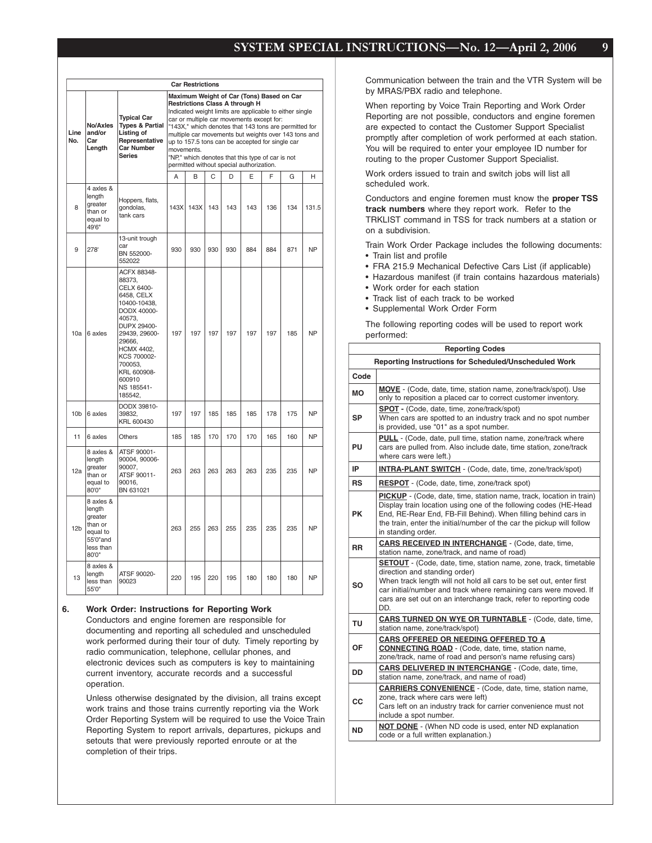|                 | <b>Car Restrictions</b>                                                                  |                                                                                                                                                                                                                                       |                                                                                                                                                                                                                                                                                                                                                                                                                                                                              |      |     |     |     |     |     |           |  |
|-----------------|------------------------------------------------------------------------------------------|---------------------------------------------------------------------------------------------------------------------------------------------------------------------------------------------------------------------------------------|------------------------------------------------------------------------------------------------------------------------------------------------------------------------------------------------------------------------------------------------------------------------------------------------------------------------------------------------------------------------------------------------------------------------------------------------------------------------------|------|-----|-----|-----|-----|-----|-----------|--|
| Line<br>No.     | No/Axles<br>and/or<br>Car<br>Length                                                      | <b>Typical Car</b><br><b>Types &amp; Partial</b><br>Listing of<br>Representative<br><b>Car Number</b><br><b>Series</b>                                                                                                                | Maximum Weight of Car (Tons) Based on Car<br><b>Restrictions Class A through H</b><br>Indicated weight limits are applicable to either single<br>car or multiple car movements except for:<br>"143X," which denotes that 143 tons are permitted for<br>multiple car movements but weights over 143 tons and<br>up to 157.5 tons can be accepted for single car<br>movements.<br>"NP," which denotes that this type of car is not<br>permitted without special authorization. |      |     |     |     |     |     |           |  |
|                 |                                                                                          |                                                                                                                                                                                                                                       | A                                                                                                                                                                                                                                                                                                                                                                                                                                                                            | B    | C   | D   | E   | F   | G   | н         |  |
| 8               | 4 axles &<br>length<br>greater<br>than or<br>equal to<br>49'6"                           | Hoppers, flats,<br>gondolas,<br>tank cars                                                                                                                                                                                             | 143X                                                                                                                                                                                                                                                                                                                                                                                                                                                                         | 143X | 143 | 143 | 143 | 136 | 134 | 131.5     |  |
| 9               | 278'                                                                                     | 13-unit trough<br>car<br>BN 552000-<br>552022                                                                                                                                                                                         | 930                                                                                                                                                                                                                                                                                                                                                                                                                                                                          | 930  | 930 | 930 | 884 | 884 | 871 | <b>NP</b> |  |
| 10a             | 6 axles                                                                                  | ACFX 88348-<br>88373.<br>CELX 6400-<br>6458, CELX<br>10400-10438,<br><b>DODX 40000-</b><br>40573,<br>DUPX 29400-<br>29439, 29600-<br>29666,<br>HCMX 4402,<br>KCS 700002-<br>700053.<br>KRL 600908-<br>600910<br>NS 185541-<br>185542, | 197                                                                                                                                                                                                                                                                                                                                                                                                                                                                          | 197  | 197 | 197 | 197 | 197 | 185 | <b>NP</b> |  |
| 10 <sub>b</sub> | 6 axles                                                                                  | DODX 39810-<br>39832,<br>KRL 600430                                                                                                                                                                                                   | 197                                                                                                                                                                                                                                                                                                                                                                                                                                                                          | 197  | 185 | 185 | 185 | 178 | 175 | <b>NP</b> |  |
| 11              | 6 axles                                                                                  | Others                                                                                                                                                                                                                                | 185                                                                                                                                                                                                                                                                                                                                                                                                                                                                          | 185  | 170 | 170 | 170 | 165 | 160 | <b>NP</b> |  |
| 12a             | 8 axles &<br>length<br>greater<br>than or<br>equal to<br>80'0"                           | ATSF 90001-<br>90004, 90006-<br>90007,<br>ATSF 90011-<br>90016,<br>BN 631021                                                                                                                                                          | 263                                                                                                                                                                                                                                                                                                                                                                                                                                                                          | 263  | 263 | 263 | 263 | 235 | 235 | <b>NP</b> |  |
| 12 <sub>b</sub> | 8 axles &<br>length<br>greater<br>than or<br>equal to<br>55'0" and<br>less than<br>80'0" |                                                                                                                                                                                                                                       | 263                                                                                                                                                                                                                                                                                                                                                                                                                                                                          | 255  | 263 | 255 | 235 | 235 | 235 | <b>NP</b> |  |
| 13              | 8 axles &<br>length<br>less than<br>55'0"                                                | ATSF 90020-<br>90023                                                                                                                                                                                                                  | 220                                                                                                                                                                                                                                                                                                                                                                                                                                                                          | 195  | 220 | 195 | 180 | 180 | 180 | <b>NP</b> |  |

#### **6. Work Order: Instructions for Reporting Work**

Conductors and engine foremen are responsible for documenting and reporting all scheduled and unscheduled work performed during their tour of duty. Timely reporting by radio communication, telephone, cellular phones, and electronic devices such as computers is key to maintaining current inventory, accurate records and a successful operation.

Unless otherwise designated by the division, all trains except work trains and those trains currently reporting via the Work Order Reporting System will be required to use the Voice Train Reporting System to report arrivals, departures, pickups and setouts that were previously reported enroute or at the completion of their trips.

Communication between the train and the VTR System will be by MRAS/PBX radio and telephone.

When reporting by Voice Train Reporting and Work Order Reporting are not possible, conductors and engine foremen are expected to contact the Customer Support Specialist promptly after completion of work performed at each station. You will be required to enter your employee ID number for routing to the proper Customer Support Specialist.

Work orders issued to train and switch jobs will list all scheduled work.

Conductors and engine foremen must know the **proper TSS track numbers** where they report work. Refer to the TRKLIST command in TSS for track numbers at a station or on a subdivision.

Train Work Order Package includes the following documents: • Train list and profile

- FRA 215.9 Mechanical Defective Cars List (if applicable)
- Hazardous manifest (if train contains hazardous materials)
- Work order for each station
- Track list of each track to be worked
- Supplemental Work Order Form

The following reporting codes will be used to report work performed:

|           | <b>Reporting Codes</b>                                                                                                                                                                                                                                                                                                          |
|-----------|---------------------------------------------------------------------------------------------------------------------------------------------------------------------------------------------------------------------------------------------------------------------------------------------------------------------------------|
|           | Reporting Instructions for Scheduled/Unscheduled Work                                                                                                                                                                                                                                                                           |
| Code      |                                                                                                                                                                                                                                                                                                                                 |
| <b>MO</b> | MOVE - (Code, date, time, station name, zone/track/spot). Use<br>only to reposition a placed car to correct customer inventory.                                                                                                                                                                                                 |
| SP        | <b>SPOT</b> - (Code, date, time, zone/track/spot)<br>When cars are spotted to an industry track and no spot number<br>is provided, use "01" as a spot number.                                                                                                                                                                   |
| PU        | <b>PULL</b> - (Code, date, pull time, station name, zone/track where<br>cars are pulled from. Also include date, time station, zone/track<br>where cars were left.)                                                                                                                                                             |
| IP        | <b>INTRA-PLANT SWITCH</b> - (Code, date, time, zone/track/spot)                                                                                                                                                                                                                                                                 |
| <b>RS</b> | <b>RESPOT</b> - (Code, date, time, zone/track spot)                                                                                                                                                                                                                                                                             |
| <b>PK</b> | <b>PICKUP</b> - (Code, date, time, station name, track, location in train)<br>Display train location using one of the following codes (HE-Head<br>End, RE-Rear End, FB-Fill Behind). When filling behind cars in<br>the train, enter the initial/number of the car the pickup will follow<br>in standing order.                 |
| <b>RR</b> | CARS RECEIVED IN INTERCHANGE - (Code, date, time,<br>station name, zone/track, and name of road)                                                                                                                                                                                                                                |
| SΟ        | <b>SETOUT</b> - (Code, date, time, station name, zone, track, timetable<br>direction and standing order)<br>When track length will not hold all cars to be set out, enter first<br>car initial/number and track where remaining cars were moved. If<br>cars are set out on an interchange track, refer to reporting code<br>DD. |
| TU        | <b>CARS TURNED ON WYE OR TURNTABLE - (Code, date, time,</b><br>station name, zone/track/spot)                                                                                                                                                                                                                                   |
| ОF        | CARS OFFERED OR NEEDING OFFERED TO A<br><b>CONNECTING ROAD</b> - (Code, date, time, station name,<br>zone/track, name of road and person's name refusing cars)                                                                                                                                                                  |
| DD        | <b>CARS DELIVERED IN INTERCHANGE - (Code, date, time,</b><br>station name, zone/track, and name of road)                                                                                                                                                                                                                        |
| <b>CC</b> | <b>CARRIERS CONVENIENCE</b> - (Code, date, time, station name,<br>zone, track where cars were left)<br>Cars left on an industry track for carrier convenience must not<br>include a spot number.                                                                                                                                |
| ND        | <b>NOT DONE</b> - (When ND code is used, enter ND explanation<br>code or a full written explanation.)                                                                                                                                                                                                                           |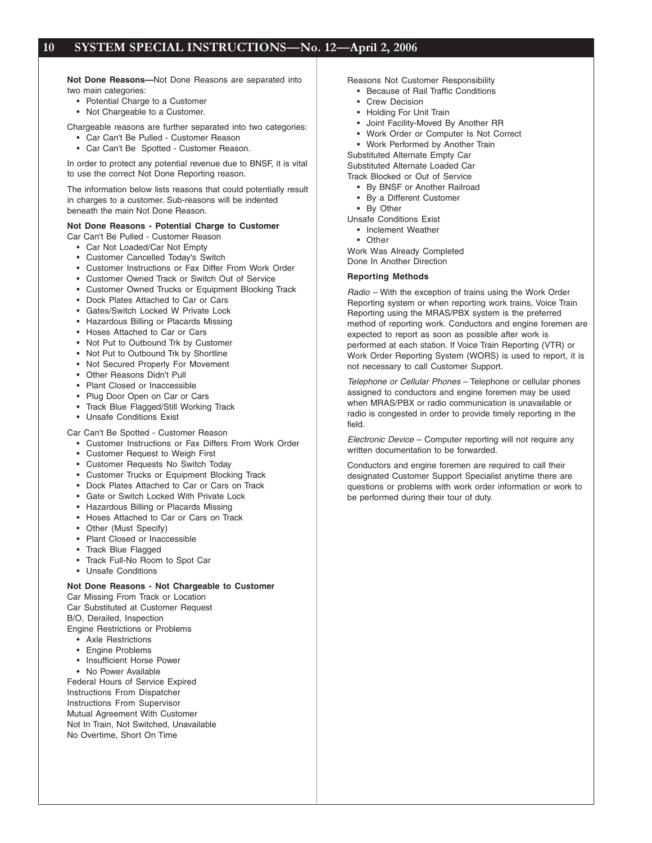**Not Done Reasons—**Not Done Reasons are separated into two main categories:

- Potential Charge to a Customer
- Not Chargeable to a Customer.

Chargeable reasons are further separated into two categories:

- Car Can't Be Pulled Customer Reason
- Car Can't Be Spotted Customer Reason.

In order to protect any potential revenue due to BNSF, it is vital to use the correct Not Done Reporting reason.

The information below lists reasons that could potentially result in charges to a customer. Sub-reasons will be indented beneath the main Not Done Reason.

#### **Not Done Reasons - Potential Charge to Customer**

Car Can't Be Pulled - Customer Reason

- Car Not Loaded/Car Not Empty
- Customer Cancelled Today's Switch
- Customer Instructions or Fax Differ From Work Order
- Customer Owned Track or Switch Out of Service
- Customer Owned Trucks or Equipment Blocking Track
- Dock Plates Attached to Car or Cars
- Gates/Switch Locked W Private Lock
- Hazardous Billing or Placards Missing
- Hoses Attached to Car or Cars
- Not Put to Outbound Trk by Customer
- Not Put to Outbound Trk by Shortline
- Not Secured Properly For Movement
- Other Reasons Didn't Pull
- Plant Closed or Inaccessible
- Plug Door Open on Car or Cars
- Track Blue Flagged/Still Working Track
- Unsafe Conditions Exist

Car Can't Be Spotted - Customer Reason

- Customer Instructions or Fax Differs From Work Order
- Customer Request to Weigh First
- Customer Requests No Switch Today
- Customer Trucks or Equipment Blocking Track
- Dock Plates Attached to Car or Cars on Track
- Gate or Switch Locked With Private Lock
- Hazardous Billing or Placards Missing
- Hoses Attached to Car or Cars on Track
- Other (Must Specify)
- Plant Closed or Inaccessible
- Track Blue Flagged
- Track Full-No Room to Spot Car
- Unsafe Conditions

#### **Not Done Reasons - Not Chargeable to Customer**

Car Missing From Track or Location Car Substituted at Customer Request

B/O, Derailed, Inspection

- Engine Restrictions or Problems
	- Axle Restrictions
	- Engine Problems
	- Insufficient Horse Power
	- No Power Available

Federal Hours of Service Expired Instructions From Dispatcher Instructions From Supervisor Mutual Agreement With Customer Not In Train, Not Switched, Unavailable No Overtime, Short On Time

- Reasons Not Customer Responsibility
	- Because of Rail Traffic Conditions
	- Crew Decision
	- Holding For Unit Train
	- Joint Facility-Moved By Another RR
	- Work Order or Computer Is Not Correct
	- Work Performed by Another Train

Substituted Alternate Empty Car Substituted Alternate Loaded Car

- Track Blocked or Out of Service
	- By BNSF or Another Railroad
	- By a Different Customer • By Other

Unsafe Conditions Exist

• Inclement Weather

• Other

Work Was Already Completed Done In Another Direction

#### **Reporting Methods**

Radio – With the exception of trains using the Work Order Reporting system or when reporting work trains, Voice Train Reporting using the MRAS/PBX system is the preferred method of reporting work. Conductors and engine foremen are expected to report as soon as possible after work is performed at each station. If Voice Train Reporting (VTR) or Work Order Reporting System (WORS) is used to report, it is not necessary to call Customer Support.

Telephone or Cellular Phones – Telephone or cellular phones assigned to conductors and engine foremen may be used when MRAS/PBX or radio communication is unavailable or radio is congested in order to provide timely reporting in the field.

Electronic Device – Computer reporting will not require any written documentation to be forwarded.

Conductors and engine foremen are required to call their designated Customer Support Specialist anytime there are questions or problems with work order information or work to be performed during their tour of duty.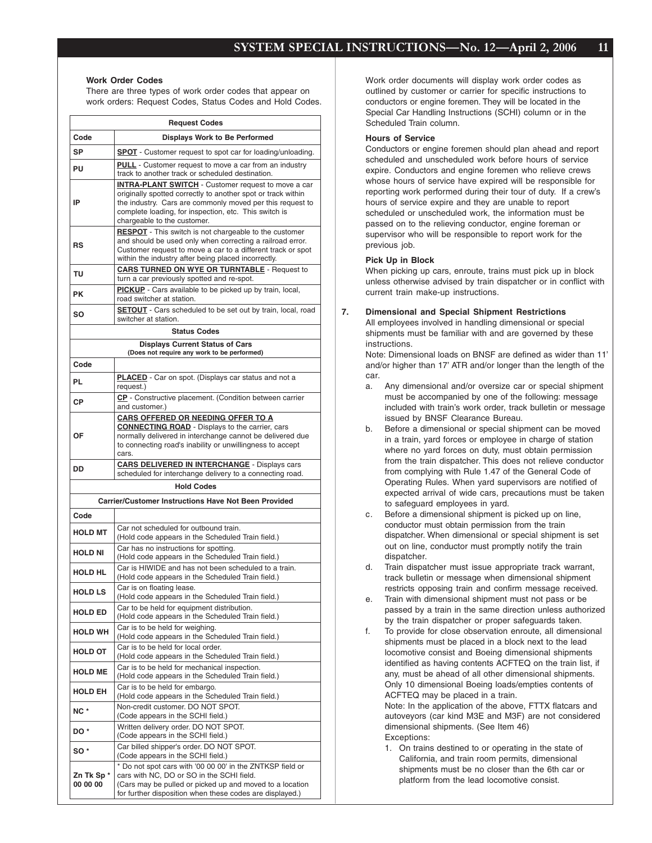#### **Work Order Codes**

There are three types of work order codes that appear on work orders: Request Codes, Status Codes and Hold Codes.

|                       | <b>Request Codes</b>                                                                                                                                                                                                                                                            |
|-----------------------|---------------------------------------------------------------------------------------------------------------------------------------------------------------------------------------------------------------------------------------------------------------------------------|
| Code                  | <b>Displays Work to Be Performed</b>                                                                                                                                                                                                                                            |
| SP                    | <b>SPOT</b> - Customer request to spot car for loading/unloading.                                                                                                                                                                                                               |
| PU                    | <b>PULL</b> - Customer request to move a car from an industry<br>track to another track or scheduled destination.                                                                                                                                                               |
| IP                    | <b>INTRA-PLANT SWITCH</b> - Customer request to move a car<br>originally spotted correctly to another spot or track within<br>the industry. Cars are commonly moved per this request to<br>complete loading, for inspection, etc. This switch is<br>chargeable to the customer. |
| RS                    | <b>RESPOT</b> - This switch is not chargeable to the customer<br>and should be used only when correcting a railroad error.<br>Customer request to move a car to a different track or spot<br>within the industry after being placed incorrectly.                                |
| TU                    | <b>CARS TURNED ON WYE OR TURNTABLE - Request to</b><br>turn a car previously spotted and re-spot.                                                                                                                                                                               |
| <b>PK</b>             | <b>PICKUP</b> - Cars available to be picked up by train, local,<br>road switcher at station.                                                                                                                                                                                    |
| SΟ                    | <b>SETOUT</b> - Cars scheduled to be set out by train, local, road<br>switcher at station.                                                                                                                                                                                      |
|                       | <b>Status Codes</b>                                                                                                                                                                                                                                                             |
|                       | <b>Displays Current Status of Cars</b><br>(Does not require any work to be performed)                                                                                                                                                                                           |
| Code                  |                                                                                                                                                                                                                                                                                 |
| <b>PL</b>             | <b>PLACED</b> - Car on spot. (Displays car status and not a<br>request.)                                                                                                                                                                                                        |
| СP                    | CP - Constructive placement. (Condition between carrier<br>and customer.)                                                                                                                                                                                                       |
| ΟF                    | CARS OFFERED OR NEEDING OFFER TO A<br><b>CONNECTING ROAD</b> - Displays to the carrier, cars<br>normally delivered in interchange cannot be delivered due<br>to connecting road's inability or unwillingness to accept<br>cars.                                                 |
| DD                    | <b>CARS DELIVERED IN INTERCHANGE - Displays cars</b><br>scheduled for interchange delivery to a connecting road.                                                                                                                                                                |
|                       | <b>Hold Codes</b>                                                                                                                                                                                                                                                               |
|                       | <b>Carrier/Customer Instructions Have Not Been Provided</b>                                                                                                                                                                                                                     |
| Code                  |                                                                                                                                                                                                                                                                                 |
| <b>HOLD MT</b>        | Car not scheduled for outbound train.<br>(Hold code appears in the Scheduled Train field.)                                                                                                                                                                                      |
| <b>HOLD NI</b>        | Car has no instructions for spotting.<br>(Hold code appears in the Scheduled Train field.)                                                                                                                                                                                      |
| <b>HOLD HL</b>        | Car is HIWIDE and has not been scheduled to a train.<br>(Hold code appears in the Scheduled Train field.)                                                                                                                                                                       |
| <b>HOLD LS</b>        | Car is on floating lease.<br>(Hold code appears in the Scheduled Train field.)                                                                                                                                                                                                  |
| <b>HOLD ED</b>        | Car to be held for equipment distribution.<br>(Hold code appears in the Scheduled Train field.)                                                                                                                                                                                 |
| <b>HOLD WH</b>        | Car is to be held for weighing.<br>(Hold code appears in the Scheduled Train field.)                                                                                                                                                                                            |
| <b>HOLD OT</b>        | Car is to be held for local order.<br>(Hold code appears in the Scheduled Train field.)<br>Car is to be held for mechanical inspection.                                                                                                                                         |
| <b>HOLD ME</b>        | (Hold code appears in the Scheduled Train field.)<br>Car is to be held for embargo.                                                                                                                                                                                             |
| <b>HOLD EH</b>        | (Hold code appears in the Scheduled Train field.)                                                                                                                                                                                                                               |
| NC*                   | Non-credit customer. DO NOT SPOT.<br>(Code appears in the SCHI field.)                                                                                                                                                                                                          |
| DO <sup>*</sup>       | Written delivery order. DO NOT SPOT.<br>(Code appears in the SCHI field.)                                                                                                                                                                                                       |
| SO <sup>*</sup>       | Car billed shipper's order. DO NOT SPOT.<br>(Code appears in the SCHI field.)                                                                                                                                                                                                   |
| Zn Tk Sp*<br>00 00 00 | * Do not spot cars with '00 00 00' in the ZNTKSP field or<br>cars with NC, DO or SO in the SCHI field.<br>(Cars may be pulled or picked up and moved to a location<br>for further disposition when these codes are displayed.)                                                  |

Work order documents will display work order codes as outlined by customer or carrier for specific instructions to conductors or engine foremen. They will be located in the Special Car Handling Instructions (SCHI) column or in the Scheduled Train column.

#### **Hours of Service**

Conductors or engine foremen should plan ahead and report scheduled and unscheduled work before hours of service expire. Conductors and engine foremen who relieve crews whose hours of service have expired will be responsible for reporting work performed during their tour of duty. If a crew's hours of service expire and they are unable to report scheduled or unscheduled work, the information must be passed on to the relieving conductor, engine foreman or supervisor who will be responsible to report work for the previous job.

#### **Pick Up in Block**

When picking up cars, enroute, trains must pick up in block unless otherwise advised by train dispatcher or in conflict with current train make-up instructions.

#### **7. Dimensional and Special Shipment Restrictions**

All employees involved in handling dimensional or special shipments must be familiar with and are governed by these instructions.

Note: Dimensional loads on BNSF are defined as wider than 11' and/or higher than 17' ATR and/or longer than the length of the car.

- a. Any dimensional and/or oversize car or special shipment must be accompanied by one of the following: message included with train's work order, track bulletin or message issued by BNSF Clearance Bureau.
- b. Before a dimensional or special shipment can be moved in a train, yard forces or employee in charge of station where no yard forces on duty, must obtain permission from the train dispatcher. This does not relieve conductor from complying with Rule 1.47 of the General Code of Operating Rules. When yard supervisors are notified of expected arrival of wide cars, precautions must be taken to safeguard employees in yard.
- c. Before a dimensional shipment is picked up on line, conductor must obtain permission from the train dispatcher. When dimensional or special shipment is set out on line, conductor must promptly notify the train dispatcher.
- d. Train dispatcher must issue appropriate track warrant, track bulletin or message when dimensional shipment restricts opposing train and confirm message received.
- e. Train with dimensional shipment must not pass or be passed by a train in the same direction unless authorized by the train dispatcher or proper safeguards taken.
- f. To provide for close observation enroute, all dimensional shipments must be placed in a block next to the lead locomotive consist and Boeing dimensional shipments identified as having contents ACFTEQ on the train list, if any, must be ahead of all other dimensional shipments. Only 10 dimensional Boeing loads/empties contents of ACFTEQ may be placed in a train.

Note: In the application of the above, FTTX flatcars and autoveyors (car kind M3E and M3F) are not considered dimensional shipments. (See Item 46) Exceptions:

1. On trains destined to or operating in the state of California, and train room permits, dimensional shipments must be no closer than the 6th car or platform from the lead locomotive consist.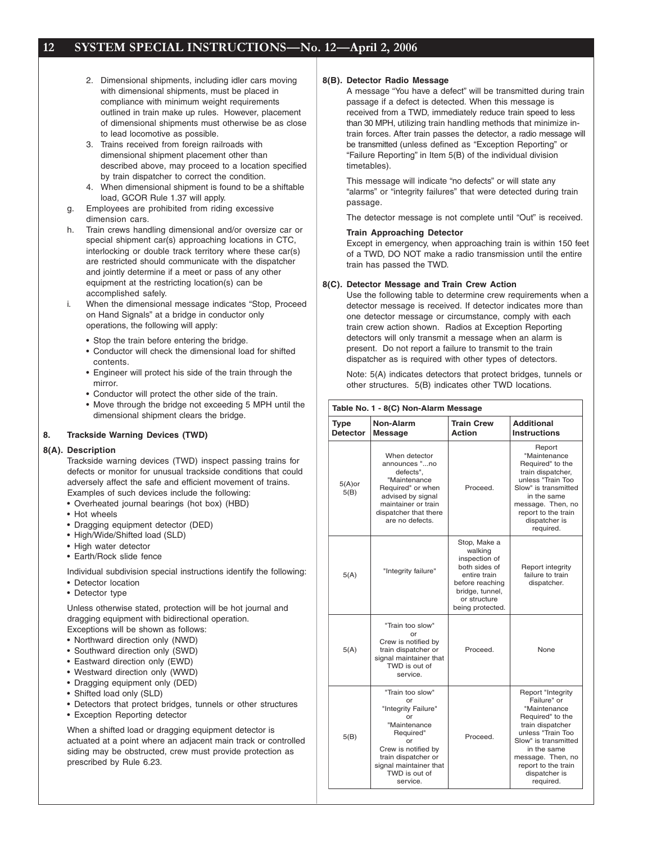- 2. Dimensional shipments, including idler cars moving with dimensional shipments, must be placed in compliance with minimum weight requirements outlined in train make up rules. However, placement of dimensional shipments must otherwise be as close to lead locomotive as possible.
- 3. Trains received from foreign railroads with dimensional shipment placement other than described above, may proceed to a location specified by train dispatcher to correct the condition.
- 4. When dimensional shipment is found to be a shiftable load, GCOR Rule 1.37 will apply.
- g. Employees are prohibited from riding excessive dimension cars.
- h. Train crews handling dimensional and/or oversize car or special shipment car(s) approaching locations in CTC, interlocking or double track territory where these car(s) are restricted should communicate with the dispatcher and jointly determine if a meet or pass of any other equipment at the restricting location(s) can be accomplished safely.
- i. When the dimensional message indicates "Stop, Proceed on Hand Signals" at a bridge in conductor only operations, the following will apply:
	- Stop the train before entering the bridge.
	- Conductor will check the dimensional load for shifted contents.
	- Engineer will protect his side of the train through the mirror.
	- Conductor will protect the other side of the train.
	- Move through the bridge not exceeding 5 MPH until the dimensional shipment clears the bridge.

#### **8. Trackside Warning Devices (TWD)**

#### **8(A). Description**

Trackside warning devices (TWD) inspect passing trains for defects or monitor for unusual trackside conditions that could adversely affect the safe and efficient movement of trains. Examples of such devices include the following:

- Overheated journal bearings (hot box) (HBD)
- Hot wheels
- Dragging equipment detector (DED)
- High/Wide/Shifted load (SLD)
- High water detector
- Earth/Rock slide fence

Individual subdivision special instructions identify the following:

- Detector location
- Detector type

Unless otherwise stated, protection will be hot journal and dragging equipment with bidirectional operation.

- Exceptions will be shown as follows:
- Northward direction only (NWD)
- Southward direction only (SWD)
- Eastward direction only (EWD) • Westward direction only (WWD)
- Dragging equipment only (DED)
- Shifted load only (SLD)
- 
- Detectors that protect bridges, tunnels or other structures
- Exception Reporting detector

When a shifted load or dragging equipment detector is actuated at a point where an adjacent main track or controlled siding may be obstructed, crew must provide protection as prescribed by Rule 6.23.

#### **8(B). Detector Radio Message**

A message "You have a defect" will be transmitted during train passage if a defect is detected. When this message is received from a TWD, immediately reduce train speed to less than 30 MPH, utilizing train handling methods that minimize intrain forces. After train passes the detector, a radio message will be transmitted (unless defined as "Exception Reporting" or "Failure Reporting" in Item 5(B) of the individual division timetables).

This message will indicate "no defects" or will state any "alarms" or "integrity failures" that were detected during train passage.

The detector message is not complete until "Out" is received.

#### **Train Approaching Detector**

Except in emergency, when approaching train is within 150 feet of a TWD, DO NOT make a radio transmission until the entire train has passed the TWD.

#### **8(C). Detector Message and Train Crew Action**

Use the following table to determine crew requirements when a detector message is received. If detector indicates more than one detector message or circumstance, comply with each train crew action shown. Radios at Exception Reporting detectors will only transmit a message when an alarm is present. Do not report a failure to transmit to the train dispatcher as is required with other types of detectors.

Note: 5(A) indicates detectors that protect bridges, tunnels or other structures. 5(B) indicates other TWD locations.

|                                | Table No. 1 - 8(C) Non-Alarm Message                                                                                                                                                        |                                                                                                                                                     |                                                                                                                                                                                                                                |
|--------------------------------|---------------------------------------------------------------------------------------------------------------------------------------------------------------------------------------------|-----------------------------------------------------------------------------------------------------------------------------------------------------|--------------------------------------------------------------------------------------------------------------------------------------------------------------------------------------------------------------------------------|
| <b>Type</b><br><b>Detector</b> | Non-Alarm<br>Message                                                                                                                                                                        | <b>Train Crew</b><br>Action                                                                                                                         | <b>Additional</b><br><b>Instructions</b>                                                                                                                                                                                       |
| $5(A)$ or<br>5(B)              | When detector<br>announces "no<br>defects".<br>"Maintenance<br>Required" or when<br>advised by signal<br>maintainer or train<br>dispatcher that there<br>are no defects.                    | Proceed.                                                                                                                                            | Report<br>"Maintenance<br>Required" to the<br>train dispatcher,<br>unless "Train Too<br>Slow" is transmitted<br>in the same<br>message. Then, no<br>report to the train<br>dispatcher is<br>required.                          |
| 5(A)                           | "Integrity failure"                                                                                                                                                                         | Stop, Make a<br>walking<br>inspection of<br>both sides of<br>entire train<br>before reaching<br>bridge, tunnel,<br>or structure<br>being protected. | Report integrity<br>failure to train<br>dispatcher.                                                                                                                                                                            |
| 5(A)                           | "Train too slow"<br>or<br>Crew is notified by<br>train dispatcher or<br>signal maintainer that<br>TWD is out of<br>service.                                                                 | Proceed.                                                                                                                                            | None                                                                                                                                                                                                                           |
| 5(B)                           | "Train too slow"<br>or<br>"Integrity Failure"<br>or<br>"Maintenance<br>Required"<br>or<br>Crew is notified by<br>train dispatcher or<br>signal maintainer that<br>TWD is out of<br>service. | Proceed.                                                                                                                                            | Report "Integrity<br>Failure" or<br>"Maintenance<br>Required" to the<br>train dispatcher<br>unless "Train Too<br>Slow" is transmitted<br>in the same<br>message. Then, no<br>report to the train<br>dispatcher is<br>required. |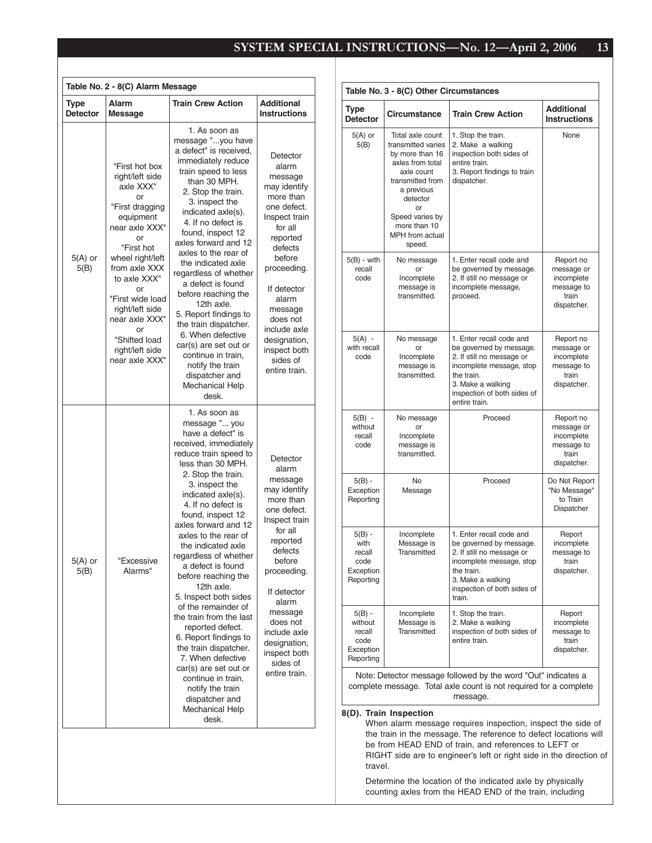|                                | Table No. 2 - 8(C) Alarm Message                                                                                                                                                                                                                                                                           |                                                                                                                                                                                                                                                                                                                                                                                                                                                                                                                                                                                                                                                                                            |                                                                                                                                                                                                                                                                                  |
|--------------------------------|------------------------------------------------------------------------------------------------------------------------------------------------------------------------------------------------------------------------------------------------------------------------------------------------------------|--------------------------------------------------------------------------------------------------------------------------------------------------------------------------------------------------------------------------------------------------------------------------------------------------------------------------------------------------------------------------------------------------------------------------------------------------------------------------------------------------------------------------------------------------------------------------------------------------------------------------------------------------------------------------------------------|----------------------------------------------------------------------------------------------------------------------------------------------------------------------------------------------------------------------------------------------------------------------------------|
| <b>Type</b><br><b>Detector</b> | Alarm<br><b>Message</b>                                                                                                                                                                                                                                                                                    | <b>Train Crew Action</b>                                                                                                                                                                                                                                                                                                                                                                                                                                                                                                                                                                                                                                                                   | <b>Additional</b><br><b>Instructions</b>                                                                                                                                                                                                                                         |
| $5(A)$ or<br>5(B)              | "First hot box<br>right/left side<br>axle XXX"<br>or<br>"First dragging<br>equipment<br>near axle XXX"<br>or<br>"First hot<br>wheel right/left<br>from axle XXX<br>to axle XXX"<br>or<br>"First wide load<br>right/left side<br>near axle XXX"<br>or<br>"Shifted load<br>right/left side<br>near axle XXX" | 1. As soon as<br>message "you have<br>a defect" is received,<br>immediately reduce<br>train speed to less<br>than 30 MPH.<br>2. Stop the train.<br>3. inspect the<br>indicated axle(s).<br>4. If no defect is<br>found, inspect 12<br>axles forward and 12<br>axles to the rear of<br>the indicated axle<br>regardless of whether<br>a defect is found<br>before reaching the<br>12th axle.<br>5. Report findings to<br>the train dispatcher.<br>6. When defective<br>car(s) are set out or<br>continue in train,<br>notify the train<br>dispatcher and<br><b>Mechanical Help</b><br>desk.                                                                                                 | Detector<br>alarm<br>message<br>may identify<br>more than<br>one defect.<br>Inspect train<br>for all<br>reported<br>defects<br>before<br>proceeding.<br>If detector<br>alarm<br>message<br>does not<br>include axle<br>designation,<br>inspect both<br>sides of<br>entire train. |
| $5(A)$ or<br>5(B)              | "Excessive<br>Alarms"                                                                                                                                                                                                                                                                                      | 1. As soon as<br>message " you<br>have a defect" is<br>received, immediately<br>reduce train speed to<br>less than 30 MPH.<br>2. Stop the train.<br>3. inspect the<br>indicated axle(s).<br>4. If no defect is<br>found, inspect 12<br>axles forward and 12<br>axles to the rear of<br>the indicated axle<br>regardless of whether<br>a defect is found<br>before reaching the<br>12th axle.<br>5. Inspect both sides<br>of the remainder of<br>the train from the last<br>reported defect.<br>6. Report findings to<br>the train dispatcher.<br>7. When defective<br>car(s) are set out or<br>continue in train,<br>notify the train<br>dispatcher and<br><b>Mechanical Help</b><br>desk. | Detector<br>alarm<br>message<br>may identify<br>more than<br>one defect.<br>Inspect train<br>for all<br>reported<br>defects<br>before<br>proceeding.<br>If detector<br>alarm<br>message<br>does not<br>include axle<br>designation,<br>inspect both<br>sides of<br>entire train. |

| <b>Type</b><br><b>Train Crew Action</b><br>Circumstance<br><b>Detector</b><br>$5(A)$ or<br>Total axle count<br>1. Stop the train.<br>transmitted varies<br>2. Make a walking<br>5(B)<br>inspection both sides of<br>by more than 16<br>axles from total<br>entire train.<br>axle count<br>3. Report findings to train<br>transmitted from<br>dispatcher.<br>a previous<br>detector<br>or<br>Speed varies by | <b>Additional</b><br><b>Instructions</b><br>None                            |
|-------------------------------------------------------------------------------------------------------------------------------------------------------------------------------------------------------------------------------------------------------------------------------------------------------------------------------------------------------------------------------------------------------------|-----------------------------------------------------------------------------|
|                                                                                                                                                                                                                                                                                                                                                                                                             |                                                                             |
| more than 10<br><b>MPH</b> from actual<br>speed.                                                                                                                                                                                                                                                                                                                                                            |                                                                             |
| $5(B)$ - with<br>1. Enter recall code and<br>No message<br>recall<br>be governed by message.<br>or<br>code<br>Incomplete<br>2. If still no message or<br>message is<br>incomplete message,<br>transmitted.<br>proceed.                                                                                                                                                                                      | Report no<br>message or<br>incomplete<br>message to<br>train<br>dispatcher. |
| $5(A) -$<br>1. Enter recall code and<br>No message<br>with recall<br>be governed by message.<br>or<br>code<br>Incomplete<br>2. If still no message or<br>message is<br>incomplete message, stop<br>transmitted.<br>the train.<br>3. Make a walking<br>inspection of both sides of<br>entire train.                                                                                                          | Report no<br>message or<br>incomplete<br>message to<br>train<br>dispatcher. |
| $5(B) -$<br>Proceed<br>No message<br>without<br>or<br>recall<br>Incomplete<br>code<br>message is<br>transmitted.                                                                                                                                                                                                                                                                                            | Report no<br>message or<br>incomplete<br>message to<br>train<br>dispatcher. |
| $5(B) -$<br>No<br>Proceed<br>Exception<br>Message<br>Reporting                                                                                                                                                                                                                                                                                                                                              | Do Not Report<br>"No Message"<br>to Train<br>Dispatcher                     |
| $5(B) -$<br>Incomplete<br>1. Enter recall code and<br>with<br>Message is<br>be governed by message.<br>recall<br>Transmitted<br>2. If still no message or<br>code<br>incomplete message, stop<br>Exception<br>the train.<br>Reporting<br>3. Make a walking<br>inspection of both sides of<br>train.                                                                                                         | Report<br>incomplete<br>message to<br>train<br>dispatcher.                  |
| 1. Stop the train.<br>$5(B)$ -<br>Incomplete<br>Message is<br>2. Make a walking<br>without<br><b>Transmitted</b><br>inspection of both sides of<br>recall<br>entire train.<br>code<br>Exception<br>Reporting<br>Note: Detector message followed by the word "Out" indicates a                                                                                                                               | Report<br>incomplete<br>message to<br>train<br>dispatcher.                  |

complete message. Total axle count is not required for a complete message.

#### **8(D). Train Inspection**

When alarm message requires inspection, inspect the side of the train in the message. The reference to defect locations will be from HEAD END of train, and references to LEFT or RIGHT side are to engineer's left or right side in the direction of travel.

Determine the location of the indicated axle by physically counting axles from the HEAD END of the train, including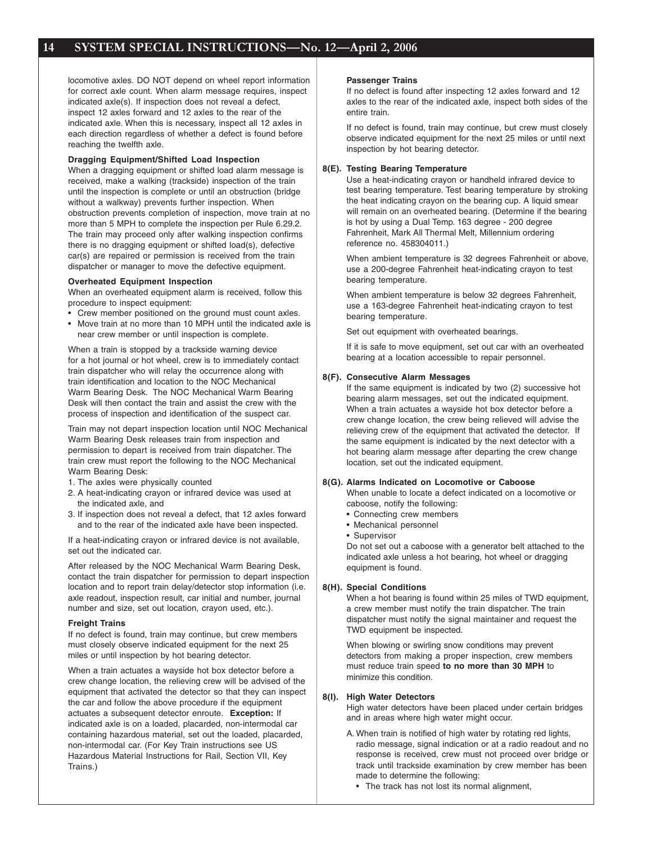locomotive axles. DO NOT depend on wheel report information for correct axle count. When alarm message requires, inspect indicated axle(s). If inspection does not reveal a defect, inspect 12 axles forward and 12 axles to the rear of the indicated axle. When this is necessary, inspect all 12 axles in each direction regardless of whether a defect is found before reaching the twelfth axle.

#### **Dragging Equipment/Shifted Load Inspection**

When a dragging equipment or shifted load alarm message is received, make a walking (trackside) inspection of the train until the inspection is complete or until an obstruction (bridge without a walkway) prevents further inspection. When obstruction prevents completion of inspection, move train at no more than 5 MPH to complete the inspection per Rule 6.29.2. The train may proceed only after walking inspection confirms there is no dragging equipment or shifted load(s), defective car(s) are repaired or permission is received from the train dispatcher or manager to move the defective equipment.

#### **Overheated Equipment Inspection**

When an overheated equipment alarm is received, follow this procedure to inspect equipment:

- Crew member positioned on the ground must count axles.
- Move train at no more than 10 MPH until the indicated axle is near crew member or until inspection is complete.

When a train is stopped by a trackside warning device for a hot journal or hot wheel, crew is to immediately contact train dispatcher who will relay the occurrence along with train identification and location to the NOC Mechanical Warm Bearing Desk. The NOC Mechanical Warm Bearing Desk will then contact the train and assist the crew with the process of inspection and identification of the suspect car.

Train may not depart inspection location until NOC Mechanical Warm Bearing Desk releases train from inspection and permission to depart is received from train dispatcher. The train crew must report the following to the NOC Mechanical Warm Bearing Desk:

- 1. The axles were physically counted
- 2. A heat-indicating crayon or infrared device was used at the indicated axle, and
- 3. If inspection does not reveal a defect, that 12 axles forward and to the rear of the indicated axle have been inspected.

If a heat-indicating crayon or infrared device is not available, set out the indicated car.

After released by the NOC Mechanical Warm Bearing Desk, contact the train dispatcher for permission to depart inspection location and to report train delay/detector stop information (i.e. axle readout, inspection result, car initial and number, journal number and size, set out location, crayon used, etc.).

#### **Freight Trains**

If no defect is found, train may continue, but crew members must closely observe indicated equipment for the next 25 miles or until inspection by hot bearing detector.

When a train actuates a wayside hot box detector before a crew change location, the relieving crew will be advised of the equipment that activated the detector so that they can inspect the car and follow the above procedure if the equipment actuates a subsequent detector enroute. **Exception:** If indicated axle is on a loaded, placarded, non-intermodal car containing hazardous material, set out the loaded, placarded, non-intermodal car. (For Key Train instructions see US Hazardous Material Instructions for Rail, Section VII, Key Trains.)

#### **Passenger Trains**

If no defect is found after inspecting 12 axles forward and 12 axles to the rear of the indicated axle, inspect both sides of the entire train.

If no defect is found, train may continue, but crew must closely observe indicated equipment for the next 25 miles or until next inspection by hot bearing detector.

#### **8(E). Testing Bearing Temperature**

Use a heat-indicating crayon or handheld infrared device to test bearing temperature. Test bearing temperature by stroking the heat indicating crayon on the bearing cup. A liquid smear will remain on an overheated bearing. (Determine if the bearing is hot by using a Dual Temp. 163 degree - 200 degree Fahrenheit, Mark All Thermal Melt, Millennium ordering reference no. 458304011.)

When ambient temperature is 32 degrees Fahrenheit or above, use a 200-degree Fahrenheit heat-indicating crayon to test bearing temperature.

When ambient temperature is below 32 degrees Fahrenheit, use a 163-degree Fahrenheit heat-indicating crayon to test bearing temperature.

Set out equipment with overheated bearings.

If it is safe to move equipment, set out car with an overheated bearing at a location accessible to repair personnel.

#### **8(F). Consecutive Alarm Messages**

If the same equipment is indicated by two (2) successive hot bearing alarm messages, set out the indicated equipment. When a train actuates a wayside hot box detector before a crew change location, the crew being relieved will advise the relieving crew of the equipment that activated the detector. If the same equipment is indicated by the next detector with a hot bearing alarm message after departing the crew change location, set out the indicated equipment.

#### **8(G). Alarms Indicated on Locomotive or Caboose**

When unable to locate a defect indicated on a locomotive or caboose, notify the following:

- Connecting crew members
- Mechanical personnel
- Supervisor

Do not set out a caboose with a generator belt attached to the indicated axle unless a hot bearing, hot wheel or dragging equipment is found.

#### **8(H). Special Conditions**

When a hot bearing is found within 25 miles of TWD equipment, a crew member must notify the train dispatcher. The train dispatcher must notify the signal maintainer and request the TWD equipment be inspected.

When blowing or swirling snow conditions may prevent detectors from making a proper inspection, crew members must reduce train speed **to no more than 30 MPH** to minimize this condition.

#### **8(I). High Water Detectors**

High water detectors have been placed under certain bridges and in areas where high water might occur.

- A. When train is notified of high water by rotating red lights, radio message, signal indication or at a radio readout and no response is received, crew must not proceed over bridge or track until trackside examination by crew member has been made to determine the following:
	- The track has not lost its normal alignment,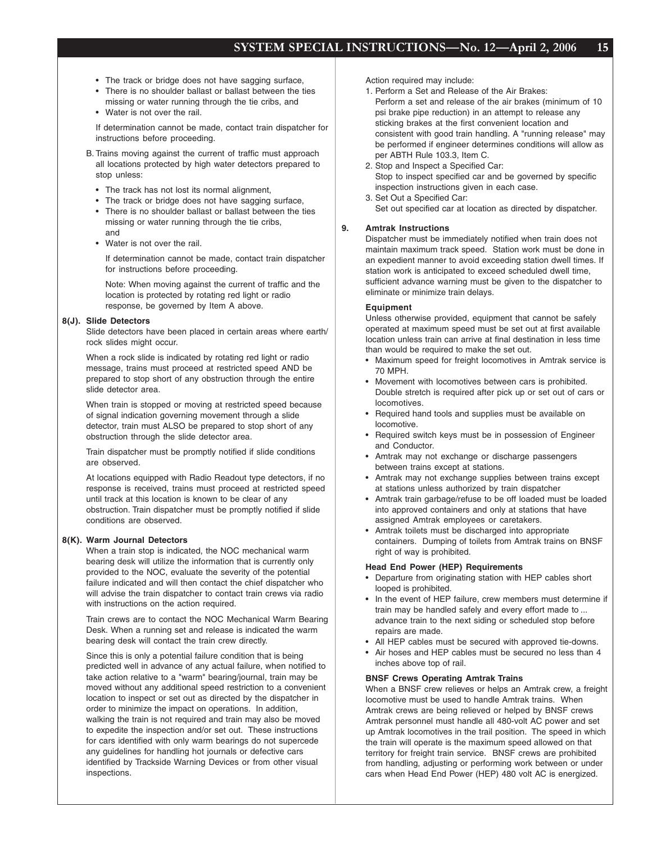- The track or bridge does not have sagging surface,
- There is no shoulder ballast or ballast between the ties missing or water running through the tie cribs, and
- Water is not over the rail.

If determination cannot be made, contact train dispatcher for instructions before proceeding.

- B. Trains moving against the current of traffic must approach all locations protected by high water detectors prepared to stop unless:
	- The track has not lost its normal alignment,
	- The track or bridge does not have sagging surface,
	- There is no shoulder ballast or ballast between the ties missing or water running through the tie cribs, and
	- Water is not over the rail.

If determination cannot be made, contact train dispatcher for instructions before proceeding.

Note: When moving against the current of traffic and the location is protected by rotating red light or radio response, be governed by Item A above.

### **8(J). Slide Detectors**

Slide detectors have been placed in certain areas where earth/ rock slides might occur.

When a rock slide is indicated by rotating red light or radio message, trains must proceed at restricted speed AND be prepared to stop short of any obstruction through the entire slide detector area.

When train is stopped or moving at restricted speed because of signal indication governing movement through a slide detector, train must ALSO be prepared to stop short of any obstruction through the slide detector area.

Train dispatcher must be promptly notified if slide conditions are observed.

At locations equipped with Radio Readout type detectors, if no response is received, trains must proceed at restricted speed until track at this location is known to be clear of any obstruction. Train dispatcher must be promptly notified if slide conditions are observed.

#### **8(K). Warm Journal Detectors**

When a train stop is indicated, the NOC mechanical warm bearing desk will utilize the information that is currently only provided to the NOC, evaluate the severity of the potential failure indicated and will then contact the chief dispatcher who will advise the train dispatcher to contact train crews via radio with instructions on the action required.

Train crews are to contact the NOC Mechanical Warm Bearing Desk. When a running set and release is indicated the warm bearing desk will contact the train crew directly.

Since this is only a potential failure condition that is being predicted well in advance of any actual failure, when notified to take action relative to a "warm" bearing/journal, train may be moved without any additional speed restriction to a convenient location to inspect or set out as directed by the dispatcher in order to minimize the impact on operations. In addition, walking the train is not required and train may also be moved to expedite the inspection and/or set out. These instructions for cars identified with only warm bearings do not supercede any guidelines for handling hot journals or defective cars identified by Trackside Warning Devices or from other visual inspections.

Action required may include:

- 1. Perform a Set and Release of the Air Brakes: Perform a set and release of the air brakes (minimum of 10 psi brake pipe reduction) in an attempt to release any sticking brakes at the first convenient location and consistent with good train handling. A "running release" may be performed if engineer determines conditions will allow as per ABTH Rule 103.3, Item C.
- 2. Stop and Inspect a Specified Car: Stop to inspect specified car and be governed by specific inspection instructions given in each case.
- 3. Set Out a Specified Car: Set out specified car at location as directed by dispatcher.

#### **9. Amtrak Instructions**

Dispatcher must be immediately notified when train does not maintain maximum track speed. Station work must be done in an expedient manner to avoid exceeding station dwell times. If station work is anticipated to exceed scheduled dwell time, sufficient advance warning must be given to the dispatcher to eliminate or minimize train delays.

#### **Equipment**

Unless otherwise provided, equipment that cannot be safely operated at maximum speed must be set out at first available location unless train can arrive at final destination in less time than would be required to make the set out.

- Maximum speed for freight locomotives in Amtrak service is 70 MPH.
- Movement with locomotives between cars is prohibited. Double stretch is required after pick up or set out of cars or locomotives.
- Required hand tools and supplies must be available on locomotive.
- Required switch keys must be in possession of Engineer and Conductor.
- Amtrak may not exchange or discharge passengers between trains except at stations.
- Amtrak may not exchange supplies between trains except at stations unless authorized by train dispatcher
- Amtrak train garbage/refuse to be off loaded must be loaded into approved containers and only at stations that have assigned Amtrak employees or caretakers.
- Amtrak toilets must be discharged into appropriate containers. Dumping of toilets from Amtrak trains on BNSF right of way is prohibited.

#### **Head End Power (HEP) Requirements**

- Departure from originating station with HEP cables short looped is prohibited.
- In the event of HEP failure, crew members must determine if train may be handled safely and every effort made to ... advance train to the next siding or scheduled stop before repairs are made.
- All HEP cables must be secured with approved tie-downs.
- Air hoses and HEP cables must be secured no less than 4 inches above top of rail.

#### **BNSF Crews Operating Amtrak Trains**

When a BNSF crew relieves or helps an Amtrak crew, a freight locomotive must be used to handle Amtrak trains. When Amtrak crews are being relieved or helped by BNSF crews Amtrak personnel must handle all 480-volt AC power and set up Amtrak locomotives in the trail position. The speed in which the train will operate is the maximum speed allowed on that territory for freight train service. BNSF crews are prohibited from handling, adjusting or performing work between or under cars when Head End Power (HEP) 480 volt AC is energized.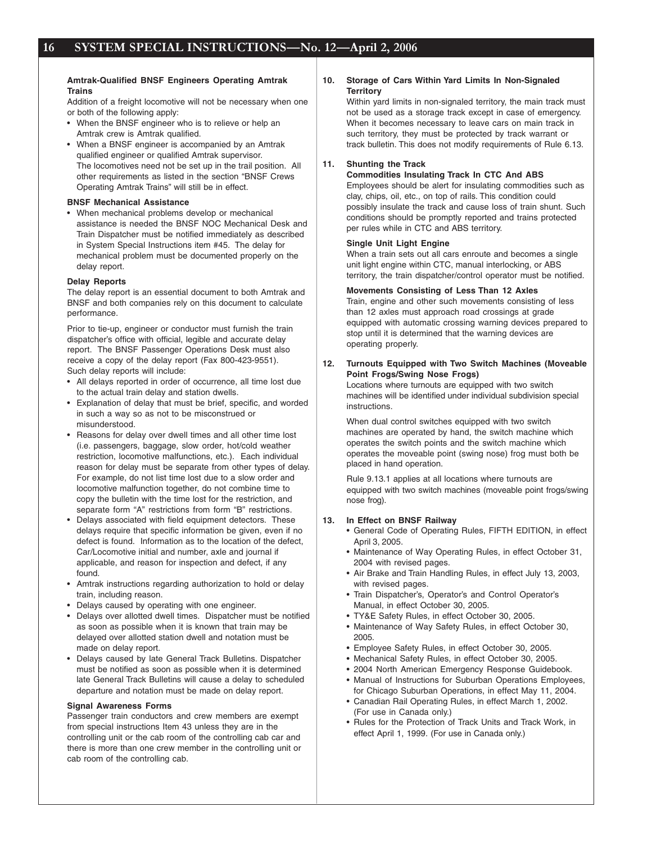#### **Amtrak-Qualified BNSF Engineers Operating Amtrak Trains**

Addition of a freight locomotive will not be necessary when one or both of the following apply:

- When the BNSF engineer who is to relieve or help an Amtrak crew is Amtrak qualified.
- When a BNSF engineer is accompanied by an Amtrak qualified engineer or qualified Amtrak supervisor. The locomotives need not be set up in the trail position. All other requirements as listed in the section "BNSF Crews Operating Amtrak Trains" will still be in effect.

#### **BNSF Mechanical Assistance**

• When mechanical problems develop or mechanical assistance is needed the BNSF NOC Mechanical Desk and Train Dispatcher must be notified immediately as described in System Special Instructions item #45. The delay for mechanical problem must be documented properly on the delay report.

#### **Delay Reports**

The delay report is an essential document to both Amtrak and BNSF and both companies rely on this document to calculate performance.

Prior to tie-up, engineer or conductor must furnish the train dispatcher's office with official, legible and accurate delay report. The BNSF Passenger Operations Desk must also receive a copy of the delay report (Fax 800-423-9551). Such delay reports will include:

- All delays reported in order of occurrence, all time lost due to the actual train delay and station dwells.
- Explanation of delay that must be brief, specific, and worded in such a way so as not to be misconstrued or misunderstood.
- Reasons for delay over dwell times and all other time lost (i.e. passengers, baggage, slow order, hot/cold weather restriction, locomotive malfunctions, etc.). Each individual reason for delay must be separate from other types of delay. For example, do not list time lost due to a slow order and locomotive malfunction together, do not combine time to copy the bulletin with the time lost for the restriction, and separate form "A" restrictions from form "B" restrictions.
- Delays associated with field equipment detectors. These delays require that specific information be given, even if no defect is found. Information as to the location of the defect, Car/Locomotive initial and number, axle and journal if applicable, and reason for inspection and defect, if any found.
- Amtrak instructions regarding authorization to hold or delay train, including reason.
- Delays caused by operating with one engineer.
- Delays over allotted dwell times. Dispatcher must be notified as soon as possible when it is known that train may be delayed over allotted station dwell and notation must be made on delay report.
- Delays caused by late General Track Bulletins. Dispatcher must be notified as soon as possible when it is determined late General Track Bulletins will cause a delay to scheduled departure and notation must be made on delay report.

#### **Signal Awareness Forms**

Passenger train conductors and crew members are exempt from special instructions Item 43 unless they are in the controlling unit or the cab room of the controlling cab car and there is more than one crew member in the controlling unit or cab room of the controlling cab.

#### **10. Storage of Cars Within Yard Limits In Non-Signaled Territory**

Within yard limits in non-signaled territory, the main track must not be used as a storage track except in case of emergency. When it becomes necessary to leave cars on main track in such territory, they must be protected by track warrant or track bulletin. This does not modify requirements of Rule 6.13.

## **11. Shunting the Track**

**Commodities Insulating Track In CTC And ABS** Employees should be alert for insulating commodities such as clay, chips, oil, etc., on top of rails. This condition could possibly insulate the track and cause loss of train shunt. Such conditions should be promptly reported and trains protected per rules while in CTC and ABS territory.

#### **Single Unit Light Engine**

When a train sets out all cars enroute and becomes a single unit light engine within CTC, manual interlocking, or ABS territory, the train dispatcher/control operator must be notified.

#### **Movements Consisting of Less Than 12 Axles**

Train, engine and other such movements consisting of less than 12 axles must approach road crossings at grade equipped with automatic crossing warning devices prepared to stop until it is determined that the warning devices are operating properly.

#### **12. Turnouts Equipped with Two Switch Machines (Moveable Point Frogs/Swing Nose Frogs)**

Locations where turnouts are equipped with two switch machines will be identified under individual subdivision special instructions.

When dual control switches equipped with two switch machines are operated by hand, the switch machine which operates the switch points and the switch machine which operates the moveable point (swing nose) frog must both be placed in hand operation.

Rule 9.13.1 applies at all locations where turnouts are equipped with two switch machines (moveable point frogs/swing nose frog).

#### **13. In Effect on BNSF Railway**

- General Code of Operating Rules, FIFTH EDITION, in effect April 3, 2005.
- Maintenance of Way Operating Rules, in effect October 31, 2004 with revised pages.
- Air Brake and Train Handling Rules, in effect July 13, 2003, with revised pages.
- Train Dispatcher's, Operator's and Control Operator's Manual, in effect October 30, 2005.
- TY&E Safety Rules, in effect October 30, 2005.
- Maintenance of Way Safety Rules, in effect October 30, 2005.
- Employee Safety Rules, in effect October 30, 2005.
- Mechanical Safety Rules, in effect October 30, 2005.
- 2004 North American Emergency Response Guidebook.
- Manual of Instructions for Suburban Operations Employees, for Chicago Suburban Operations, in effect May 11, 2004.
- Canadian Rail Operating Rules, in effect March 1, 2002. (For use in Canada only.)
- Rules for the Protection of Track Units and Track Work, in effect April 1, 1999. (For use in Canada only.)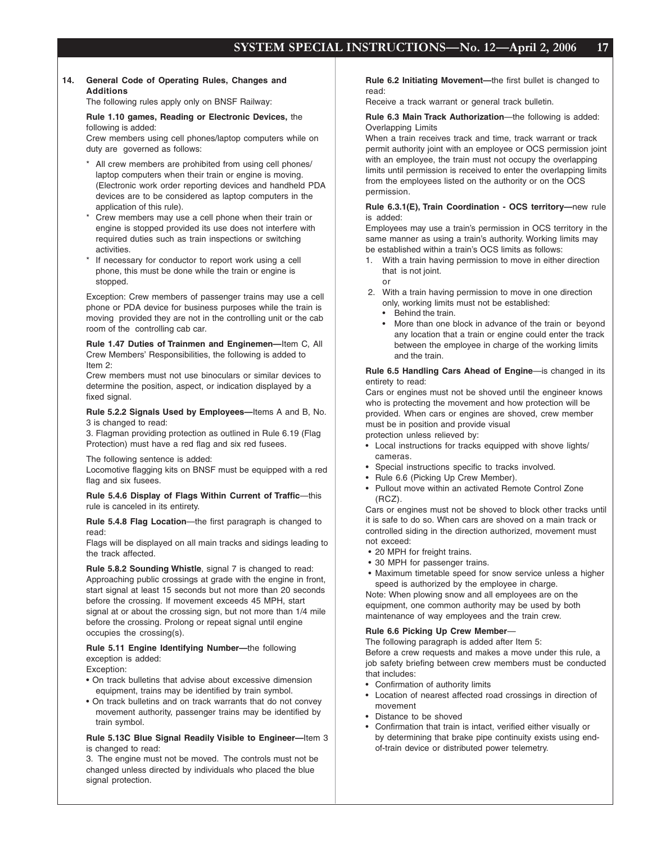#### **14. General Code of Operating Rules, Changes and Additions**

The following rules apply only on BNSF Railway:

## **Rule 1.10 games, Reading or Electronic Devices,** the following is added:

Crew members using cell phones/laptop computers while on duty are governed as follows:

- \* All crew members are prohibited from using cell phones/ laptop computers when their train or engine is moving. (Electronic work order reporting devices and handheld PDA devices are to be considered as laptop computers in the application of this rule).
- Crew members may use a cell phone when their train or engine is stopped provided its use does not interfere with required duties such as train inspections or switching activities.
- If necessary for conductor to report work using a cell phone, this must be done while the train or engine is stopped.

Exception: Crew members of passenger trains may use a cell phone or PDA device for business purposes while the train is moving provided they are not in the controlling unit or the cab room of the controlling cab car.

**Rule 1.47 Duties of Trainmen and Enginemen—**Item C, All Crew Members' Responsibilities, the following is added to Item 2:

Crew members must not use binoculars or similar devices to determine the position, aspect, or indication displayed by a fixed signal.

**Rule 5.2.2 Signals Used by Employees—**Items A and B, No. 3 is changed to read:

3. Flagman providing protection as outlined in Rule 6.19 (Flag Protection) must have a red flag and six red fusees.

The following sentence is added:

Locomotive flagging kits on BNSF must be equipped with a red flag and six fusees.

**Rule 5.4.6 Display of Flags Within Current of Traffic-this** rule is canceled in its entirety.

**Rule 5.4.8 Flag Location**—the first paragraph is changed to read:

Flags will be displayed on all main tracks and sidings leading to the track affected.

**Rule 5.8.2 Sounding Whistle**, signal 7 is changed to read: Approaching public crossings at grade with the engine in front, start signal at least 15 seconds but not more than 20 seconds before the crossing. If movement exceeds 45 MPH, start signal at or about the crossing sign, but not more than 1/4 mile before the crossing. Prolong or repeat signal until engine occupies the crossing(s).

**Rule 5.11 Engine Identifying Number—**the following exception is added:

Exception:

- On track bulletins that advise about excessive dimension equipment, trains may be identified by train symbol.
- On track bulletins and on track warrants that do not convey movement authority, passenger trains may be identified by train symbol.

#### **Rule 5.13C Blue Signal Readily Visible to Engineer—**Item 3 is changed to read:

3. The engine must not be moved. The controls must not be changed unless directed by individuals who placed the blue signal protection.

**Rule 6.2 Initiating Movement—**the first bullet is changed to read:

Receive a track warrant or general track bulletin.

**Rule 6.3 Main Track Authorization**—the following is added: Overlapping Limits

When a train receives track and time, track warrant or track permit authority joint with an employee or OCS permission joint with an employee, the train must not occupy the overlapping limits until permission is received to enter the overlapping limits from the employees listed on the authority or on the OCS permission.

#### **Rule 6.3.1(E), Train Coordination - OCS territory—**new rule is added:

Employees may use a train's permission in OCS territory in the same manner as using a train's authority. Working limits may be established within a train's OCS limits as follows:

- 1. With a train having permission to move in either direction that is not joint.
	- or
- 2. With a train having permission to move in one direction only, working limits must not be established:
	- Behind the train.
	- More than one block in advance of the train or beyond any location that a train or engine could enter the track between the employee in charge of the working limits and the train.

**Rule 6.5 Handling Cars Ahead of Engine**—is changed in its entirety to read:

Cars or engines must not be shoved until the engineer knows who is protecting the movement and how protection will be provided. When cars or engines are shoved, crew member must be in position and provide visual protection unless relieved by:

- Local instructions for tracks equipped with shove lights/ cameras.
- Special instructions specific to tracks involved.
- Rule 6.6 (Picking Up Crew Member).
- Pullout move within an activated Remote Control Zone (RCZ).

Cars or engines must not be shoved to block other tracks until it is safe to do so. When cars are shoved on a main track or controlled siding in the direction authorized, movement must not exceed:

- 20 MPH for freight trains.
- 30 MPH for passenger trains.
- Maximum timetable speed for snow service unless a higher speed is authorized by the employee in charge.

Note: When plowing snow and all employees are on the equipment, one common authority may be used by both maintenance of way employees and the train crew.

#### **Rule 6.6 Picking Up Crew Member**—

The following paragraph is added after Item 5: Before a crew requests and makes a move under this rule, a job safety briefing between crew members must be conducted that includes:

- Confirmation of authority limits
- Location of nearest affected road crossings in direction of movement
- Distance to be shoved
- Confirmation that train is intact, verified either visually or by determining that brake pipe continuity exists using endof-train device or distributed power telemetry.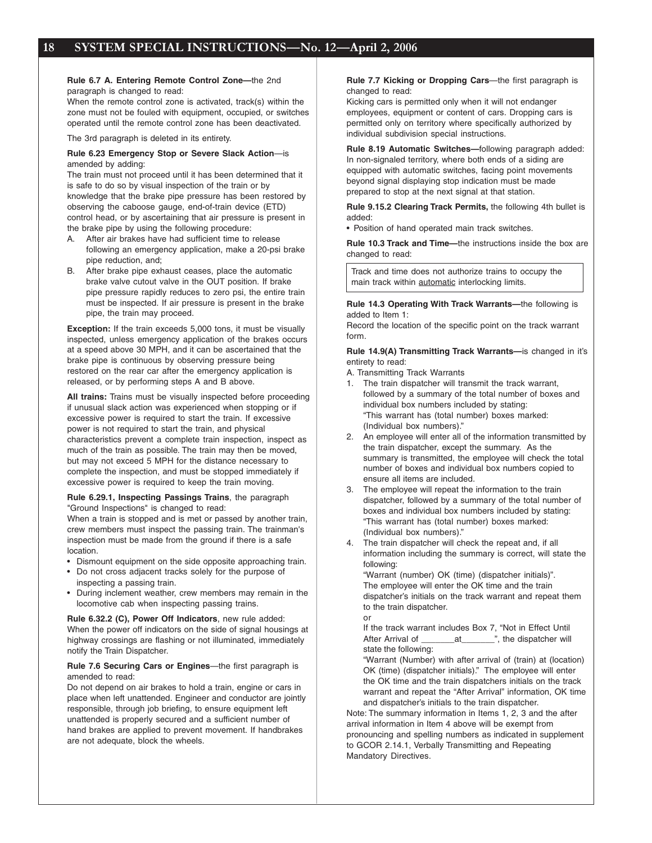**Rule 6.7 A. Entering Remote Control Zone—**the 2nd paragraph is changed to read:

When the remote control zone is activated, track(s) within the zone must not be fouled with equipment, occupied, or switches operated until the remote control zone has been deactivated.

The 3rd paragraph is deleted in its entirety.

#### **Rule 6.23 Emergency Stop or Severe Slack Action**—is amended by adding:

The train must not proceed until it has been determined that it is safe to do so by visual inspection of the train or by knowledge that the brake pipe pressure has been restored by observing the caboose gauge, end-of-train device (ETD) control head, or by ascertaining that air pressure is present in the brake pipe by using the following procedure:

- A. After air brakes have had sufficient time to release following an emergency application, make a 20-psi brake pipe reduction, and;
- B. After brake pipe exhaust ceases, place the automatic brake valve cutout valve in the OUT position. If brake pipe pressure rapidly reduces to zero psi, the entire train must be inspected. If air pressure is present in the brake pipe, the train may proceed.

**Exception:** If the train exceeds 5,000 tons, it must be visually inspected, unless emergency application of the brakes occurs at a speed above 30 MPH, and it can be ascertained that the brake pipe is continuous by observing pressure being restored on the rear car after the emergency application is released, or by performing steps A and B above.

**All trains:** Trains must be visually inspected before proceeding if unusual slack action was experienced when stopping or if excessive power is required to start the train. If excessive power is not required to start the train, and physical characteristics prevent a complete train inspection, inspect as much of the train as possible. The train may then be moved, but may not exceed 5 MPH for the distance necessary to complete the inspection, and must be stopped immediately if excessive power is required to keep the train moving.

**Rule 6.29.1, Inspecting Passings Trains**, the paragraph "Ground Inspections" is changed to read:

When a train is stopped and is met or passed by another train, crew members must inspect the passing train. The trainman's inspection must be made from the ground if there is a safe location.

- Dismount equipment on the side opposite approaching train.
- Do not cross adjacent tracks solely for the purpose of
- inspecting a passing train. • During inclement weather, crew members may remain in the locomotive cab when inspecting passing trains.

**Rule 6.32.2 (C), Power Off Indicators**, new rule added: When the power off indicators on the side of signal housings at highway crossings are flashing or not illuminated, immediately notify the Train Dispatcher.

#### **Rule 7.6 Securing Cars or Engines**—the first paragraph is amended to read:

Do not depend on air brakes to hold a train, engine or cars in place when left unattended. Engineer and conductor are jointly responsible, through job briefing, to ensure equipment left unattended is properly secured and a sufficient number of hand brakes are applied to prevent movement. If handbrakes are not adequate, block the wheels.

**Rule 7.7 Kicking or Dropping Cars**—the first paragraph is changed to read:

Kicking cars is permitted only when it will not endanger employees, equipment or content of cars. Dropping cars is permitted only on territory where specifically authorized by individual subdivision special instructions.

**Rule 8.19 Automatic Switches—**following paragraph added: In non-signaled territory, where both ends of a siding are equipped with automatic switches, facing point movements beyond signal displaying stop indication must be made prepared to stop at the next signal at that station.

**Rule 9.15.2 Clearing Track Permits,** the following 4th bullet is added:

• Position of hand operated main track switches.

**Rule 10.3 Track and Time—**the instructions inside the box are changed to read:

Track and time does not authorize trains to occupy the main track within automatic interlocking limits.

#### **Rule 14.3 Operating With Track Warrants—**the following is added to Item 1:

Record the location of the specific point on the track warrant form.

#### **Rule 14.9(A) Transmitting Track Warrants—**is changed in it's entirety to read:

A. Transmitting Track Warrants

- 1. The train dispatcher will transmit the track warrant, followed by a summary of the total number of boxes and individual box numbers included by stating: "This warrant has (total number) boxes marked: (Individual box numbers)."
- 2. An employee will enter all of the information transmitted by the train dispatcher, except the summary. As the summary is transmitted, the employee will check the total number of boxes and individual box numbers copied to ensure all items are included.
- 3. The employee will repeat the information to the train dispatcher, followed by a summary of the total number of boxes and individual box numbers included by stating: "This warrant has (total number) boxes marked: (Individual box numbers)."
- 4. The train dispatcher will check the repeat and, if all information including the summary is correct, will state the following:

"Warrant (number) OK (time) (dispatcher initials)". The employee will enter the OK time and the train dispatcher's initials on the track warrant and repeat them to the train dispatcher.

or If the track warrant includes Box 7, "Not in Effect Until After Arrival of \_\_\_\_\_\_\_\_\_\_at\_\_\_\_\_\_\_\_", the dispatcher will state the following:

"Warrant (Number) with after arrival of (train) at (location) OK (time) (dispatcher initials)." The employee will enter the OK time and the train dispatchers initials on the track warrant and repeat the "After Arrival" information, OK time and dispatcher's initials to the train dispatcher.

Note: The summary information in Items 1, 2, 3 and the after arrival information in Item 4 above will be exempt from pronouncing and spelling numbers as indicated in supplement to GCOR 2.14.1, Verbally Transmitting and Repeating Mandatory Directives.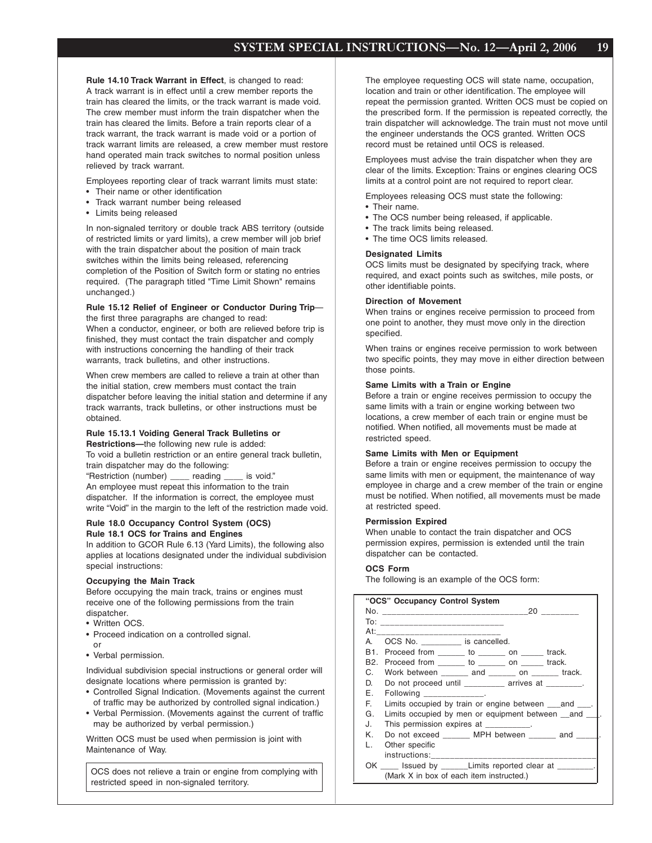**Rule 14.10 Track Warrant in Effect**, is changed to read: A track warrant is in effect until a crew member reports the train has cleared the limits, or the track warrant is made void. The crew member must inform the train dispatcher when the train has cleared the limits. Before a train reports clear of a track warrant, the track warrant is made void or a portion of track warrant limits are released, a crew member must restore hand operated main track switches to normal position unless relieved by track warrant.

Employees reporting clear of track warrant limits must state:

- Their name or other identification
- Track warrant number being released
- Limits being released

In non-signaled territory or double track ABS territory (outside of restricted limits or yard limits), a crew member will job brief with the train dispatcher about the position of main track switches within the limits being released, referencing completion of the Position of Switch form or stating no entries required. (The paragraph titled "Time Limit Shown" remains unchanged.)

#### **Rule 15.12 Relief of Engineer or Conductor During Trip** the first three paragraphs are changed to read:

When a conductor, engineer, or both are relieved before trip is finished, they must contact the train dispatcher and comply with instructions concerning the handling of their track warrants, track bulletins, and other instructions.

When crew members are called to relieve a train at other than the initial station, crew members must contact the train dispatcher before leaving the initial station and determine if any track warrants, track bulletins, or other instructions must be obtained.

# **Rule 15.13.1 Voiding General Track Bulletins or**

**Restrictions—**the following new rule is added: To void a bulletin restriction or an entire general track bulletin, train dispatcher may do the following:

"Restriction (number) \_\_\_\_ reading \_\_\_\_ is void." An employee must repeat this information to the train dispatcher. If the information is correct, the employee must write "Void" in the margin to the left of the restriction made void.

#### **Rule 18.0 Occupancy Control System (OCS) Rule 18.1 OCS for Trains and Engines**

In addition to GCOR Rule 6.13 (Yard Limits), the following also applies at locations designated under the individual subdivision special instructions:

#### **Occupying the Main Track**

Before occupying the main track, trains or engines must receive one of the following permissions from the train dispatcher.

- Written OCS.
- Proceed indication on a controlled signal.
- or
- Verbal permission.

Individual subdivision special instructions or general order will designate locations where permission is granted by:

- Controlled Signal Indication. (Movements against the current of traffic may be authorized by controlled signal indication.)
- Verbal Permission. (Movements against the current of traffic may be authorized by verbal permission.)

Written OCS must be used when permission is joint with Maintenance of Way.

OCS does not relieve a train or engine from complying with restricted speed in non-signaled territory.

The employee requesting OCS will state name, occupation, location and train or other identification. The employee will repeat the permission granted. Written OCS must be copied on the prescribed form. If the permission is repeated correctly, the train dispatcher will acknowledge. The train must not move until the engineer understands the OCS granted. Written OCS record must be retained until OCS is released.

Employees must advise the train dispatcher when they are clear of the limits. Exception: Trains or engines clearing OCS limits at a control point are not required to report clear.

Employees releasing OCS must state the following:

- Their name.
- The OCS number being released, if applicable.
- The track limits being released.
- The time OCS limits released.

#### **Designated Limits**

OCS limits must be designated by specifying track, where required, and exact points such as switches, mile posts, or other identifiable points.

#### **Direction of Movement**

When trains or engines receive permission to proceed from one point to another, they must move only in the direction specified.

When trains or engines receive permission to work between two specific points, they may move in either direction between those points.

### **Same Limits with a Train or Engine**

Before a train or engine receives permission to occupy the same limits with a train or engine working between two locations, a crew member of each train or engine must be notified. When notified, all movements must be made at restricted speed.

#### **Same Limits with Men or Equipment**

Before a train or engine receives permission to occupy the same limits with men or equipment, the maintenance of way employee in charge and a crew member of the train or engine must be notified. When notified, all movements must be made at restricted speed.

#### **Permission Expired**

When unable to contact the train dispatcher and OCS permission expires, permission is extended until the train dispatcher can be contacted.

#### **OCS Form**

The following is an example of the OCS form:

|     | "OCS" Occupancy Control System                                |
|-----|---------------------------------------------------------------|
|     |                                                               |
|     |                                                               |
| At: | ________________________                                      |
| А   | OCS No. ___________ is cancelled.                             |
|     | B1. Proceed from _______ to ________ on ______ track.         |
|     | B2. Proceed from _______ to ________ on ______ track.         |
|     | C. Work between and on track.                                 |
| D.  | Do not proceed until ___________ arrives at ________.         |
| F.  | Following ______________.                                     |
| E.  | Limits occupied by train or engine between _____ and _____.   |
| G.  | Limits occupied by men or equipment between _and _            |
| J.  | This permission expires at _________.                         |
| K.  | Do not exceed _______ MPH between ______ and ____             |
| Ι.  | Other specific                                                |
|     | instructions:___________________                              |
|     | OK _____ Issued by _______ Limits reported clear at ________. |
|     | (Mark X in box of each item instructed.)                      |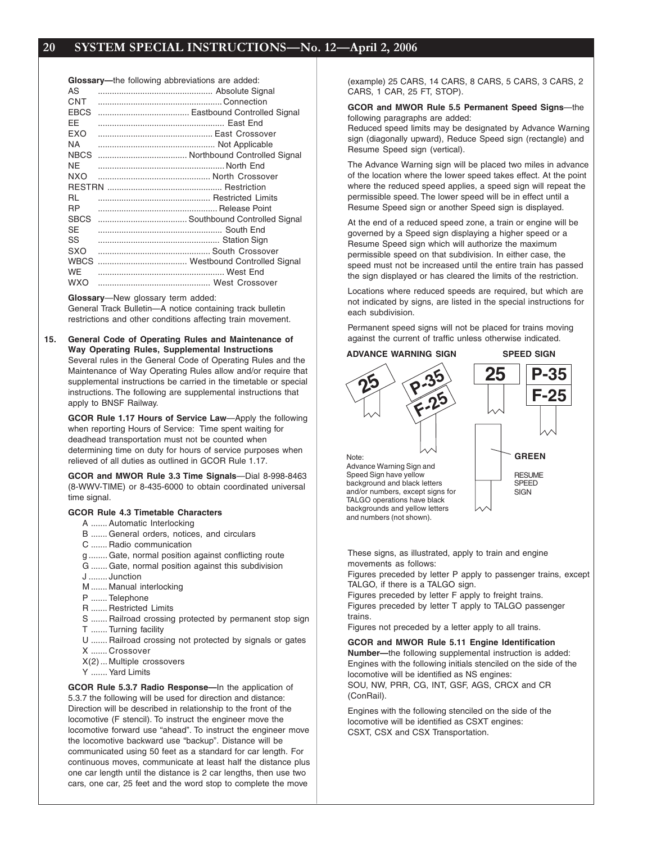|             | <b>Glossary---</b> the following abbreviations are added: |
|-------------|-----------------------------------------------------------|
| AS          |                                                           |
| CNT         |                                                           |
| <b>EBCS</b> |                                                           |
| FF          |                                                           |
| <b>FXO</b>  |                                                           |
| <b>NA</b>   |                                                           |
| <b>NBCS</b> |                                                           |
| NF.         |                                                           |
| NXO         |                                                           |
|             |                                                           |
| RL          |                                                           |
| <b>RP</b>   |                                                           |
| <b>SBCS</b> |                                                           |
| SE          |                                                           |
| SS          |                                                           |
| SXO         |                                                           |
| <b>WBCS</b> |                                                           |
| <b>WF</b>   |                                                           |
| <b>WXO</b>  |                                                           |
|             |                                                           |

#### **Glossary**—New glossary term added:

General Track Bulletin—A notice containing track bulletin restrictions and other conditions affecting train movement.

**15. General Code of Operating Rules and Maintenance of Way Operating Rules, Supplemental Instructions** Several rules in the General Code of Operating Rules and the Maintenance of Way Operating Rules allow and/or require that supplemental instructions be carried in the timetable or special instructions. The following are supplemental instructions that apply to BNSF Railway.

**GCOR Rule 1.17 Hours of Service Law**—Apply the following when reporting Hours of Service: Time spent waiting for deadhead transportation must not be counted when determining time on duty for hours of service purposes when relieved of all duties as outlined in GCOR Rule 1.17.

**GCOR and MWOR Rule 3.3 Time Signals**—Dial 8-998-8463 (8-WWV-TIME) or 8-435-6000 to obtain coordinated universal time signal.

#### **GCOR Rule 4.3 Timetable Characters**

- A ....... Automatic Interlocking
- B ....... General orders, notices, and circulars
- C ....... Radio communication
- g ........ Gate, normal position against conflicting route
- G ....... Gate, normal position against this subdivision
- J ........ Junction
- M ....... Manual interlocking
- P ....... Telephone
- R ....... Restricted Limits
- S ....... Railroad crossing protected by permanent stop sign
- T ....... Turning facility
- U ....... Railroad crossing not protected by signals or gates X ....... Crossover
- X(2) ... Multiple crossovers
- Y ....... Yard Limits

**GCOR Rule 5.3.7 Radio Response—**In the application of 5.3.7 the following will be used for direction and distance: Direction will be described in relationship to the front of the locomotive (F stencil). To instruct the engineer move the locomotive forward use "ahead". To instruct the engineer move the locomotive backward use "backup". Distance will be communicated using 50 feet as a standard for car length. For continuous moves, communicate at least half the distance plus one car length until the distance is 2 car lengths, then use two cars, one car, 25 feet and the word stop to complete the move

(example) 25 CARS, 14 CARS, 8 CARS, 5 CARS, 3 CARS, 2 CARS, 1 CAR, 25 FT, STOP).

#### **GCOR and MWOR Rule 5.5 Permanent Speed Signs**—the following paragraphs are added:

Reduced speed limits may be designated by Advance Warning sign (diagonally upward), Reduce Speed sign (rectangle) and Resume Speed sign (vertical).

The Advance Warning sign will be placed two miles in advance of the location where the lower speed takes effect. At the point where the reduced speed applies, a speed sign will repeat the permissible speed. The lower speed will be in effect until a Resume Speed sign or another Speed sign is displayed.

At the end of a reduced speed zone, a train or engine will be governed by a Speed sign displaying a higher speed or a Resume Speed sign which will authorize the maximum permissible speed on that subdivision. In either case, the speed must not be increased until the entire train has passed the sign displayed or has cleared the limits of the restriction.

Locations where reduced speeds are required, but which are not indicated by signs, are listed in the special instructions for each subdivision.

Permanent speed signs will not be placed for trains moving against the current of traffic unless otherwise indicated.

### **ADVANCE WARNING SIGN SPEED SIGN**

**<sup>25</sup> 25 P-35 F-25 P-35 F-25 GREEN** RESUME **SPEED SIGN** Note: Advance Warning Sign and Speed Sign have yellow background and black letters and/or numbers, except signs for TALGO operations have black backgrounds and yellow letters and numbers (not shown).

These signs, as illustrated, apply to train and engine movements as follows:

Figures preceded by letter P apply to passenger trains, except TALGO, if there is a TALGO sign.

Figures preceded by letter F apply to freight trains. Figures preceded by letter T apply to TALGO passenger trains.

Figures not preceded by a letter apply to all trains.

#### **GCOR and MWOR Rule 5.11 Engine Identification**

**Number—**the following supplemental instruction is added: Engines with the following initials stenciled on the side of the locomotive will be identified as NS engines: SOU, NW, PRR, CG, INT, GSF, AGS, CRCX and CR (ConRail).

Engines with the following stenciled on the side of the locomotive will be identified as CSXT engines: CSXT, CSX and CSX Transportation.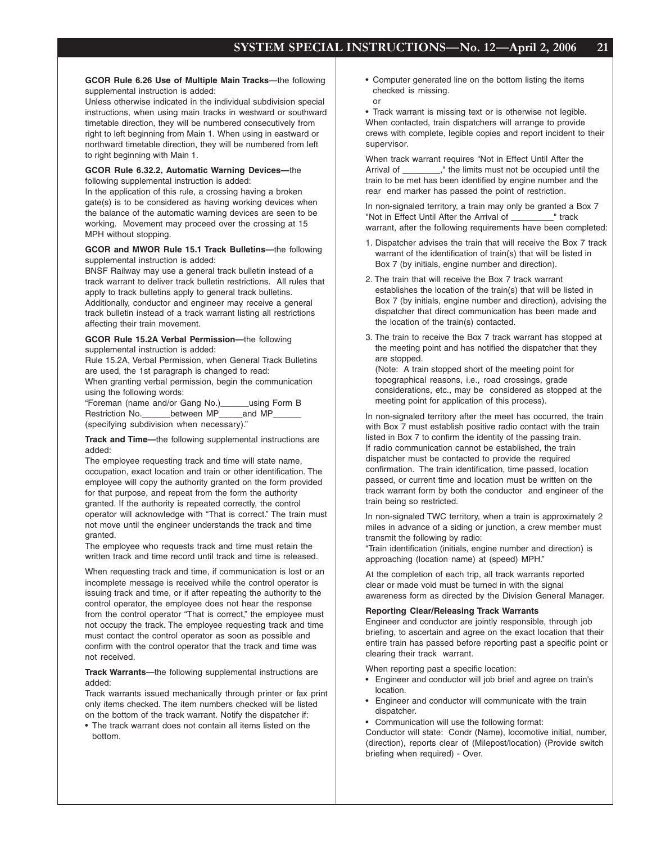or

#### **GCOR Rule 6.26 Use of Multiple Main Tracks**—the following supplemental instruction is added:

Unless otherwise indicated in the individual subdivision special instructions, when using main tracks in westward or southward timetable direction, they will be numbered consecutively from right to left beginning from Main 1. When using in eastward or northward timetable direction, they will be numbered from left to right beginning with Main 1.

#### **GCOR Rule 6.32.2, Automatic Warning Devices—**the following supplemental instruction is added:

In the application of this rule, a crossing having a broken gate(s) is to be considered as having working devices when the balance of the automatic warning devices are seen to be working. Movement may proceed over the crossing at 15 MPH without stopping.

#### **GCOR and MWOR Rule 15.1 Track Bulletins—**the following supplemental instruction is added:

BNSF Railway may use a general track bulletin instead of a track warrant to deliver track bulletin restrictions. All rules that apply to track bulletins apply to general track bulletins. Additionally, conductor and engineer may receive a general track bulletin instead of a track warrant listing all restrictions affecting their train movement.

#### **GCOR Rule 15.2A Verbal Permission—**the following supplemental instruction is added:

Rule 15.2A, Verbal Permission, when General Track Bulletins are used, the 1st paragraph is changed to read: When granting verbal permission, begin the communication using the following words:

"Foreman (name and/or Gang No.)\_\_\_\_\_\_using Form B Restriction No. between MP and MP (specifying subdivision when necessary)."

#### **Track and Time—**the following supplemental instructions are added:

The employee requesting track and time will state name, occupation, exact location and train or other identification. The employee will copy the authority granted on the form provided for that purpose, and repeat from the form the authority granted. If the authority is repeated correctly, the control operator will acknowledge with "That is correct." The train must not move until the engineer understands the track and time granted.

The employee who requests track and time must retain the written track and time record until track and time is released.

When requesting track and time, if communication is lost or an incomplete message is received while the control operator is issuing track and time, or if after repeating the authority to the control operator, the employee does not hear the response from the control operator "That is correct," the employee must not occupy the track. The employee requesting track and time must contact the control operator as soon as possible and confirm with the control operator that the track and time was not received.

#### **Track Warrants**—the following supplemental instructions are added:

Track warrants issued mechanically through printer or fax print only items checked. The item numbers checked will be listed on the bottom of the track warrant. Notify the dispatcher if:

• The track warrant does not contain all items listed on the bottom.

• Computer generated line on the bottom listing the items checked is missing.

• Track warrant is missing text or is otherwise not legible. When contacted, train dispatchers will arrange to provide crews with complete, legible copies and report incident to their supervisor.

When track warrant requires "Not in Effect Until After the Arrival of \_\_\_\_\_\_\_\_," the limits must not be occupied until the train to be met has been identified by engine number and the rear end marker has passed the point of restriction.

In non-signaled territory, a train may only be granted a Box 7 "Not in Effect Until After the Arrival of \_\_\_\_\_\_\_\_\_" track warrant, after the following requirements have been completed:

- 1. Dispatcher advises the train that will receive the Box 7 track warrant of the identification of train(s) that will be listed in Box 7 (by initials, engine number and direction).
- 2. The train that will receive the Box 7 track warrant establishes the location of the train(s) that will be listed in Box 7 (by initials, engine number and direction), advising the dispatcher that direct communication has been made and the location of the train(s) contacted.
- 3. The train to receive the Box 7 track warrant has stopped at the meeting point and has notified the dispatcher that they are stopped.

(Note: A train stopped short of the meeting point for topographical reasons, i.e., road crossings, grade considerations, etc., may be considered as stopped at the meeting point for application of this process).

In non-signaled territory after the meet has occurred, the train with Box 7 must establish positive radio contact with the train listed in Box 7 to confirm the identity of the passing train. If radio communication cannot be established, the train dispatcher must be contacted to provide the required confirmation. The train identification, time passed, location passed, or current time and location must be written on the track warrant form by both the conductor and engineer of the train being so restricted.

In non-signaled TWC territory, when a train is approximately 2 miles in advance of a siding or junction, a crew member must transmit the following by radio:

"Train identification (initials, engine number and direction) is approaching (location name) at (speed) MPH."

At the completion of each trip, all track warrants reported clear or made void must be turned in with the signal awareness form as directed by the Division General Manager.

#### **Reporting Clear/Releasing Track Warrants**

Engineer and conductor are jointly responsible, through job briefing, to ascertain and agree on the exact location that their entire train has passed before reporting past a specific point or clearing their track warrant.

When reporting past a specific location:

- Engineer and conductor will job brief and agree on train's location.
- Engineer and conductor will communicate with the train dispatcher.
- Communication will use the following format:

Conductor will state: Condr (Name), locomotive initial, number, (direction), reports clear of (Milepost/location) (Provide switch briefing when required) - Over.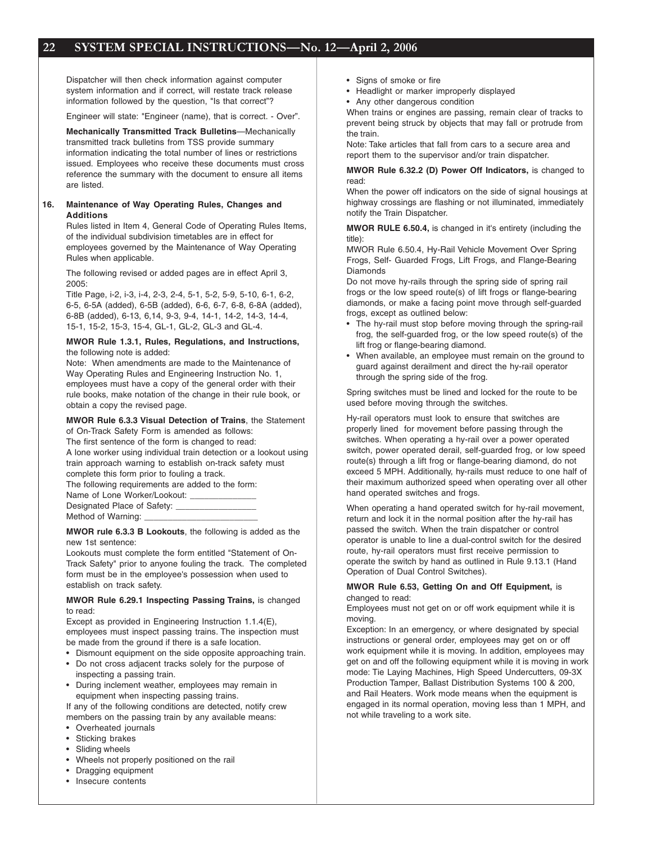Dispatcher will then check information against computer system information and if correct, will restate track release information followed by the question, "Is that correct"?

Engineer will state: "Engineer (name), that is correct. - Over".

**Mechanically Transmitted Track Bulletins**—Mechanically transmitted track bulletins from TSS provide summary information indicating the total number of lines or restrictions issued. Employees who receive these documents must cross reference the summary with the document to ensure all items are listed.

#### **16. Maintenance of Way Operating Rules, Changes and Additions**

Rules listed in Item 4, General Code of Operating Rules Items, of the individual subdivision timetables are in effect for employees governed by the Maintenance of Way Operating Rules when applicable.

The following revised or added pages are in effect April 3, 2005:

Title Page, i-2, i-3, i-4, 2-3, 2-4, 5-1, 5-2, 5-9, 5-10, 6-1, 6-2, 6-5, 6-5A (added), 6-5B (added), 6-6, 6-7, 6-8, 6-8A (added), 6-8B (added), 6-13, 6,14, 9-3, 9-4, 14-1, 14-2, 14-3, 14-4, 15-1, 15-2, 15-3, 15-4, GL-1, GL-2, GL-3 and GL-4.

#### **MWOR Rule 1.3.1, Rules, Regulations, and Instructions,** the following note is added:

Note: When amendments are made to the Maintenance of Way Operating Rules and Engineering Instruction No. 1, employees must have a copy of the general order with their rule books, make notation of the change in their rule book, or obtain a copy the revised page.

#### **MWOR Rule 6.3.3 Visual Detection of Trains**, the Statement of On-Track Safety Form is amended as follows:

The first sentence of the form is changed to read:

A lone worker using individual train detection or a lookout using train approach warning to establish on-track safety must complete this form prior to fouling a track.

The following requirements are added to the form:

Name of Lone Worker/Lookout: Designated Place of Safety:

Method of Warning:

**MWOR rule 6.3.3 B Lookouts**, the following is added as the new 1st sentence:

Lookouts must complete the form entitled "Statement of On-Track Safety" prior to anyone fouling the track. The completed form must be in the employee's possession when used to establish on track safety.

#### **MWOR Rule 6.29.1 Inspecting Passing Trains,** is changed to read:

Except as provided in Engineering Instruction 1.1.4(E), employees must inspect passing trains. The inspection must be made from the ground if there is a safe location.

- Dismount equipment on the side opposite approaching train.
- Do not cross adjacent tracks solely for the purpose of inspecting a passing train.
- During inclement weather, employees may remain in equipment when inspecting passing trains.

If any of the following conditions are detected, notify crew members on the passing train by any available means:

- Overheated journals
- Sticking brakes
- Sliding wheels
- Wheels not properly positioned on the rail
- Dragging equipment
- Insecure contents
- Signs of smoke or fire
- Headlight or marker improperly displayed
- Any other dangerous condition

When trains or engines are passing, remain clear of tracks to prevent being struck by objects that may fall or protrude from the train.

Note: Take articles that fall from cars to a secure area and report them to the supervisor and/or train dispatcher.

**MWOR Rule 6.32.2 (D) Power Off Indicators,** is changed to read:

When the power off indicators on the side of signal housings at highway crossings are flashing or not illuminated, immediately notify the Train Dispatcher.

**MWOR RULE 6.50.4,** is changed in it's entirety (including the title):

MWOR Rule 6.50.4, Hy-Rail Vehicle Movement Over Spring Frogs, Self- Guarded Frogs, Lift Frogs, and Flange-Bearing Diamonds

Do not move hy-rails through the spring side of spring rail frogs or the low speed route(s) of lift frogs or flange-bearing diamonds, or make a facing point move through self-guarded frogs, except as outlined below:

- The hy-rail must stop before moving through the spring-rail frog, the self-guarded frog, or the low speed route(s) of the lift frog or flange-bearing diamond.
- When available, an employee must remain on the ground to guard against derailment and direct the hy-rail operator through the spring side of the frog.

Spring switches must be lined and locked for the route to be used before moving through the switches.

Hy-rail operators must look to ensure that switches are properly lined for movement before passing through the switches. When operating a hy-rail over a power operated switch, power operated derail, self-guarded frog, or low speed route(s) through a lift frog or flange-bearing diamond, do not exceed 5 MPH. Additionally, hy-rails must reduce to one half of their maximum authorized speed when operating over all other hand operated switches and frogs.

When operating a hand operated switch for hy-rail movement, return and lock it in the normal position after the hy-rail has passed the switch. When the train dispatcher or control operator is unable to line a dual-control switch for the desired route, hy-rail operators must first receive permission to operate the switch by hand as outlined in Rule 9.13.1 (Hand Operation of Dual Control Switches).

#### **MWOR Rule 6.53, Getting On and Off Equipment,** is changed to read:

Employees must not get on or off work equipment while it is moving.

Exception: In an emergency, or where designated by special instructions or general order, employees may get on or off work equipment while it is moving. In addition, employees may get on and off the following equipment while it is moving in work mode: Tie Laying Machines, High Speed Undercutters, 09-3X Production Tamper, Ballast Distribution Systems 100 & 200, and Rail Heaters. Work mode means when the equipment is engaged in its normal operation, moving less than 1 MPH, and not while traveling to a work site.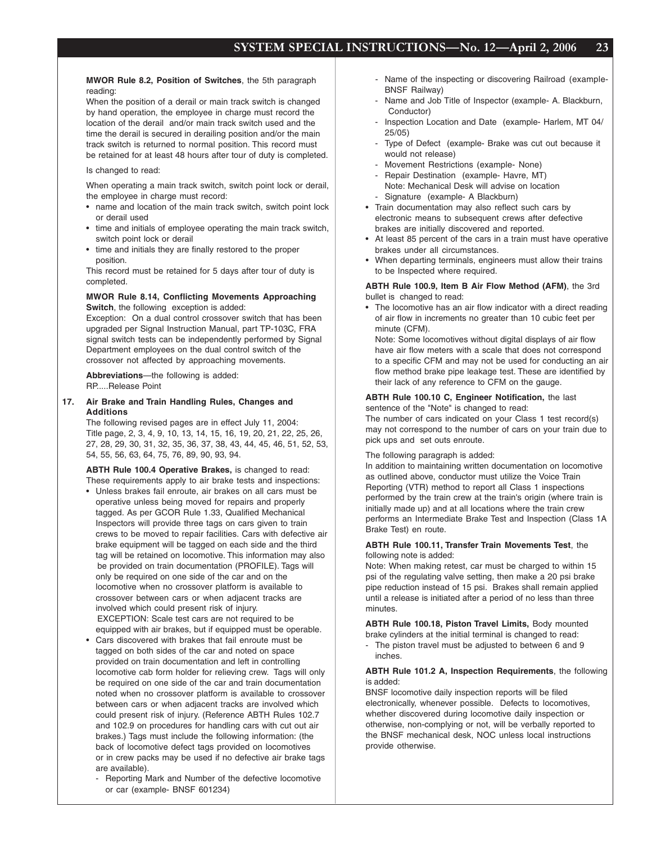**MWOR Rule 8.2, Position of Switches**, the 5th paragraph reading:

When the position of a derail or main track switch is changed by hand operation, the employee in charge must record the location of the derail and/or main track switch used and the time the derail is secured in derailing position and/or the main track switch is returned to normal position. This record must be retained for at least 48 hours after tour of duty is completed.

#### Is changed to read:

When operating a main track switch, switch point lock or derail, the employee in charge must record:

- name and location of the main track switch, switch point lock or derail used
- time and initials of employee operating the main track switch, switch point lock or derail
- time and initials they are finally restored to the proper position.

This record must be retained for 5 days after tour of duty is completed.

#### **MWOR Rule 8.14, Conflicting Movements Approaching Switch**, the following exception is added:

Exception: On a dual control crossover switch that has been upgraded per Signal Instruction Manual, part TP-103C, FRA signal switch tests can be independently performed by Signal Department employees on the dual control switch of the crossover not affected by approaching movements.

**Abbreviations**—the following is added: RP.....Release Point

**17. Air Brake and Train Handling Rules, Changes and Additions**

> The following revised pages are in effect July 11, 2004: Title page, 2, 3, 4, 9, 10, 13, 14, 15, 16, 19, 20, 21, 22, 25, 26, 27, 28, 29, 30, 31, 32, 35, 36, 37, 38, 43, 44, 45, 46, 51, 52, 53, 54, 55, 56, 63, 64, 75, 76, 89, 90, 93, 94.

**ABTH Rule 100.4 Operative Brakes,** is changed to read: These requirements apply to air brake tests and inspections:

- Unless brakes fail enroute, air brakes on all cars must be operative unless being moved for repairs and properly tagged. As per GCOR Rule 1.33, Qualified Mechanical Inspectors will provide three tags on cars given to train crews to be moved to repair facilities. Cars with defective air brake equipment will be tagged on each side and the third tag will be retained on locomotive. This information may also be provided on train documentation (PROFILE). Tags will only be required on one side of the car and on the locomotive when no crossover platform is available to crossover between cars or when adjacent tracks are involved which could present risk of injury. EXCEPTION: Scale test cars are not required to be equipped with air brakes, but if equipped must be operable.
- Cars discovered with brakes that fail enroute must be tagged on both sides of the car and noted on space provided on train documentation and left in controlling locomotive cab form holder for relieving crew. Tags will only be required on one side of the car and train documentation noted when no crossover platform is available to crossover between cars or when adjacent tracks are involved which could present risk of injury. (Reference ABTH Rules 102.7 and 102.9 on procedures for handling cars with cut out air brakes.) Tags must include the following information: (the back of locomotive defect tags provided on locomotives or in crew packs may be used if no defective air brake tags are available).
	- Reporting Mark and Number of the defective locomotive or car (example- BNSF 601234)
- Name of the inspecting or discovering Railroad (example-BNSF Railway)
- Name and Job Title of Inspector (example- A. Blackburn, Conductor)
- Inspection Location and Date (example- Harlem, MT 04/ 25/05)
- Type of Defect (example- Brake was cut out because it would not release)
- Movement Restrictions (example- None)
- Repair Destination (example- Havre, MT) Note: Mechanical Desk will advise on location Signature (example- A Blackburn)
- Train documentation may also reflect such cars by electronic means to subsequent crews after defective brakes are initially discovered and reported.
- At least 85 percent of the cars in a train must have operative brakes under all circumstances.
- When departing terminals, engineers must allow their trains to be Inspected where required.

**ABTH Rule 100.9, Item B Air Flow Method (AFM)**, the 3rd bullet is changed to read:

• The locomotive has an air flow indicator with a direct reading of air flow in increments no greater than 10 cubic feet per minute (CFM).

Note: Some locomotives without digital displays of air flow have air flow meters with a scale that does not correspond to a specific CFM and may not be used for conducting an air flow method brake pipe leakage test. These are identified by their lack of any reference to CFM on the gauge.

#### **ABTH Rule 100.10 C, Engineer Notification,** the last sentence of the "Note" is changed to read:

The number of cars indicated on your Class 1 test record(s) may not correspond to the number of cars on your train due to pick ups and set outs enroute.

The following paragraph is added:

In addition to maintaining written documentation on locomotive as outlined above, conductor must utilize the Voice Train Reporting (VTR) method to report all Class 1 inspections performed by the train crew at the train's origin (where train is initially made up) and at all locations where the train crew performs an Intermediate Brake Test and Inspection (Class 1A Brake Test) en route.

#### **ABTH Rule 100.11, Transfer Train Movements Test**, the following note is added:

Note: When making retest, car must be charged to within 15 psi of the regulating valve setting, then make a 20 psi brake pipe reduction instead of 15 psi. Brakes shall remain applied until a release is initiated after a period of no less than three minutes.

**ABTH Rule 100.18, Piston Travel Limits,** Body mounted brake cylinders at the initial terminal is changed to read:

- The piston travel must be adjusted to between 6 and 9 inches.

#### **ABTH Rule 101.2 A, Inspection Requirements**, the following is added:

BNSF locomotive daily inspection reports will be filed electronically, whenever possible. Defects to locomotives, whether discovered during locomotive daily inspection or otherwise, non-complying or not, will be verbally reported to the BNSF mechanical desk, NOC unless local instructions provide otherwise.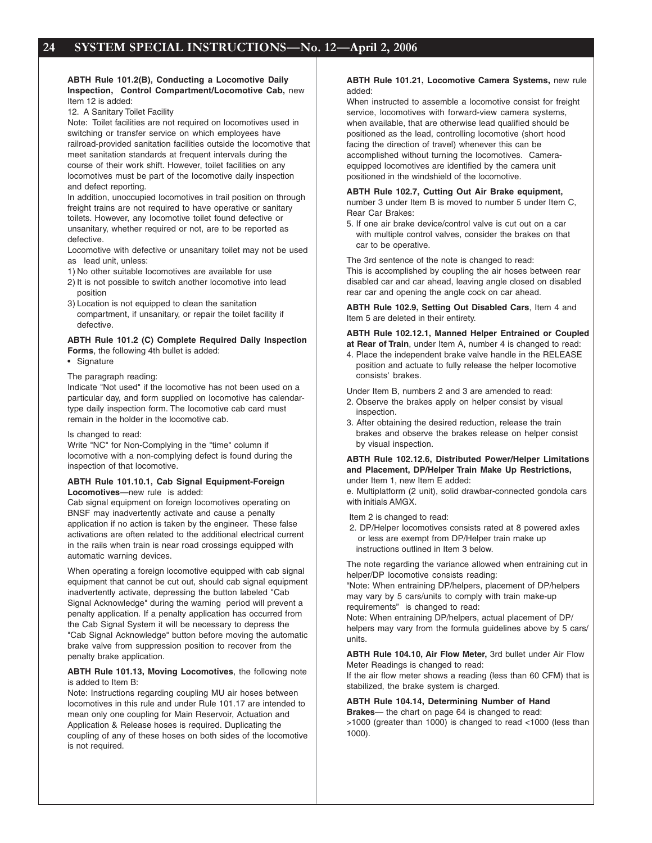#### **ABTH Rule 101.2(B), Conducting a Locomotive Daily Inspection, Control Compartment/Locomotive Cab,** new Item 12 is added:

12. A Sanitary Toilet Facility

Note: Toilet facilities are not required on locomotives used in switching or transfer service on which employees have railroad-provided sanitation facilities outside the locomotive that meet sanitation standards at frequent intervals during the course of their work shift. However, toilet facilities on any locomotives must be part of the locomotive daily inspection and defect reporting.

In addition, unoccupied locomotives in trail position on through freight trains are not required to have operative or sanitary toilets. However, any locomotive toilet found defective or unsanitary, whether required or not, are to be reported as defective.

Locomotive with defective or unsanitary toilet may not be used as lead unit, unless:

- 1) No other suitable locomotives are available for use
- 2) It is not possible to switch another locomotive into lead position
- 3) Location is not equipped to clean the sanitation compartment, if unsanitary, or repair the toilet facility if defective.

#### **ABTH Rule 101.2 (C) Complete Required Daily Inspection Forms**, the following 4th bullet is added:

• Signature

#### The paragraph reading:

Indicate "Not used" if the locomotive has not been used on a particular day, and form supplied on locomotive has calendartype daily inspection form. The locomotive cab card must remain in the holder in the locomotive cab.

#### Is changed to read:

Write "NC" for Non-Complying in the "time" column if locomotive with a non-complying defect is found during the inspection of that locomotive.

#### **ABTH Rule 101.10.1, Cab Signal Equipment-Foreign Locomotives**—new rule is added:

Cab signal equipment on foreign locomotives operating on BNSF may inadvertently activate and cause a penalty application if no action is taken by the engineer. These false activations are often related to the additional electrical current in the rails when train is near road crossings equipped with automatic warning devices.

When operating a foreign locomotive equipped with cab signal equipment that cannot be cut out, should cab signal equipment inadvertently activate, depressing the button labeled "Cab Signal Acknowledge" during the warning period will prevent a penalty application. If a penalty application has occurred from the Cab Signal System it will be necessary to depress the "Cab Signal Acknowledge" button before moving the automatic brake valve from suppression position to recover from the penalty brake application.

#### **ABTH Rule 101.13, Moving Locomotives**, the following note is added to Item B:

Note: Instructions regarding coupling MU air hoses between locomotives in this rule and under Rule 101.17 are intended to mean only one coupling for Main Reservoir, Actuation and Application & Release hoses is required. Duplicating the coupling of any of these hoses on both sides of the locomotive is not required.

#### **ABTH Rule 101.21, Locomotive Camera Systems,** new rule added:

When instructed to assemble a locomotive consist for freight service, locomotives with forward-view camera systems, when available, that are otherwise lead qualified should be positioned as the lead, controlling locomotive (short hood facing the direction of travel) whenever this can be accomplished without turning the locomotives. Cameraequipped locomotives are identified by the camera unit positioned in the windshield of the locomotive.

#### **ABTH Rule 102.7, Cutting Out Air Brake equipment,**

number 3 under Item B is moved to number 5 under Item C, Rear Car Brakes:

5. If one air brake device/control valve is cut out on a car with multiple control valves, consider the brakes on that car to be operative.

The 3rd sentence of the note is changed to read: This is accomplished by coupling the air hoses between rear disabled car and car ahead, leaving angle closed on disabled rear car and opening the angle cock on car ahead.

**ABTH Rule 102.9, Setting Out Disabled Cars**, Item 4 and Item 5 are deleted in their entirety.

#### **ABTH Rule 102.12.1, Manned Helper Entrained or Coupled at Rear of Train**, under Item A, number 4 is changed to read:

4. Place the independent brake valve handle in the RELEASE position and actuate to fully release the helper locomotive consists' brakes.

Under Item B, numbers 2 and 3 are amended to read:

- 2. Observe the brakes apply on helper consist by visual inspection.
- 3. After obtaining the desired reduction, release the train brakes and observe the brakes release on helper consist by visual inspection.

#### **ABTH Rule 102.12.6, Distributed Power/Helper Limitations and Placement, DP/Helper Train Make Up Restrictions,** under Item 1, new Item E added:

e. Multiplatform (2 unit), solid drawbar-connected gondola cars with initials AMGX.

Item 2 is changed to read:

 2. DP/Helper locomotives consists rated at 8 powered axles or less are exempt from DP/Helper train make up instructions outlined in Item 3 below.

The note regarding the variance allowed when entraining cut in helper/DP locomotive consists reading:

"Note: When entraining DP/helpers, placement of DP/helpers may vary by 5 cars/units to comply with train make-up requirements" is changed to read:

Note: When entraining DP/helpers, actual placement of DP/ helpers may vary from the formula guidelines above by 5 cars/ units.

**ABTH Rule 104.10, Air Flow Meter,** 3rd bullet under Air Flow Meter Readings is changed to read:

If the air flow meter shows a reading (less than 60 CFM) that is stabilized, the brake system is charged.

#### **ABTH Rule 104.14, Determining Number of Hand**

**Brakes**— the chart on page 64 is changed to read: >1000 (greater than 1000) is changed to read <1000 (less than 1000).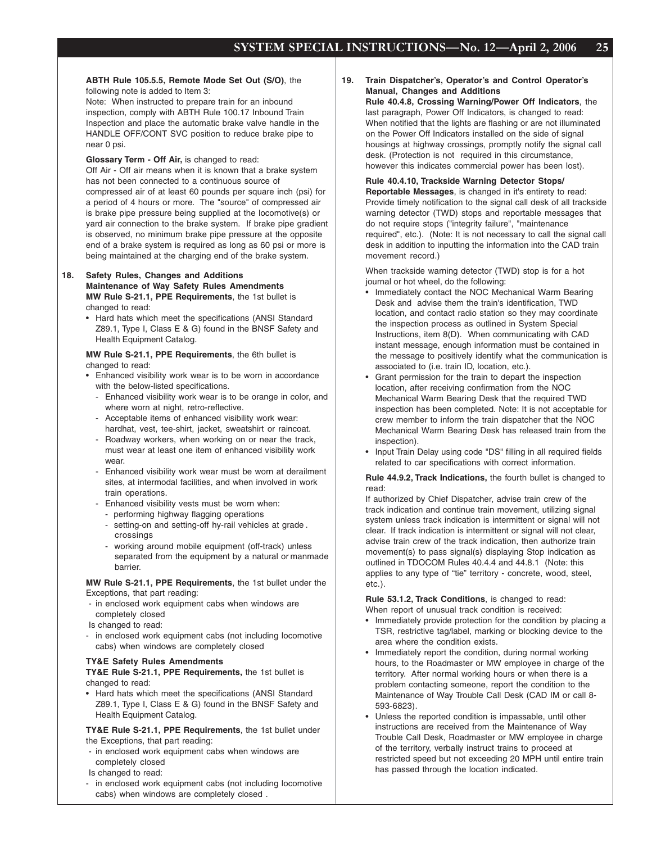**ABTH Rule 105.5.5, Remote Mode Set Out (S/O)**, the following note is added to Item 3:

Note: When instructed to prepare train for an inbound inspection, comply with ABTH Rule 100.17 Inbound Train Inspection and place the automatic brake valve handle in the HANDLE OFF/CONT SVC position to reduce brake pipe to near 0 psi.

**Glossary Term - Off Air,** is changed to read:

Off Air - Off air means when it is known that a brake system has not been connected to a continuous source of compressed air of at least 60 pounds per square inch (psi) for a period of 4 hours or more. The "source" of compressed air is brake pipe pressure being supplied at the locomotive(s) or yard air connection to the brake system. If brake pipe gradient is observed, no minimum brake pipe pressure at the opposite end of a brake system is required as long as 60 psi or more is being maintained at the charging end of the brake system.

#### **18. Safety Rules, Changes and Additions Maintenance of Way Safety Rules Amendments MW Rule S-21.1, PPE Requirements**, the 1st bullet is changed to read:

• Hard hats which meet the specifications (ANSI Standard Z89.1, Type I, Class E & G) found in the BNSF Safety and Health Equipment Catalog.

**MW Rule S-21.1, PPE Requirements**, the 6th bullet is changed to read:

- Enhanced visibility work wear is to be worn in accordance with the below-listed specifications.
	- Enhanced visibility work wear is to be orange in color, and where worn at night, retro-reflective.
	- Acceptable items of enhanced visibility work wear: hardhat, vest, tee-shirt, jacket, sweatshirt or raincoat.
	- Roadway workers, when working on or near the track, must wear at least one item of enhanced visibility work wear.
	- Enhanced visibility work wear must be worn at derailment sites, at intermodal facilities, and when involved in work train operations.
	- Enhanced visibility vests must be worn when:
		- performing highway flagging operations
		- setting-on and setting-off hy-rail vehicles at grade . crossings
		- working around mobile equipment (off-track) unless separated from the equipment by a natural or manmade barrier.

**MW Rule S-21.1, PPE Requirements**, the 1st bullet under the Exceptions, that part reading:

- in enclosed work equipment cabs when windows are completely closed
- Is changed to read:
- in enclosed work equipment cabs (not including locomotive cabs) when windows are completely closed

#### **TY&E Safety Rules Amendments**

**TY&E Rule S-21.1, PPE Requirements,** the 1st bullet is changed to read:

• Hard hats which meet the specifications (ANSI Standard Z89.1, Type I, Class E & G) found in the BNSF Safety and Health Equipment Catalog.

**TY&E Rule S-21.1, PPE Requirements**, the 1st bullet under the Exceptions, that part reading:

- in enclosed work equipment cabs when windows are completely closed
- Is changed to read:
- in enclosed work equipment cabs (not including locomotive cabs) when windows are completely closed .

**19. Train Dispatcher's, Operator's and Control Operator's Manual, Changes and Additions**

**Rule 40.4.8, Crossing Warning/Power Off Indicators**, the last paragraph, Power Off Indicators, is changed to read: When notified that the lights are flashing or are not illuminated on the Power Off Indicators installed on the side of signal housings at highway crossings, promptly notify the signal call desk. (Protection is not required in this circumstance, however this indicates commercial power has been lost).

#### **Rule 40.4.10, Trackside Warning Detector Stops/ Reportable Messages**, is changed in it's entirety to read:

Provide timely notification to the signal call desk of all trackside warning detector (TWD) stops and reportable messages that do not require stops ("integrity failure", "maintenance required", etc.). (Note: It is not necessary to call the signal call desk in addition to inputting the information into the CAD train movement record.)

When trackside warning detector (TWD) stop is for a hot journal or hot wheel, do the following:

- Immediately contact the NOC Mechanical Warm Bearing Desk and advise them the train's identification, TWD location, and contact radio station so they may coordinate the inspection process as outlined in System Special Instructions, item 8(D). When communicating with CAD instant message, enough information must be contained in the message to positively identify what the communication is associated to (i.e. train ID, location, etc.).
- Grant permission for the train to depart the inspection location, after receiving confirmation from the NOC Mechanical Warm Bearing Desk that the required TWD inspection has been completed. Note: It is not acceptable for crew member to inform the train dispatcher that the NOC Mechanical Warm Bearing Desk has released train from the inspection).
- Input Train Delay using code "DS" filling in all required fields related to car specifications with correct information.

**Rule 44.9.2, Track Indications,** the fourth bullet is changed to read:

If authorized by Chief Dispatcher, advise train crew of the track indication and continue train movement, utilizing signal system unless track indication is intermittent or signal will not clear. If track indication is intermittent or signal will not clear, advise train crew of the track indication, then authorize train movement(s) to pass signal(s) displaying Stop indication as outlined in TDOCOM Rules 40.4.4 and 44.8.1 (Note: this applies to any type of "tie" territory - concrete, wood, steel, etc.).

**Rule 53.1.2, Track Conditions**, is changed to read: When report of unusual track condition is received:

- Immediately provide protection for the condition by placing a TSR, restrictive tag/label, marking or blocking device to the area where the condition exists.
- Immediately report the condition, during normal working hours, to the Roadmaster or MW employee in charge of the territory. After normal working hours or when there is a problem contacting someone, report the condition to the Maintenance of Way Trouble Call Desk (CAD IM or call 8- 593-6823).
- Unless the reported condition is impassable, until other instructions are received from the Maintenance of Way Trouble Call Desk, Roadmaster or MW employee in charge of the territory, verbally instruct trains to proceed at restricted speed but not exceeding 20 MPH until entire train has passed through the location indicated.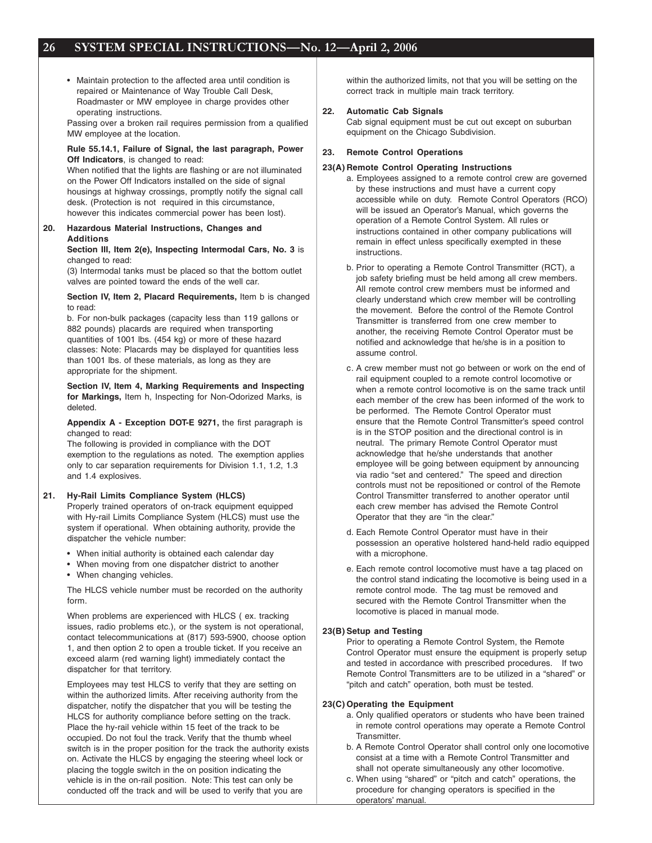• Maintain protection to the affected area until condition is repaired or Maintenance of Way Trouble Call Desk, Roadmaster or MW employee in charge provides other operating instructions.

Passing over a broken rail requires permission from a qualified MW employee at the location.

#### **Rule 55.14.1, Failure of Signal, the last paragraph, Power Off Indicators**, is changed to read:

When notified that the lights are flashing or are not illuminated on the Power Off Indicators installed on the side of signal housings at highway crossings, promptly notify the signal call desk. (Protection is not required in this circumstance, however this indicates commercial power has been lost).

#### **20. Hazardous Material Instructions, Changes and Additions**

#### **Section III, Item 2(e), Inspecting Intermodal Cars, No. 3** is changed to read:

(3) Intermodal tanks must be placed so that the bottom outlet valves are pointed toward the ends of the well car.

#### **Section IV, Item 2, Placard Requirements,** Item b is changed to read:

b. For non-bulk packages (capacity less than 119 gallons or 882 pounds) placards are required when transporting quantities of 1001 lbs. (454 kg) or more of these hazard classes: Note: Placards may be displayed for quantities less than 1001 lbs. of these materials, as long as they are appropriate for the shipment.

**Section IV, Item 4, Marking Requirements and Inspecting for Markings,** Item h, Inspecting for Non-Odorized Marks, is deleted.

#### **Appendix A - Exception DOT-E 9271,** the first paragraph is changed to read:

The following is provided in compliance with the DOT exemption to the regulations as noted. The exemption applies only to car separation requirements for Division 1.1, 1.2, 1.3 and 1.4 explosives.

#### **21. Hy-Rail Limits Compliance System (HLCS)**

Properly trained operators of on-track equipment equipped with Hy-rail Limits Compliance System (HLCS) must use the system if operational. When obtaining authority, provide the dispatcher the vehicle number:

- When initial authority is obtained each calendar day
- When moving from one dispatcher district to another
- When changing vehicles.

The HLCS vehicle number must be recorded on the authority form.

When problems are experienced with HLCS ( ex. tracking issues, radio problems etc.), or the system is not operational, contact telecommunications at (817) 593-5900, choose option 1, and then option 2 to open a trouble ticket. If you receive an exceed alarm (red warning light) immediately contact the dispatcher for that territory.

Employees may test HLCS to verify that they are setting on within the authorized limits. After receiving authority from the dispatcher, notify the dispatcher that you will be testing the HLCS for authority compliance before setting on the track. Place the hy-rail vehicle within 15 feet of the track to be occupied. Do not foul the track. Verify that the thumb wheel switch is in the proper position for the track the authority exists on. Activate the HLCS by engaging the steering wheel lock or placing the toggle switch in the on position indicating the vehicle is in the on-rail position. Note: This test can only be conducted off the track and will be used to verify that you are

within the authorized limits, not that you will be setting on the correct track in multiple main track territory.

#### **22. Automatic Cab Signals**

Cab signal equipment must be cut out except on suburban equipment on the Chicago Subdivision.

#### **23. Remote Control Operations**

#### **23(A) Remote Control Operating Instructions**

- a. Employees assigned to a remote control crew are governed by these instructions and must have a current copy accessible while on duty. Remote Control Operators (RCO) will be issued an Operator's Manual, which governs the operation of a Remote Control System. All rules or instructions contained in other company publications will remain in effect unless specifically exempted in these instructions.
- b. Prior to operating a Remote Control Transmitter (RCT), a job safety briefing must be held among all crew members. All remote control crew members must be informed and clearly understand which crew member will be controlling the movement. Before the control of the Remote Control Transmitter is transferred from one crew member to another, the receiving Remote Control Operator must be notified and acknowledge that he/she is in a position to assume control.
- c. A crew member must not go between or work on the end of rail equipment coupled to a remote control locomotive or when a remote control locomotive is on the same track until each member of the crew has been informed of the work to be performed. The Remote Control Operator must ensure that the Remote Control Transmitter's speed control is in the STOP position and the directional control is in neutral. The primary Remote Control Operator must acknowledge that he/she understands that another employee will be going between equipment by announcing via radio "set and centered." The speed and direction controls must not be repositioned or control of the Remote Control Transmitter transferred to another operator until each crew member has advised the Remote Control Operator that they are "in the clear."
- d. Each Remote Control Operator must have in their possession an operative holstered hand-held radio equipped with a microphone.
- e. Each remote control locomotive must have a tag placed on the control stand indicating the locomotive is being used in a remote control mode. The tag must be removed and secured with the Remote Control Transmitter when the locomotive is placed in manual mode.

#### **23(B) Setup and Testing**

Prior to operating a Remote Control System, the Remote Control Operator must ensure the equipment is properly setup and tested in accordance with prescribed procedures. If two Remote Control Transmitters are to be utilized in a "shared" or "pitch and catch" operation, both must be tested.

#### **23(C) Operating the Equipment**

- a. Only qualified operators or students who have been trained in remote control operations may operate a Remote Control Transmitter.
- b. A Remote Control Operator shall control only one locomotive consist at a time with a Remote Control Transmitter and shall not operate simultaneously any other locomotive.
- c. When using "shared" or "pitch and catch" operations, the procedure for changing operators is specified in the operators' manual.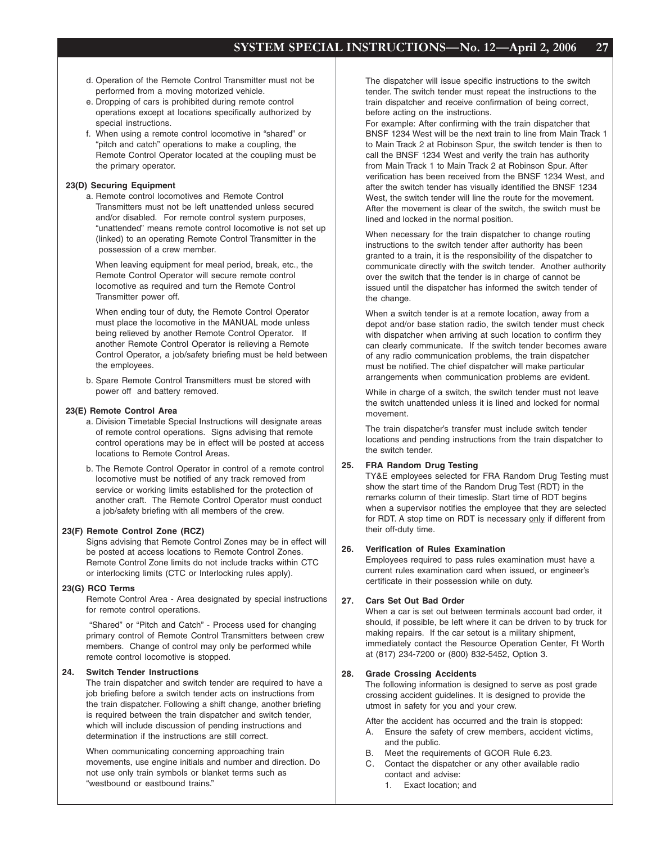- d. Operation of the Remote Control Transmitter must not be performed from a moving motorized vehicle.
- e. Dropping of cars is prohibited during remote control operations except at locations specifically authorized by special instructions.
- f. When using a remote control locomotive in "shared" or "pitch and catch" operations to make a coupling, the Remote Control Operator located at the coupling must be the primary operator.

#### **23(D) Securing Equipment**

a. Remote control locomotives and Remote Control Transmitters must not be left unattended unless secured and/or disabled. For remote control system purposes, "unattended" means remote control locomotive is not set up (linked) to an operating Remote Control Transmitter in the possession of a crew member.

When leaving equipment for meal period, break, etc., the Remote Control Operator will secure remote control locomotive as required and turn the Remote Control Transmitter power off.

When ending tour of duty, the Remote Control Operator must place the locomotive in the MANUAL mode unless being relieved by another Remote Control Operator. If another Remote Control Operator is relieving a Remote Control Operator, a job/safety briefing must be held between the employees.

b. Spare Remote Control Transmitters must be stored with power off and battery removed.

#### **23(E) Remote Control Area**

- a. Division Timetable Special Instructions will designate areas of remote control operations. Signs advising that remote control operations may be in effect will be posted at access locations to Remote Control Areas.
- b. The Remote Control Operator in control of a remote control locomotive must be notified of any track removed from service or working limits established for the protection of another craft. The Remote Control Operator must conduct a job/safety briefing with all members of the crew.

#### **23(F) Remote Control Zone (RCZ)**

Signs advising that Remote Control Zones may be in effect will be posted at access locations to Remote Control Zones. Remote Control Zone limits do not include tracks within CTC or interlocking limits (CTC or Interlocking rules apply).

#### **23(G) RCO Terms**

Remote Control Area - Area designated by special instructions for remote control operations.

 "Shared" or "Pitch and Catch" - Process used for changing primary control of Remote Control Transmitters between crew members. Change of control may only be performed while remote control locomotive is stopped.

#### **24. Switch Tender Instructions**

The train dispatcher and switch tender are required to have a job briefing before a switch tender acts on instructions from the train dispatcher. Following a shift change, another briefing is required between the train dispatcher and switch tender, which will include discussion of pending instructions and determination if the instructions are still correct.

When communicating concerning approaching train movements, use engine initials and number and direction. Do not use only train symbols or blanket terms such as "westbound or eastbound trains."

The dispatcher will issue specific instructions to the switch tender. The switch tender must repeat the instructions to the train dispatcher and receive confirmation of being correct, before acting on the instructions.

For example: After confirming with the train dispatcher that BNSF 1234 West will be the next train to line from Main Track 1 to Main Track 2 at Robinson Spur, the switch tender is then to call the BNSF 1234 West and verify the train has authority from Main Track 1 to Main Track 2 at Robinson Spur. After verification has been received from the BNSF 1234 West, and after the switch tender has visually identified the BNSF 1234 West, the switch tender will line the route for the movement. After the movement is clear of the switch, the switch must be lined and locked in the normal position.

When necessary for the train dispatcher to change routing instructions to the switch tender after authority has been granted to a train, it is the responsibility of the dispatcher to communicate directly with the switch tender. Another authority over the switch that the tender is in charge of cannot be issued until the dispatcher has informed the switch tender of the change.

When a switch tender is at a remote location, away from a depot and/or base station radio, the switch tender must check with dispatcher when arriving at such location to confirm they can clearly communicate. If the switch tender becomes aware of any radio communication problems, the train dispatcher must be notified. The chief dispatcher will make particular arrangements when communication problems are evident.

While in charge of a switch, the switch tender must not leave the switch unattended unless it is lined and locked for normal movement.

The train dispatcher's transfer must include switch tender locations and pending instructions from the train dispatcher to the switch tender.

#### **25. FRA Random Drug Testing**

TY&E employees selected for FRA Random Drug Testing must show the start time of the Random Drug Test (RDT) in the remarks column of their timeslip. Start time of RDT begins when a supervisor notifies the employee that they are selected for RDT. A stop time on RDT is necessary only if different from their off-duty time.

#### **26. Verification of Rules Examination**

Employees required to pass rules examination must have a current rules examination card when issued, or engineer's certificate in their possession while on duty.

#### **27. Cars Set Out Bad Order**

When a car is set out between terminals account bad order, it should, if possible, be left where it can be driven to by truck for making repairs. If the car setout is a military shipment, immediately contact the Resource Operation Center, Ft Worth at (817) 234-7200 or (800) 832-5452, Option 3.

#### **28. Grade Crossing Accidents**

The following information is designed to serve as post grade crossing accident guidelines. It is designed to provide the utmost in safety for you and your crew.

After the accident has occurred and the train is stopped:

- A. Ensure the safety of crew members, accident victims, and the public.
- B. Meet the requirements of GCOR Rule 6.23.
- C. Contact the dispatcher or any other available radio contact and advise:
	- 1. Exact location; and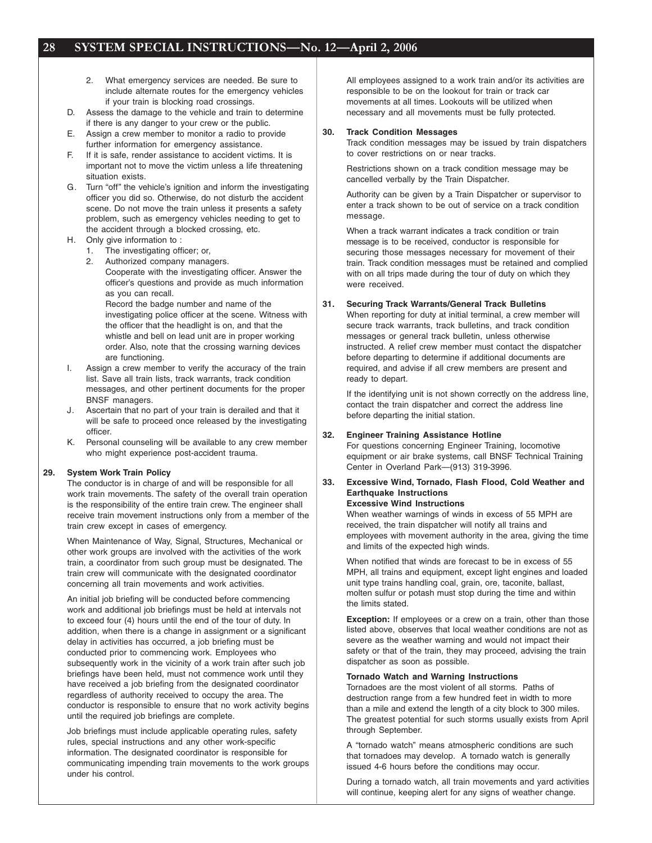- 2. What emergency services are needed. Be sure to include alternate routes for the emergency vehicles if your train is blocking road crossings.
- D. Assess the damage to the vehicle and train to determine if there is any danger to your crew or the public.
- E. Assign a crew member to monitor a radio to provide further information for emergency assistance.
- F. If it is safe, render assistance to accident victims. It is important not to move the victim unless a life threatening situation exists.
- G. Turn "off" the vehicle's ignition and inform the investigating officer you did so. Otherwise, do not disturb the accident scene. Do not move the train unless it presents a safety problem, such as emergency vehicles needing to get to the accident through a blocked crossing, etc.
- H. Only give information to :
	- 1. The investigating officer; or,
	- 2. Authorized company managers.
		- Cooperate with the investigating officer. Answer the officer's questions and provide as much information as you can recall.

Record the badge number and name of the investigating police officer at the scene. Witness with the officer that the headlight is on, and that the whistle and bell on lead unit are in proper working order. Also, note that the crossing warning devices are functioning.

- I. Assign a crew member to verify the accuracy of the train list. Save all train lists, track warrants, track condition messages, and other pertinent documents for the proper BNSF managers.
- J. Ascertain that no part of your train is derailed and that it will be safe to proceed once released by the investigating officer.
- K. Personal counseling will be available to any crew member who might experience post-accident trauma.

#### **29. System Work Train Policy**

The conductor is in charge of and will be responsible for all work train movements. The safety of the overall train operation is the responsibility of the entire train crew. The engineer shall receive train movement instructions only from a member of the train crew except in cases of emergency.

When Maintenance of Way, Signal, Structures, Mechanical or other work groups are involved with the activities of the work train, a coordinator from such group must be designated. The train crew will communicate with the designated coordinator concerning all train movements and work activities.

An initial job briefing will be conducted before commencing work and additional job briefings must be held at intervals not to exceed four (4) hours until the end of the tour of duty. In addition, when there is a change in assignment or a significant delay in activities has occurred, a job briefing must be conducted prior to commencing work. Employees who subsequently work in the vicinity of a work train after such job briefings have been held, must not commence work until they have received a job briefing from the designated coordinator regardless of authority received to occupy the area. The conductor is responsible to ensure that no work activity begins until the required job briefings are complete.

Job briefings must include applicable operating rules, safety rules, special instructions and any other work-specific information. The designated coordinator is responsible for communicating impending train movements to the work groups under his control.

All employees assigned to a work train and/or its activities are responsible to be on the lookout for train or track car movements at all times. Lookouts will be utilized when necessary and all movements must be fully protected.

#### **30. Track Condition Messages**

Track condition messages may be issued by train dispatchers to cover restrictions on or near tracks.

Restrictions shown on a track condition message may be cancelled verbally by the Train Dispatcher.

Authority can be given by a Train Dispatcher or supervisor to enter a track shown to be out of service on a track condition message.

When a track warrant indicates a track condition or train message is to be received, conductor is responsible for securing those messages necessary for movement of their train. Track condition messages must be retained and complied with on all trips made during the tour of duty on which they were received.

#### **31. Securing Track Warrants/General Track Bulletins**

When reporting for duty at initial terminal, a crew member will secure track warrants, track bulletins, and track condition messages or general track bulletin, unless otherwise instructed. A relief crew member must contact the dispatcher before departing to determine if additional documents are required, and advise if all crew members are present and ready to depart.

If the identifying unit is not shown correctly on the address line, contact the train dispatcher and correct the address line before departing the initial station.

#### **32. Engineer Training Assistance Hotline**

For questions concerning Engineer Training, locomotive equipment or air brake systems, call BNSF Technical Training Center in Overland Park—(913) 319-3996.

## **33. Excessive Wind, Tornado, Flash Flood, Cold Weather and Earthquake Instructions**

## **Excessive Wind Instructions**

When weather warnings of winds in excess of 55 MPH are received, the train dispatcher will notify all trains and employees with movement authority in the area, giving the time and limits of the expected high winds.

When notified that winds are forecast to be in excess of 55 MPH, all trains and equipment, except light engines and loaded unit type trains handling coal, grain, ore, taconite, ballast, molten sulfur or potash must stop during the time and within the limits stated.

**Exception:** If employees or a crew on a train, other than those listed above, observes that local weather conditions are not as severe as the weather warning and would not impact their safety or that of the train, they may proceed, advising the train dispatcher as soon as possible.

#### **Tornado Watch and Warning Instructions**

Tornadoes are the most violent of all storms. Paths of destruction range from a few hundred feet in width to more than a mile and extend the length of a city block to 300 miles. The greatest potential for such storms usually exists from April through September.

A "tornado watch" means atmospheric conditions are such that tornadoes may develop. A tornado watch is generally issued 4-6 hours before the conditions may occur.

During a tornado watch, all train movements and yard activities will continue, keeping alert for any signs of weather change.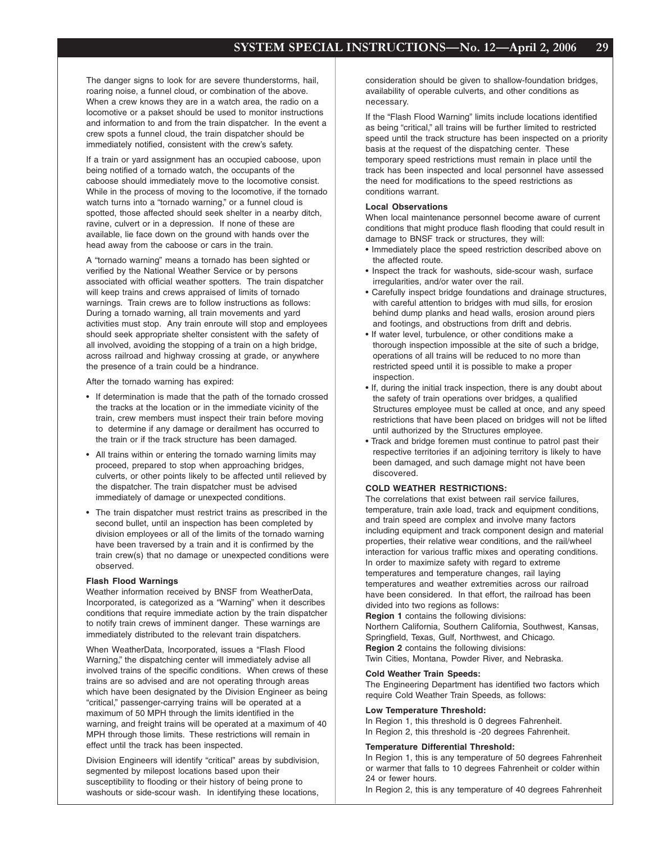The danger signs to look for are severe thunderstorms, hail, roaring noise, a funnel cloud, or combination of the above. When a crew knows they are in a watch area, the radio on a locomotive or a pakset should be used to monitor instructions and information to and from the train dispatcher. In the event a crew spots a funnel cloud, the train dispatcher should be immediately notified, consistent with the crew's safety.

If a train or yard assignment has an occupied caboose, upon being notified of a tornado watch, the occupants of the caboose should immediately move to the locomotive consist. While in the process of moving to the locomotive, if the tornado watch turns into a "tornado warning," or a funnel cloud is spotted, those affected should seek shelter in a nearby ditch, ravine, culvert or in a depression. If none of these are available, lie face down on the ground with hands over the head away from the caboose or cars in the train.

A "tornado warning" means a tornado has been sighted or verified by the National Weather Service or by persons associated with official weather spotters. The train dispatcher will keep trains and crews appraised of limits of tornado warnings. Train crews are to follow instructions as follows: During a tornado warning, all train movements and yard activities must stop. Any train enroute will stop and employees should seek appropriate shelter consistent with the safety of all involved, avoiding the stopping of a train on a high bridge, across railroad and highway crossing at grade, or anywhere the presence of a train could be a hindrance.

After the tornado warning has expired:

- If determination is made that the path of the tornado crossed the tracks at the location or in the immediate vicinity of the train, crew members must inspect their train before moving to determine if any damage or derailment has occurred to the train or if the track structure has been damaged.
- All trains within or entering the tornado warning limits may proceed, prepared to stop when approaching bridges, culverts, or other points likely to be affected until relieved by the dispatcher. The train dispatcher must be advised immediately of damage or unexpected conditions.
- The train dispatcher must restrict trains as prescribed in the second bullet, until an inspection has been completed by division employees or all of the limits of the tornado warning have been traversed by a train and it is confirmed by the train crew(s) that no damage or unexpected conditions were observed.

#### **Flash Flood Warnings**

Weather information received by BNSF from WeatherData, Incorporated, is categorized as a "Warning" when it describes conditions that require immediate action by the train dispatcher to notify train crews of imminent danger. These warnings are immediately distributed to the relevant train dispatchers.

When WeatherData, Incorporated, issues a "Flash Flood Warning," the dispatching center will immediately advise all involved trains of the specific conditions. When crews of these trains are so advised and are not operating through areas which have been designated by the Division Engineer as being "critical," passenger-carrying trains will be operated at a maximum of 50 MPH through the limits identified in the warning, and freight trains will be operated at a maximum of 40 MPH through those limits. These restrictions will remain in effect until the track has been inspected.

Division Engineers will identify "critical" areas by subdivision, segmented by milepost locations based upon their susceptibility to flooding or their history of being prone to washouts or side-scour wash. In identifying these locations,

consideration should be given to shallow-foundation bridges, availability of operable culverts, and other conditions as necessary.

If the "Flash Flood Warning" limits include locations identified as being "critical," all trains will be further limited to restricted speed until the track structure has been inspected on a priority basis at the request of the dispatching center. These temporary speed restrictions must remain in place until the track has been inspected and local personnel have assessed the need for modifications to the speed restrictions as conditions warrant.

#### **Local Observations**

When local maintenance personnel become aware of current conditions that might produce flash flooding that could result in damage to BNSF track or structures, they will:

- Immediately place the speed restriction described above on the affected route.
- Inspect the track for washouts, side-scour wash, surface irregularities, and/or water over the rail.
- Carefully inspect bridge foundations and drainage structures, with careful attention to bridges with mud sills, for erosion behind dump planks and head walls, erosion around piers and footings, and obstructions from drift and debris.
- If water level, turbulence, or other conditions make a thorough inspection impossible at the site of such a bridge, operations of all trains will be reduced to no more than restricted speed until it is possible to make a proper inspection.
- If, during the initial track inspection, there is any doubt about the safety of train operations over bridges, a qualified Structures employee must be called at once, and any speed restrictions that have been placed on bridges will not be lifted until authorized by the Structures employee.
- Track and bridge foremen must continue to patrol past their respective territories if an adjoining territory is likely to have been damaged, and such damage might not have been discovered.

#### **COLD WEATHER RESTRICTIONS:**

The correlations that exist between rail service failures, temperature, train axle load, track and equipment conditions, and train speed are complex and involve many factors including equipment and track component design and material properties, their relative wear conditions, and the rail/wheel interaction for various traffic mixes and operating conditions. In order to maximize safety with regard to extreme temperatures and temperature changes, rail laying temperatures and weather extremities across our railroad have been considered. In that effort, the railroad has been divided into two regions as follows:

**Region 1** contains the following divisions:

Northern California, Southern California, Southwest, Kansas, Springfield, Texas, Gulf, Northwest, and Chicago. **Region 2** contains the following divisions:

Twin Cities, Montana, Powder River, and Nebraska.

#### **Cold Weather Train Speeds:**

The Engineering Department has identified two factors which require Cold Weather Train Speeds, as follows:

#### **Low Temperature Threshold:**

In Region 1, this threshold is 0 degrees Fahrenheit. In Region 2, this threshold is -20 degrees Fahrenheit.

#### **Temperature Differential Threshold:**

In Region 1, this is any temperature of 50 degrees Fahrenheit or warmer that falls to 10 degrees Fahrenheit or colder within 24 or fewer hours.

In Region 2, this is any temperature of 40 degrees Fahrenheit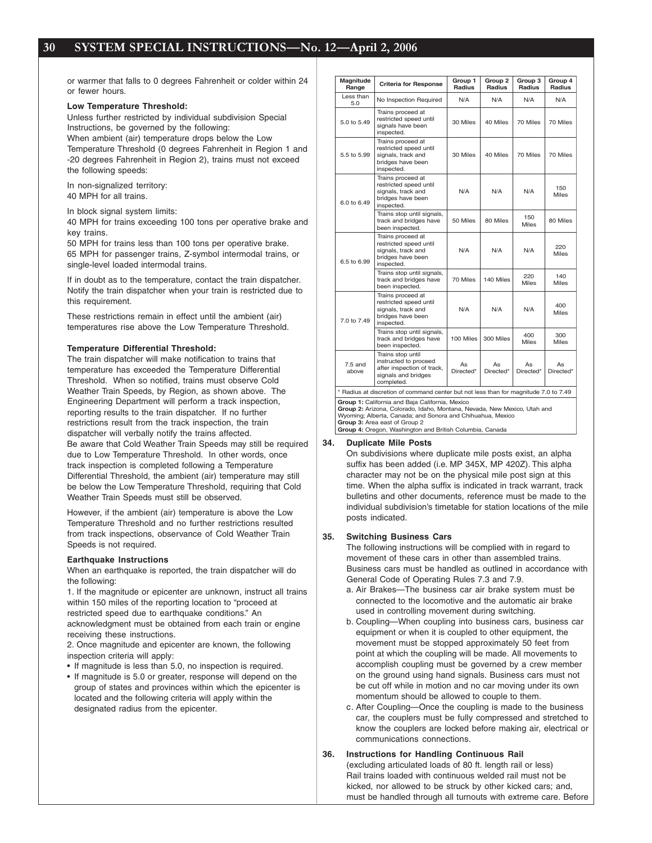or warmer that falls to 0 degrees Fahrenheit or colder within 24 or fewer hours.

#### **Low Temperature Threshold:**

Unless further restricted by individual subdivision Special Instructions, be governed by the following: When ambient (air) temperature drops below the Low Temperature Threshold (0 degrees Fahrenheit in Region 1 and -20 degrees Fahrenheit in Region 2), trains must not exceed the following speeds:

In non-signalized territory: 40 MPH for all trains.

In block signal system limits:

40 MPH for trains exceeding 100 tons per operative brake and key trains.

50 MPH for trains less than 100 tons per operative brake. 65 MPH for passenger trains, Z-symbol intermodal trains, or single-level loaded intermodal trains.

If in doubt as to the temperature, contact the train dispatcher. Notify the train dispatcher when your train is restricted due to this requirement.

These restrictions remain in effect until the ambient (air) temperatures rise above the Low Temperature Threshold.

#### **Temperature Differential Threshold:**

The train dispatcher will make notification to trains that temperature has exceeded the Temperature Differential Threshold. When so notified, trains must observe Cold Weather Train Speeds, by Region, as shown above. The Engineering Department will perform a track inspection, reporting results to the train dispatcher. If no further restrictions result from the track inspection, the train dispatcher will verbally notify the trains affected. Be aware that Cold Weather Train Speeds may still be required due to Low Temperature Threshold. In other words, once track inspection is completed following a Temperature Differential Threshold, the ambient (air) temperature may still be below the Low Temperature Threshold, requiring that Cold Weather Train Speeds must still be observed.

However, if the ambient (air) temperature is above the Low Temperature Threshold and no further restrictions resulted from track inspections, observance of Cold Weather Train Speeds is not required.

#### **Earthquake Instructions**

When an earthquake is reported, the train dispatcher will do the following:

1. If the magnitude or epicenter are unknown, instruct all trains within 150 miles of the reporting location to "proceed at restricted speed due to earthquake conditions." An acknowledgment must be obtained from each train or engine receiving these instructions.

2. Once magnitude and epicenter are known, the following inspection criteria will apply:

• If magnitude is less than 5.0, no inspection is required.

• If magnitude is 5.0 or greater, response will depend on the group of states and provinces within which the epicenter is located and the following criteria will apply within the designated radius from the epicenter.

| Magnitude<br>Range                                                                                                                                                                                                                                                                     | <b>Criteria for Response</b>                                                                                  | Group 1<br>Radius | Group <sub>2</sub><br>Radius | Group 3<br>Radius | Group 4<br>Radius   |  |
|----------------------------------------------------------------------------------------------------------------------------------------------------------------------------------------------------------------------------------------------------------------------------------------|---------------------------------------------------------------------------------------------------------------|-------------------|------------------------------|-------------------|---------------------|--|
| Less than<br>5.0                                                                                                                                                                                                                                                                       | No Inspection Required                                                                                        | N/A               | N/A                          | N/A               | N/A                 |  |
| 5.0 to 5.49                                                                                                                                                                                                                                                                            | Trains proceed at<br>restricted speed until<br>signals have been<br>inspected.                                | 30 Miles          | 40 Miles                     | 70 Miles          | 70 Miles            |  |
| 5.5 to 5.99                                                                                                                                                                                                                                                                            | Trains proceed at<br>restricted speed until<br>signals, track and<br>bridges have been<br>inspected.          | 30 Miles          | 40 Miles                     | 70 Miles          | 70 Miles            |  |
| 6.0 to 6.49                                                                                                                                                                                                                                                                            | Trains proceed at<br>restricted speed until<br>signals, track and<br>bridges have been<br>inspected.          | N/A               | N/A                          | N/A               | 150<br><b>Miles</b> |  |
|                                                                                                                                                                                                                                                                                        | Trains stop until signals,<br>track and bridges have<br>been inspected.                                       | 50 Miles          | 80 Miles                     | 150<br>Miles      | 80 Miles            |  |
| 6.5 to 6.99                                                                                                                                                                                                                                                                            | Trains proceed at<br>restricted speed until<br>signals, track and<br>bridges have been<br>inspected.          | N/A               | N/A                          | N/A               | 220<br><b>Miles</b> |  |
|                                                                                                                                                                                                                                                                                        | Trains stop until signals,<br>track and bridges have<br>been inspected.                                       | 70 Miles          | 140 Miles                    | 220<br>Miles      | 140<br><b>Miles</b> |  |
| 7.0 to 7.49                                                                                                                                                                                                                                                                            | Trains proceed at<br>restricted speed until<br>signals, track and<br>bridges have been<br>inspected.          | N/A               | N/A                          | N/A               | 400<br><b>Miles</b> |  |
|                                                                                                                                                                                                                                                                                        | Trains stop until signals,<br>track and bridges have<br>been inspected.                                       | 100 Miles         | 300 Miles                    | 400<br>Miles      | 300<br><b>Miles</b> |  |
| $7.5$ and<br>above                                                                                                                                                                                                                                                                     | Trains stop until<br>instructed to proceed<br>after inspection of track,<br>signals and bridges<br>completed. | As<br>Directed*   | As<br>Directed*              | As<br>Directed*   | As<br>Directed*     |  |
| * Radius at discretion of command center but not less than for magnitude 7.0 to 7.49                                                                                                                                                                                                   |                                                                                                               |                   |                              |                   |                     |  |
| Group 1: California and Baja California, Mexico<br>Group 2: Arizona, Colorado, Idaho, Montana, Nevada, New Mexico, Utah and<br>Wyoming; Alberta, Canada; and Sonora and Chihuahua, Mexico<br>Group 3: Area east of Group 2<br>Group 4: Oregon, Washington and British Columbia, Canada |                                                                                                               |                   |                              |                   |                     |  |

#### **34. Duplicate Mile Posts**

On subdivisions where duplicate mile posts exist, an alpha suffix has been added (i.e. MP 345X, MP 420Z). This alpha character may not be on the physical mile post sign at this time. When the alpha suffix is indicated in track warrant, track bulletins and other documents, reference must be made to the individual subdivision's timetable for station locations of the mile posts indicated.

#### **35. Switching Business Cars**

The following instructions will be complied with in regard to movement of these cars in other than assembled trains. Business cars must be handled as outlined in accordance with General Code of Operating Rules 7.3 and 7.9.

- a. Air Brakes—The business car air brake system must be connected to the locomotive and the automatic air brake used in controlling movement during switching.
- b. Coupling—When coupling into business cars, business car equipment or when it is coupled to other equipment, the movement must be stopped approximately 50 feet from point at which the coupling will be made. All movements to accomplish coupling must be governed by a crew member on the ground using hand signals. Business cars must not be cut off while in motion and no car moving under its own momentum should be allowed to couple to them.
- c. After Coupling—Once the coupling is made to the business car, the couplers must be fully compressed and stretched to know the couplers are locked before making air, electrical or communications connections.

#### **36. Instructions for Handling Continuous Rail** (excluding articulated loads of 80 ft. length rail or less) Rail trains loaded with continuous welded rail must not be kicked, nor allowed to be struck by other kicked cars; and, must be handled through all turnouts with extreme care. Before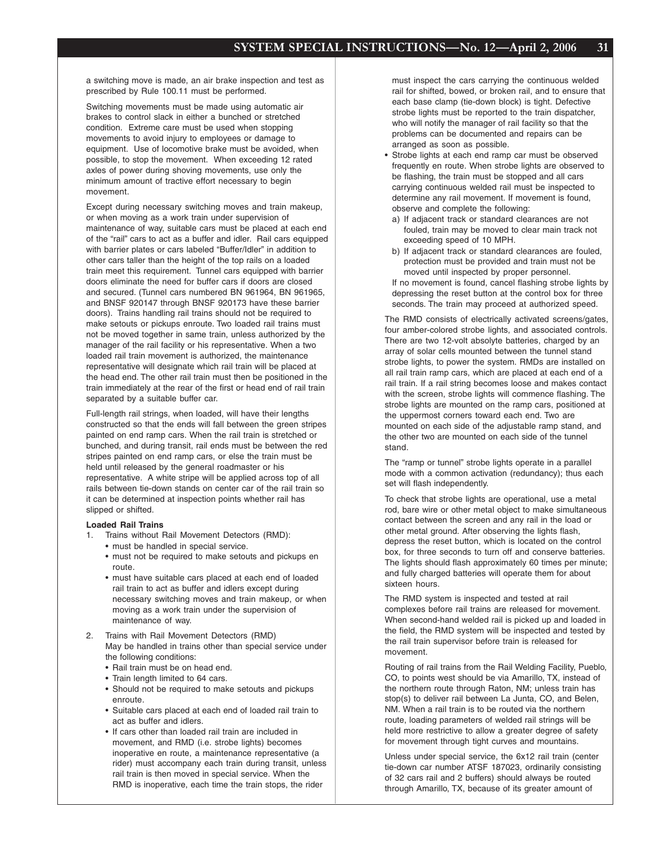a switching move is made, an air brake inspection and test as prescribed by Rule 100.11 must be performed.

Switching movements must be made using automatic air brakes to control slack in either a bunched or stretched condition. Extreme care must be used when stopping movements to avoid injury to employees or damage to equipment. Use of locomotive brake must be avoided, when possible, to stop the movement. When exceeding 12 rated axles of power during shoving movements, use only the minimum amount of tractive effort necessary to begin movement.

Except during necessary switching moves and train makeup, or when moving as a work train under supervision of maintenance of way, suitable cars must be placed at each end of the "rail" cars to act as a buffer and idler. Rail cars equipped with barrier plates or cars labeled "Buffer/Idler" in addition to other cars taller than the height of the top rails on a loaded train meet this requirement. Tunnel cars equipped with barrier doors eliminate the need for buffer cars if doors are closed and secured. (Tunnel cars numbered BN 961964, BN 961965, and BNSF 920147 through BNSF 920173 have these barrier doors). Trains handling rail trains should not be required to make setouts or pickups enroute. Two loaded rail trains must not be moved together in same train, unless authorized by the manager of the rail facility or his representative. When a two loaded rail train movement is authorized, the maintenance representative will designate which rail train will be placed at the head end. The other rail train must then be positioned in the train immediately at the rear of the first or head end of rail train separated by a suitable buffer car.

Full-length rail strings, when loaded, will have their lengths constructed so that the ends will fall between the green stripes painted on end ramp cars. When the rail train is stretched or bunched, and during transit, rail ends must be between the red stripes painted on end ramp cars, or else the train must be held until released by the general roadmaster or his representative. A white stripe will be applied across top of all rails between tie-down stands on center car of the rail train so it can be determined at inspection points whether rail has slipped or shifted.

#### **Loaded Rail Trains**

- 1. Trains without Rail Movement Detectors (RMD):
	- must be handled in special service.
	- must not be required to make setouts and pickups en route.
	- must have suitable cars placed at each end of loaded rail train to act as buffer and idlers except during necessary switching moves and train makeup, or when moving as a work train under the supervision of maintenance of way.
- 2. Trains with Rail Movement Detectors (RMD) May be handled in trains other than special service under the following conditions:
	- Rail train must be on head end.
	- Train length limited to 64 cars.
	- Should not be required to make setouts and pickups enroute.
	- Suitable cars placed at each end of loaded rail train to act as buffer and idlers.
	- If cars other than loaded rail train are included in movement, and RMD (i.e. strobe lights) becomes inoperative en route, a maintenance representative (a rider) must accompany each train during transit, unless rail train is then moved in special service. When the RMD is inoperative, each time the train stops, the rider

must inspect the cars carrying the continuous welded rail for shifted, bowed, or broken rail, and to ensure that each base clamp (tie-down block) is tight. Defective strobe lights must be reported to the train dispatcher, who will notify the manager of rail facility so that the problems can be documented and repairs can be arranged as soon as possible.

- Strobe lights at each end ramp car must be observed frequently en route. When strobe lights are observed to be flashing, the train must be stopped and all cars carrying continuous welded rail must be inspected to determine any rail movement. If movement is found, observe and complete the following:
	- a) If adjacent track or standard clearances are not fouled, train may be moved to clear main track not exceeding speed of 10 MPH.
	- b) If adjacent track or standard clearances are fouled, protection must be provided and train must not be moved until inspected by proper personnel.

If no movement is found, cancel flashing strobe lights by depressing the reset button at the control box for three seconds. The train may proceed at authorized speed.

The RMD consists of electrically activated screens/gates, four amber-colored strobe lights, and associated controls. There are two 12-volt absolyte batteries, charged by an array of solar cells mounted between the tunnel stand strobe lights, to power the system. RMDs are installed on all rail train ramp cars, which are placed at each end of a rail train. If a rail string becomes loose and makes contact with the screen, strobe lights will commence flashing. The strobe lights are mounted on the ramp cars, positioned at the uppermost corners toward each end. Two are mounted on each side of the adjustable ramp stand, and the other two are mounted on each side of the tunnel stand.

The "ramp or tunnel" strobe lights operate in a parallel mode with a common activation (redundancy); thus each set will flash independently.

To check that strobe lights are operational, use a metal rod, bare wire or other metal object to make simultaneous contact between the screen and any rail in the load or other metal ground. After observing the lights flash, depress the reset button, which is located on the control box, for three seconds to turn off and conserve batteries. The lights should flash approximately 60 times per minute; and fully charged batteries will operate them for about sixteen hours.

The RMD system is inspected and tested at rail complexes before rail trains are released for movement. When second-hand welded rail is picked up and loaded in the field, the RMD system will be inspected and tested by the rail train supervisor before train is released for movement.

Routing of rail trains from the Rail Welding Facility, Pueblo, CO, to points west should be via Amarillo, TX, instead of the northern route through Raton, NM; unless train has stop(s) to deliver rail between La Junta, CO, and Belen, NM. When a rail train is to be routed via the northern route, loading parameters of welded rail strings will be held more restrictive to allow a greater degree of safety for movement through tight curves and mountains.

Unless under special service, the 6x12 rail train (center tie-down car number ATSF 187023, ordinarily consisting of 32 cars rail and 2 buffers) should always be routed through Amarillo, TX, because of its greater amount of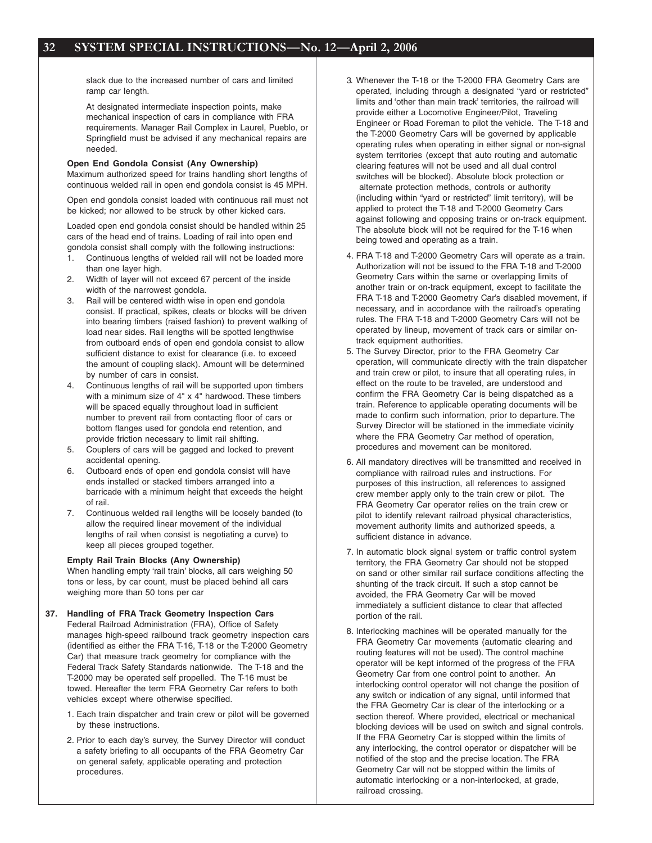slack due to the increased number of cars and limited ramp car length.

At designated intermediate inspection points, make mechanical inspection of cars in compliance with FRA requirements. Manager Rail Complex in Laurel, Pueblo, or Springfield must be advised if any mechanical repairs are needed.

#### **Open End Gondola Consist (Any Ownership)**

Maximum authorized speed for trains handling short lengths of continuous welded rail in open end gondola consist is 45 MPH.

Open end gondola consist loaded with continuous rail must not be kicked; nor allowed to be struck by other kicked cars.

Loaded open end gondola consist should be handled within 25 cars of the head end of trains. Loading of rail into open end gondola consist shall comply with the following instructions:

- 1. Continuous lengths of welded rail will not be loaded more than one layer high.
- 2. Width of layer will not exceed 67 percent of the inside width of the narrowest gondola.
- 3. Rail will be centered width wise in open end gondola consist. If practical, spikes, cleats or blocks will be driven into bearing timbers (raised fashion) to prevent walking of load near sides. Rail lengths will be spotted lengthwise from outboard ends of open end gondola consist to allow sufficient distance to exist for clearance (i.e. to exceed the amount of coupling slack). Amount will be determined by number of cars in consist.
- 4. Continuous lengths of rail will be supported upon timbers with a minimum size of 4" x 4" hardwood. These timbers will be spaced equally throughout load in sufficient number to prevent rail from contacting floor of cars or bottom flanges used for gondola end retention, and provide friction necessary to limit rail shifting.
- 5. Couplers of cars will be gagged and locked to prevent accidental opening.
- 6. Outboard ends of open end gondola consist will have ends installed or stacked timbers arranged into a barricade with a minimum height that exceeds the height of rail.
- 7. Continuous welded rail lengths will be loosely banded (to allow the required linear movement of the individual lengths of rail when consist is negotiating a curve) to keep all pieces grouped together.

**Empty Rail Train Blocks (Any Ownership)** When handling empty 'rail train' blocks, all cars weighing 50 tons or less, by car count, must be placed behind all cars weighing more than 50 tons per car

#### **37. Handling of FRA Track Geometry Inspection Cars** Federal Railroad Administration (FRA), Office of Safety manages high-speed railbound track geometry inspection cars (identified as either the FRA T-16, T-18 or the T-2000 Geometry Car) that measure track geometry for compliance with the Federal Track Safety Standards nationwide. The T-18 and the T-2000 may be operated self propelled. The T-16 must be towed. Hereafter the term FRA Geometry Car refers to both vehicles except where otherwise specified.

- 1. Each train dispatcher and train crew or pilot will be governed by these instructions.
- 2. Prior to each day's survey, the Survey Director will conduct a safety briefing to all occupants of the FRA Geometry Car on general safety, applicable operating and protection procedures.
- 3. Whenever the T-18 or the T-2000 FRA Geometry Cars are operated, including through a designated "yard or restricted" limits and 'other than main track' territories, the railroad will provide either a Locomotive Engineer/Pilot, Traveling Engineer or Road Foreman to pilot the vehicle. The T-18 and the T-2000 Geometry Cars will be governed by applicable operating rules when operating in either signal or non-signal system territories (except that auto routing and automatic clearing features will not be used and all dual control switches will be blocked). Absolute block protection or alternate protection methods, controls or authority (including within "yard or restricted" limit territory), will be applied to protect the T-18 and T-2000 Geometry Cars against following and opposing trains or on-track equipment. The absolute block will not be required for the T-16 when being towed and operating as a train.
- 4. FRA T-18 and T-2000 Geometry Cars will operate as a train. Authorization will not be issued to the FRA T-18 and T-2000 Geometry Cars within the same or overlapping limits of another train or on-track equipment, except to facilitate the FRA T-18 and T-2000 Geometry Car's disabled movement, if necessary, and in accordance with the railroad's operating rules. The FRA T-18 and T-2000 Geometry Cars will not be operated by lineup, movement of track cars or similar ontrack equipment authorities.
- 5. The Survey Director, prior to the FRA Geometry Car operation, will communicate directly with the train dispatcher and train crew or pilot, to insure that all operating rules, in effect on the route to be traveled, are understood and confirm the FRA Geometry Car is being dispatched as a train. Reference to applicable operating documents will be made to confirm such information, prior to departure. The Survey Director will be stationed in the immediate vicinity where the FRA Geometry Car method of operation, procedures and movement can be monitored.
- 6. All mandatory directives will be transmitted and received in compliance with railroad rules and instructions. For purposes of this instruction, all references to assigned crew member apply only to the train crew or pilot. The FRA Geometry Car operator relies on the train crew or pilot to identify relevant railroad physical characteristics, movement authority limits and authorized speeds, a sufficient distance in advance.
- 7. In automatic block signal system or traffic control system territory, the FRA Geometry Car should not be stopped on sand or other similar rail surface conditions affecting the shunting of the track circuit. If such a stop cannot be avoided, the FRA Geometry Car will be moved immediately a sufficient distance to clear that affected portion of the rail.
- 8. Interlocking machines will be operated manually for the FRA Geometry Car movements (automatic clearing and routing features will not be used). The control machine operator will be kept informed of the progress of the FRA Geometry Car from one control point to another. An interlocking control operator will not change the position of any switch or indication of any signal, until informed that the FRA Geometry Car is clear of the interlocking or a section thereof. Where provided, electrical or mechanical blocking devices will be used on switch and signal controls. If the FRA Geometry Car is stopped within the limits of any interlocking, the control operator or dispatcher will be notified of the stop and the precise location. The FRA Geometry Car will not be stopped within the limits of automatic interlocking or a non-interlocked, at grade, railroad crossing.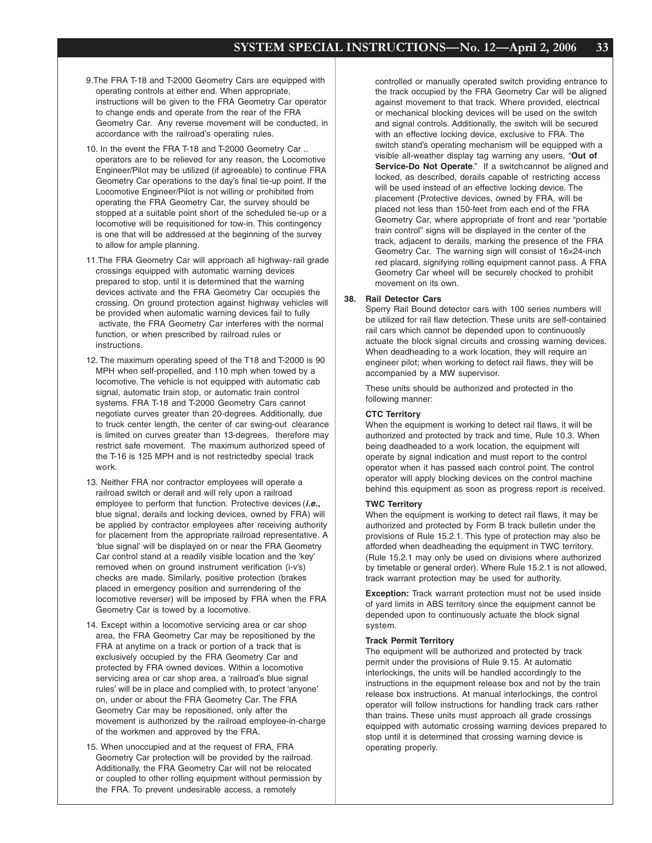- 9.The FRA T-18 and T-2000 Geometry Cars are equipped with operating controls at either end. When appropriate, instructions will be given to the FRA Geometry Car operator to change ends and operate from the rear of the FRA Geometry Car. Any reverse movement will be conducted, in accordance with the railroad's operating rules.
- 10. In the event the FRA T-18 and T-2000 Geometry Car .. operators are to be relieved for any reason, the Locomotive Engineer/Pilot may be utilized (if agreeable) to continue FRA Geometry Car operations to the day's final tie-up point. If the Locomotive Engineer/Pilot is not willing or prohibited from operating the FRA Geometry Car, the survey should be stopped at a suitable point short of the scheduled tie-up or a locomotive will be requisitioned for tow-in. This contingency is one that will be addressed at the beginning of the survey to allow for ample planning.
- 11.The FRA Geometry Car will approach all highway-rail grade crossings equipped with automatic warning devices prepared to stop, until it is determined that the warning devices activate and the FRA Geometry Car occupies the crossing. On ground protection against highway vehicles will be provided when automatic warning devices fail to fully activate, the FRA Geometry Car interferes with the normal function, or when prescribed by railroad rules or instructions.
- 12. The maximum operating speed of the T18 and T-2000 is 90 MPH when self-propelled, and 110 mph when towed by a locomotive. The vehicle is not equipped with automatic cab signal, automatic train stop, or automatic train control systems. FRA T-18 and T-2000 Geometry Cars cannot negotiate curves greater than 20-degrees. Additionally, due to truck center length, the center of car swing-out clearance is limited on curves greater than 13-degrees, therefore may restrict safe movement. The maximum authorized speed of the T-16 is 125 MPH and is not restrictedby special track work.
- 13. Neither FRA nor contractor employees will operate a railroad switch or derail and will rely upon a railroad employee to perform that function. Protective devices (*i.e.,* blue signal, derails and locking devices, owned by FRA) will be applied by contractor employees after receiving authority for placement from the appropriate railroad representative. A 'blue signal' will be displayed on or near the FRA Geometry Car control stand at a readily visible location and the 'key' removed when on ground instrument verification (i-v's) checks are made. Similarly, positive protection (brakes placed in emergency position and surrendering of the locomotive reverser) will be imposed by FRA when the FRA Geometry Car is towed by a locomotive.
- 14. Except within a locomotive servicing area or car shop area, the FRA Geometry Car may be repositioned by the FRA at anytime on a track or portion of a track that is exclusively occupied by the FRA Geometry Car and protected by FRA owned devices. Within a locomotive servicing area or car shop area, a 'railroad's blue signal rules' will be in place and complied with, to protect 'anyone' on, under or about the FRA Geometry Car. The FRA Geometry Car may be repositioned, only after the movement is authorized by the railroad employee-in-charge of the workmen and approved by the FRA.
- 15. When unoccupied and at the request of FRA, FRA Geometry Car protection will be provided by the railroad. Additionally, the FRA Geometry Car will not be relocated or coupled to other rolling equipment without permission by the FRA. To prevent undesirable access, a remotely

controlled or manually operated switch providing entrance to the track occupied by the FRA Geometry Car will be aligned against movement to that track. Where provided, electrical or mechanical blocking devices will be used on the switch and signal controls. Additionally, the switch will be secured with an effective locking device, exclusive to FRA. The switch stand's operating mechanism will be equipped with a visible all-weather display tag warning any users, "**Out of Service-Do Not Operate.**" If a switchcannot be aligned and locked, as described, derails capable of restricting access will be used instead of an effective locking device. The placement (Protective devices, owned by FRA, will be placed not less than 150-feet from each end of the FRA Geometry Car, where appropriate of front and rear "portable train control" signs will be displayed in the center of the track, adjacent to derails, marking the presence of the FRA Geometry Car. The warning sign will consist of 16×24-inch red placard, signifying rolling equipment cannot pass. A FRA Geometry Car wheel will be securely chocked to prohibit movement on its own.

#### **38. Rail Detector Cars**

Sperry Rail Bound detector cars with 100 series numbers will be utilized for rail flaw detection. These units are self-contained rail cars which cannot be depended upon to continuously actuate the block signal circuits and crossing warning devices. When deadheading to a work location, they will require an engineer pilot; when working to detect rail flaws, they will be accompanied by a MW supervisor.

These units should be authorized and protected in the following manner:

#### **CTC Territory**

When the equipment is working to detect rail flaws, it will be authorized and protected by track and time, Rule 10.3. When being deadheaded to a work location, the equipment will operate by signal indication and must report to the control operator when it has passed each control point. The control operator will apply blocking devices on the control machine behind this equipment as soon as progress report is received.

#### **TWC Territory**

When the equipment is working to detect rail flaws, it may be authorized and protected by Form B track bulletin under the provisions of Rule 15.2.1. This type of protection may also be afforded when deadheading the equipment in TWC territory. (Rule 15.2.1 may only be used on divisions where authorized by timetable or general order). Where Rule 15.2.1 is not allowed, track warrant protection may be used for authority.

**Exception:** Track warrant protection must not be used inside of yard limits in ABS territory since the equipment cannot be depended upon to continuously actuate the block signal system.

#### **Track Permit Territory**

The equipment will be authorized and protected by track permit under the provisions of Rule 9.15. At automatic interlockings, the units will be handled accordingly to the instructions in the equipment release box and not by the train release box instructions. At manual interlockings, the control operator will follow instructions for handling track cars rather than trains. These units must approach all grade crossings equipped with automatic crossing warning devices prepared to stop until it is determined that crossing warning device is operating properly.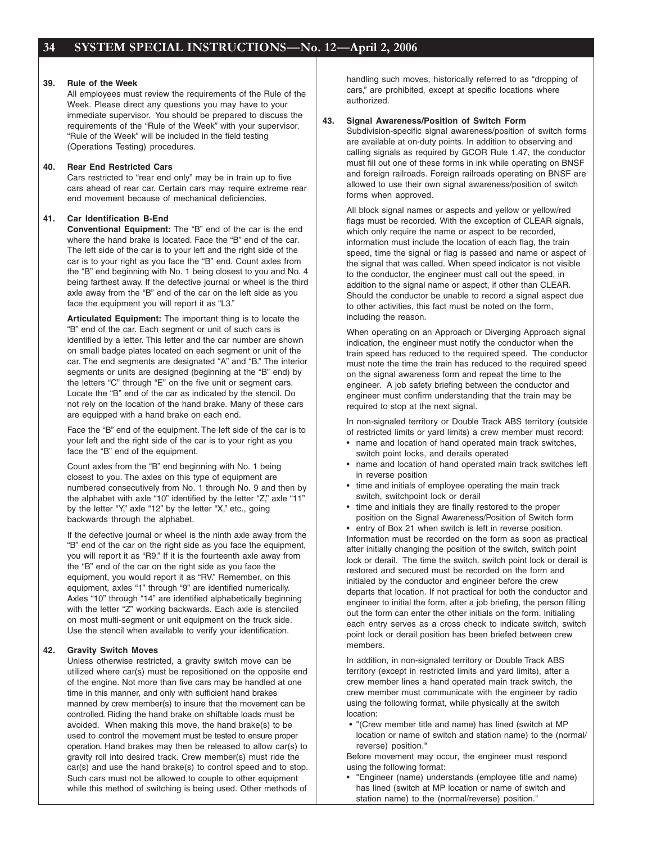#### **39. Rule of the Week**

All employees must review the requirements of the Rule of the Week. Please direct any questions you may have to your immediate supervisor. You should be prepared to discuss the requirements of the "Rule of the Week" with your supervisor. "Rule of the Week" will be included in the field testing (Operations Testing) procedures.

#### **40. Rear End Restricted Cars**

Cars restricted to "rear end only" may be in train up to five cars ahead of rear car. Certain cars may require extreme rear end movement because of mechanical deficiencies.

#### **41. Car Identification B-End**

**Conventional Equipment:** The "B" end of the car is the end where the hand brake is located. Face the "B" end of the car. The left side of the car is to your left and the right side of the car is to your right as you face the "B" end. Count axles from the "B" end beginning with No. 1 being closest to you and No. 4 being farthest away. If the defective journal or wheel is the third axle away from the "B" end of the car on the left side as you face the equipment you will report it as "L3."

**Articulated Equipment:** The important thing is to locate the "B" end of the car. Each segment or unit of such cars is identified by a letter. This letter and the car number are shown on small badge plates located on each segment or unit of the car. The end segments are designated "A" and "B." The interior segments or units are designed (beginning at the "B" end) by the letters "C" through "E" on the five unit or segment cars. Locate the "B" end of the car as indicated by the stencil. Do not rely on the location of the hand brake. Many of these cars are equipped with a hand brake on each end.

Face the "B" end of the equipment. The left side of the car is to your left and the right side of the car is to your right as you face the "B" end of the equipment.

Count axles from the "B" end beginning with No. 1 being closest to you. The axles on this type of equipment are numbered consecutively from No. 1 through No. 9 and then by the alphabet with axle "10" identified by the letter "Z," axle "11" by the letter "Y," axle "12" by the letter "X," etc., going backwards through the alphabet.

If the defective journal or wheel is the ninth axle away from the "B" end of the car on the right side as you face the equipment, you will report it as "R9." If it is the fourteenth axle away from the "B" end of the car on the right side as you face the equipment, you would report it as "RV." Remember, on this equipment, axles "1" through "9" are identified numerically. Axles "10" through "14" are identified alphabetically beginning with the letter "Z" working backwards. Each axle is stenciled on most multi-segment or unit equipment on the truck side. Use the stencil when available to verify your identification.

#### **42. Gravity Switch Moves**

Unless otherwise restricted, a gravity switch move can be utilized where car(s) must be repositioned on the opposite end of the engine. Not more than five cars may be handled at one time in this manner, and only with sufficient hand brakes manned by crew member(s) to insure that the movement can be controlled. Riding the hand brake on shiftable loads must be avoided. When making this move, the hand brake(s) to be used to control the movement must be tested to ensure proper operation. Hand brakes may then be released to allow car(s) to gravity roll into desired track. Crew member(s) must ride the car(s) and use the hand brake(s) to control speed and to stop. Such cars must not be allowed to couple to other equipment while this method of switching is being used. Other methods of

handling such moves, historically referred to as "dropping of cars," are prohibited, except at specific locations where authorized.

#### **43. Signal Awareness/Position of Switch Form**

Subdivision-specific signal awareness/position of switch forms are available at on-duty points. In addition to observing and calling signals as required by GCOR Rule 1.47, the conductor must fill out one of these forms in ink while operating on BNSF and foreign railroads. Foreign railroads operating on BNSF are allowed to use their own signal awareness/position of switch forms when approved.

All block signal names or aspects and yellow or yellow/red flags must be recorded. With the exception of CLEAR signals, which only require the name or aspect to be recorded, information must include the location of each flag, the train speed, time the signal or flag is passed and name or aspect of the signal that was called. When speed indicator is not visible to the conductor, the engineer must call out the speed, in addition to the signal name or aspect, if other than CLEAR. Should the conductor be unable to record a signal aspect due to other activities, this fact must be noted on the form, including the reason.

When operating on an Approach or Diverging Approach signal indication, the engineer must notify the conductor when the train speed has reduced to the required speed. The conductor must note the time the train has reduced to the required speed on the signal awareness form and repeat the time to the engineer. A job safety briefing between the conductor and engineer must confirm understanding that the train may be required to stop at the next signal.

In non-signaled territory or Double Track ABS territory (outside of restricted limits or yard limits) a crew member must record:

- name and location of hand operated main track switches, switch point locks, and derails operated
- name and location of hand operated main track switches left in reverse position
- time and initials of employee operating the main track switch, switchpoint lock or derail
- time and initials they are finally restored to the proper position on the Signal Awareness/Position of Switch form

• entry of Box 21 when switch is left in reverse position. Information must be recorded on the form as soon as practical after initially changing the position of the switch, switch point lock or derail. The time the switch, switch point lock or derail is restored and secured must be recorded on the form and initialed by the conductor and engineer before the crew departs that location. If not practical for both the conductor and engineer to initial the form, after a job briefing, the person filling out the form can enter the other initials on the form. Initialing each entry serves as a cross check to indicate switch, switch point lock or derail position has been briefed between crew members.

In addition, in non-signaled territory or Double Track ABS territory (except in restricted limits and yard limits), after a crew member lines a hand operated main track switch, the crew member must communicate with the engineer by radio using the following format, while physically at the switch location:

 • "(Crew member title and name) has lined (switch at MP location or name of switch and station name) to the (normal/ reverse) position."

Before movement may occur, the engineer must respond using the following format:

• "Engineer (name) understands (employee title and name) has lined (switch at MP location or name of switch and station name) to the (normal/reverse) position."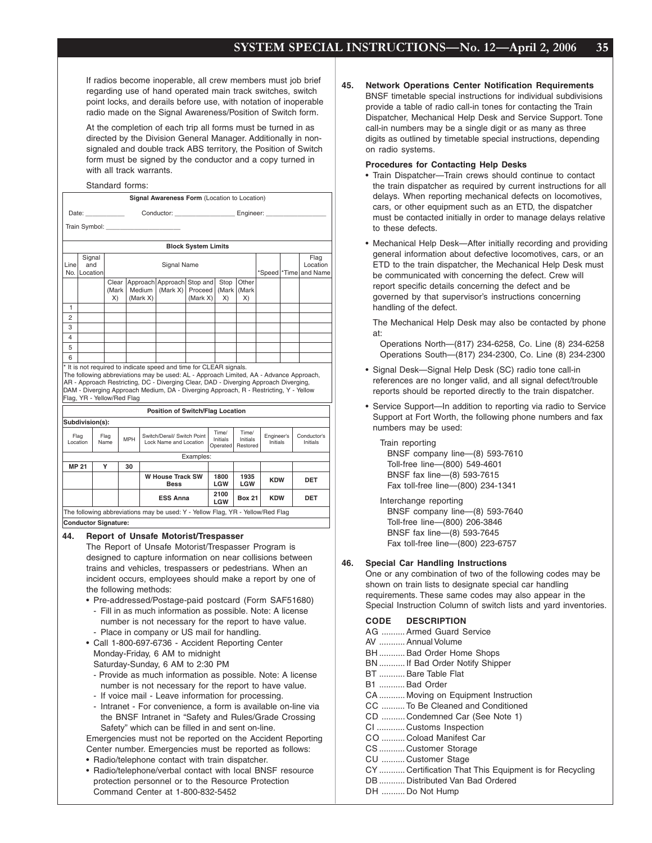If radios become inoperable, all crew members must job brief regarding use of hand operated main track switches, switch point locks, and derails before use, with notation of inoperable radio made on the Signal Awareness/Position of Switch form.

At the completion of each trip all forms must be turned in as directed by the Division General Manager. Additionally in nonsignaled and double track ABS territory, the Position of Switch form must be signed by the conductor and a copy turned in with all track warrants.

#### Standard forms:

|                     |                             |                                                              |                     |          | Signal Awareness Form (Location to Location)                                                                                                                                                                                                                                                                                                  |                            |  |                               |                               |                        |  |                                     |
|---------------------|-----------------------------|--------------------------------------------------------------|---------------------|----------|-----------------------------------------------------------------------------------------------------------------------------------------------------------------------------------------------------------------------------------------------------------------------------------------------------------------------------------------------|----------------------------|--|-------------------------------|-------------------------------|------------------------|--|-------------------------------------|
|                     | Date: ____________          | Conductor: _________________________ Engineer: _____________ |                     |          |                                                                                                                                                                                                                                                                                                                                               |                            |  |                               |                               |                        |  |                                     |
|                     |                             |                                                              |                     |          | Train Symbol: Train Symbol:                                                                                                                                                                                                                                                                                                                   |                            |  |                               |                               |                        |  |                                     |
|                     |                             |                                                              |                     |          |                                                                                                                                                                                                                                                                                                                                               |                            |  |                               |                               |                        |  |                                     |
|                     |                             |                                                              |                     |          |                                                                                                                                                                                                                                                                                                                                               | <b>Block System Limits</b> |  |                               |                               |                        |  |                                     |
|                     | Signal                      |                                                              | Flag<br>Signal Name |          |                                                                                                                                                                                                                                                                                                                                               |                            |  |                               |                               |                        |  |                                     |
| Line<br>No.         | and<br>Location             |                                                              |                     |          |                                                                                                                                                                                                                                                                                                                                               |                            |  |                               |                               |                        |  | Location<br>*Speed   *Time and Name |
|                     |                             | Clear                                                        |                     |          | Approach Approach                                                                                                                                                                                                                                                                                                                             | Stop and                   |  | Stop                          | Other                         |                        |  |                                     |
|                     |                             | (Mark                                                        |                     | Medium   | (Mark X)                                                                                                                                                                                                                                                                                                                                      | <b>Proceed</b>             |  | (Mark                         | (Mark                         |                        |  |                                     |
|                     |                             | X)                                                           |                     | (Mark X) |                                                                                                                                                                                                                                                                                                                                               | (Mark X)                   |  | X)                            | X)                            |                        |  |                                     |
| 1<br>$\overline{2}$ |                             |                                                              |                     |          |                                                                                                                                                                                                                                                                                                                                               |                            |  |                               |                               |                        |  |                                     |
| 3                   |                             |                                                              |                     |          |                                                                                                                                                                                                                                                                                                                                               |                            |  |                               |                               |                        |  |                                     |
| 4                   |                             |                                                              |                     |          |                                                                                                                                                                                                                                                                                                                                               |                            |  |                               |                               |                        |  |                                     |
| 5                   |                             |                                                              |                     |          |                                                                                                                                                                                                                                                                                                                                               |                            |  |                               |                               |                        |  |                                     |
| 6                   |                             |                                                              |                     |          |                                                                                                                                                                                                                                                                                                                                               |                            |  |                               |                               |                        |  |                                     |
|                     | Flag, YR - Yellow/Red Flag  |                                                              |                     |          | * It is not required to indicate speed and time for CLEAR signals.<br>The following abbreviations may be used: AL - Approach Limited, AA - Advance Approach,<br>AR - Approach Restricting, DC - Diverging Clear, DAD - Diverging Approach Diverging,<br>DAM - Diverging Approach Medium, DA - Diverging Approach, R - Restricting, Y - Yellow |                            |  |                               |                               |                        |  |                                     |
|                     |                             |                                                              |                     |          | <b>Position of Switch/Flag Location</b>                                                                                                                                                                                                                                                                                                       |                            |  |                               |                               |                        |  |                                     |
|                     | Subdivision(s):             |                                                              |                     |          |                                                                                                                                                                                                                                                                                                                                               |                            |  |                               |                               |                        |  |                                     |
| Flag<br>Location    |                             | Flag<br>Name                                                 | <b>MPH</b>          |          | Switch/Derail/ Switch Point<br>Lock Name and Location                                                                                                                                                                                                                                                                                         |                            |  | Time/<br>Initials<br>Operated | Time/<br>Initials<br>Restored | Engineer's<br>Initials |  | Conductor's<br>Initials             |
|                     |                             |                                                              |                     |          |                                                                                                                                                                                                                                                                                                                                               | Examples:                  |  |                               |                               |                        |  |                                     |
| <b>MP 21</b>        |                             | Υ                                                            | 30                  |          |                                                                                                                                                                                                                                                                                                                                               |                            |  |                               |                               |                        |  |                                     |
|                     |                             |                                                              |                     |          | <b>W House Track SW</b><br><b>Bess</b>                                                                                                                                                                                                                                                                                                        |                            |  | 1800<br>LGW                   | 1935<br>LGW                   | <b>KDW</b>             |  | <b>DET</b>                          |
|                     |                             |                                                              |                     |          | <b>ESS Anna</b>                                                                                                                                                                                                                                                                                                                               |                            |  | 2100<br>LGW                   | <b>Box 21</b>                 | <b>KDW</b>             |  | DET                                 |
|                     |                             |                                                              |                     |          | The following abbreviations may be used: Y - Yellow Flag, YR - Yellow/Red Flag                                                                                                                                                                                                                                                                |                            |  |                               |                               |                        |  |                                     |
|                     | <b>Conductor Signature:</b> |                                                              |                     |          |                                                                                                                                                                                                                                                                                                                                               |                            |  |                               |                               |                        |  |                                     |
| 44.                 |                             |                                                              |                     |          | <b>Report of Unsafe Motorist/Trespasser</b>                                                                                                                                                                                                                                                                                                   |                            |  |                               |                               |                        |  |                                     |

The Report of Unsafe Motorist/Trespasser Program is designed to capture information on near collisions between trains and vehicles, trespassers or pedestrians. When an incident occurs, employees should make a report by one of the following methods:

- Pre-addressed/Postage-paid postcard (Form SAF51680) - Fill in as much information as possible. Note: A license number is not necessary for the report to have value. - Place in company or US mail for handling.
- Call 1-800-697-6736 Accident Reporting Center Monday-Friday, 6 AM to midnight Saturday-Sunday, 6 AM to 2:30 PM
	- Provide as much information as possible. Note: A license number is not necessary for the report to have value.
	- If voice mail Leave information for processing.
	- Intranet For convenience, a form is available on-line via the BNSF Intranet in "Safety and Rules/Grade Crossing Safety" which can be filled in and sent on-line.

Emergencies must not be reported on the Accident Reporting Center number. Emergencies must be reported as follows:

- Radio/telephone contact with train dispatcher.
- Radio/telephone/verbal contact with local BNSF resource protection personnel or to the Resource Protection Command Center at 1-800-832-5452

**45. Network Operations Center Notification Requirements** BNSF timetable special instructions for individual subdivisions provide a table of radio call-in tones for contacting the Train Dispatcher, Mechanical Help Desk and Service Support. Tone call-in numbers may be a single digit or as many as three digits as outlined by timetable special instructions, depending on radio systems.

#### **Procedures for Contacting Help Desks**

- Train Dispatcher—Train crews should continue to contact the train dispatcher as required by current instructions for all delays. When reporting mechanical defects on locomotives, cars, or other equipment such as an ETD, the dispatcher must be contacted initially in order to manage delays relative to these defects.
- Mechanical Help Desk—After initially recording and providing general information about defective locomotives, cars, or an ETD to the train dispatcher, the Mechanical Help Desk must be communicated with concerning the defect. Crew will report specific details concerning the defect and be governed by that supervisor's instructions concerning handling of the defect.

The Mechanical Help Desk may also be contacted by phone at:

Operations North—(817) 234-6258, Co. Line (8) 234-6258 Operations South—(817) 234-2300, Co. Line (8) 234-2300

- Signal Desk—Signal Help Desk (SC) radio tone call-in references are no longer valid, and all signal defect/trouble reports should be reported directly to the train dispatcher.
- Service Support—In addition to reporting via radio to Service Support at Fort Worth, the following phone numbers and fax numbers may be used:

Train reporting BNSF company line—(8) 593-7610 Toll-free line—(800) 549-4601 BNSF fax line—(8) 593-7615 Fax toll-free line—(800) 234-1341

Interchange reporting BNSF company line—(8) 593-7640 Toll-free line—(800) 206-3846 BNSF fax line—(8) 593-7645 Fax toll-free line—(800) 223-6757

#### **46. Special Car Handling Instructions**

One or any combination of two of the following codes may be shown on train lists to designate special car handling requirements. These same codes may also appear in the Special Instruction Column of switch lists and yard inventories.

#### **CODE DESCRIPTION**

| AG  Armed Guard Service                               |
|-------------------------------------------------------|
| AV  Annual Volume                                     |
| BHBad Order Home Shops                                |
| BN If Bad Order Notify Shipper                        |
| BT  Bare Table Flat                                   |
| <b>B1  Bad Order</b>                                  |
| CA  Moving on Equipment Instruction                   |
| CC To Be Cleaned and Conditioned                      |
| CD  Condemned Car (See Note 1)                        |
| CI  Customs Inspection                                |
| CO Coload Manifest Car                                |
| CS Customer Storage                                   |
| CU  Customer Stage                                    |
| CY Certification That This Equipment is for Recycling |
| DB  Distributed Van Bad Ordered                       |
| DH  Do Not Hump                                       |
|                                                       |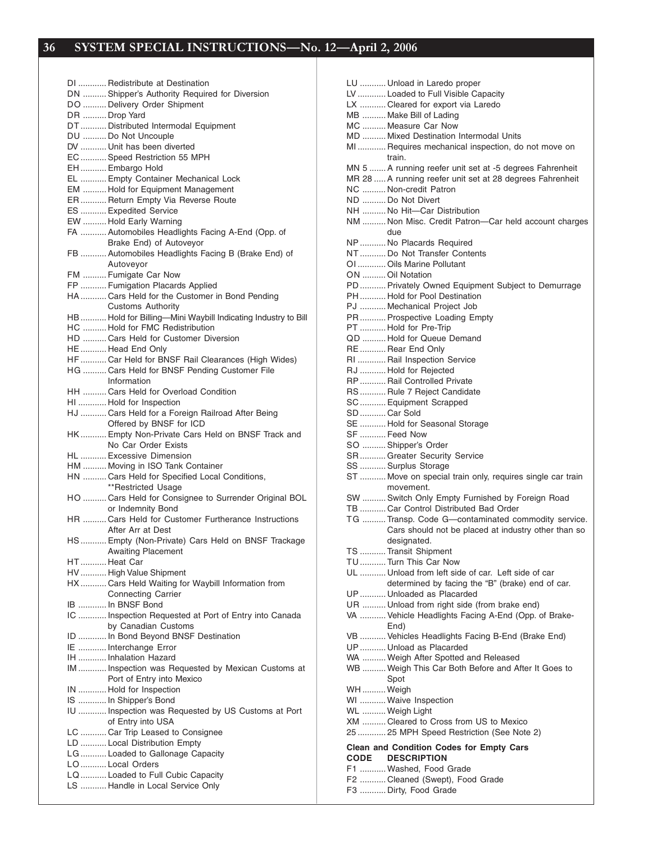DI ............ Redistribute at Destination DN ..........Shipper's Authority Required for Diversion DO .......... Delivery Order Shipment DR .......... Drop Yard DT ........... Distributed Intermodal Equipment DU .......... Do Not Uncouple DV ........... Unit has been diverted EC ........... Speed Restriction 55 MPH EH ........... Embargo Hold EL ........... Empty Container Mechanical Lock EM .......... Hold for Equipment Management ER ........... Return Empty Via Reverse Route ES ...........Expedited Service EW .......... Hold Early Warning FA ........... Automobiles Headlights Facing A-End (Opp. of Brake End) of Autoveyor FB ........... Automobiles Headlights Facing B (Brake End) of Autoveyor FM .......... Fumigate Car Now FP ........... Fumigation Placards Applied HA ........... Cars Held for the Customer in Bond Pending Customs Authority HB ........... Hold for Billing—Mini Waybill Indicating Industry to Bill HC .......... Hold for FMC Redistribution HD .......... Cars Held for Customer Diversion HE ........... Head End Only HF ........... Car Held for BNSF Rail Clearances (High Wides) HG .......... Cars Held for BNSF Pending Customer File Information HH .......... Cars Held for Overload Condition HI ............ Hold for Inspection HJ ........... Cars Held for a Foreign Railroad After Being Offered by BNSF for ICD HK ........... Empty Non-Private Cars Held on BNSF Track and No Car Order Exists HL ...........Excessive Dimension HM .......... Moving in ISO Tank Container HN .......... Cars Held for Specified Local Conditions, \*\*Restricted Usage HO .......... Cars Held for Consignee to Surrender Original BOL or Indemnity Bond HR .......... Cars Held for Customer Furtherance Instructions After Arr at Dest HS ........... Empty (Non-Private) Cars Held on BNSF Trackage Awaiting Placement HT ........... Heat Car HV ........... High Value Shipment HX ........... Cars Held Waiting for Waybill Information from Connecting Carrier IB ............ In BNSF Bond IC ............ Inspection Requested at Port of Entry into Canada by Canadian Customs ID ............ In Bond Beyond BNSF Destination IE ............ Interchange Error IH ............ Inhalation Hazard IM ............ Inspection was Requested by Mexican Customs at Port of Entry into Mexico IN ............ Hold for Inspection IS ............ In Shipper's Bond IU ............ Inspection was Requested by US Customs at Port of Entry into USA LC ........... Car Trip Leased to Consignee LD ........... Local Distribution Empty LG ........... Loaded to Gallonage Capacity LO ........... Local Orders LQ ........... Loaded to Full Cubic Capacity LS ........... Handle in Local Service Only

|              | LU  Unload in Laredo proper                                        |
|--------------|--------------------------------------------------------------------|
|              | LV  Loaded to Full Visible Capacity                                |
|              | LX  Cleared for export via Laredo                                  |
|              | MB  Make Bill of Lading                                            |
|              | MC  Measure Car Now                                                |
|              | MD  Mixed Destination Intermodal Units                             |
|              | MI  Requires mechanical inspection, do not move on                 |
|              | train.                                                             |
|              | MN 5  A running reefer unit set at -5 degrees Fahrenheit           |
|              | MR 28  A running reefer unit set at 28 degrees Fahrenheit          |
|              | NC  Non-credit Patron<br>ND  Do Not Divert                         |
|              | NH  No Hit-Car Distribution                                        |
|              | NM  Non Misc. Credit Patron-Car held account charges               |
|              | due                                                                |
|              | NP  No Placards Required                                           |
|              | NTDo Not Transfer Contents                                         |
|              | OI  Oils Marine Pollutant                                          |
|              | ON  Oil Notation                                                   |
|              | PD  Privately Owned Equipment Subject to Demurrage                 |
|              | PH  Hold for Pool Destination                                      |
|              | PJ  Mechanical Project Job                                         |
|              | PR Prospective Loading Empty                                       |
|              | PT  Hold for Pre-Trip                                              |
|              | QD  Hold for Queue Demand                                          |
|              | RE  Rear End Only                                                  |
|              | RI  Rail Inspection Service                                        |
|              | RJ  Hold for Rejected<br>RP Rail Controlled Private                |
|              | RS  Rule 7 Reject Candidate                                        |
|              | SC  Equipment Scrapped                                             |
| SD  Car Sold |                                                                    |
|              | SE  Hold for Seasonal Storage                                      |
|              | SF  Feed Now                                                       |
|              | SO  Shipper's Order                                                |
|              | SR  Greater Security Service                                       |
|              | SS  Surplus Storage                                                |
|              | ST  Move on special train only, requires single car train          |
|              | movement.                                                          |
|              | SW  Switch Only Empty Furnished by Foreign Road                    |
|              | TB  Car Control Distributed Bad Order                              |
|              | TG  Transp. Code G-contaminated commodity service.                 |
|              | Cars should not be placed at industry other than so<br>designated. |
| TS ……….      | Transit Shipment                                                   |
|              | TU  Turn This Car Now                                              |
|              | UL  Unload from left side of car. Left side of car                 |
|              | determined by facing the "B" (brake) end of car.                   |
|              | UP  Unloaded as Placarded                                          |
|              | UR  Unload from right side (from brake end)                        |
|              | VA  Vehicle Headlights Facing A-End (Opp. of Brake-                |
|              | End)                                                               |
|              | VB  Vehicles Headlights Facing B-End (Brake End)                   |
|              | UP  Unload as Placarded                                            |
|              | WA  Weigh After Spotted and Released                               |
|              | WB  Weigh This Car Both Before and After It Goes to                |
|              | Spot                                                               |
| WH  Weigh    |                                                                    |
|              | WI  Waive Inspection                                               |
|              | WL  Weigh Light<br>XM  Cleared to Cross from US to Mexico          |
|              | 25  25 MPH Speed Restriction (See Note 2)                          |
|              |                                                                    |
|              | Clean and Condition Codes for Empty Cars                           |
| <b>CODE</b>  | <b>DESCRIPTION</b>                                                 |
|              | F1  Washed, Food Grade                                             |
|              | F2  Cleaned (Swept), Food Grade<br>F3  Dirty, Food Grade           |
|              |                                                                    |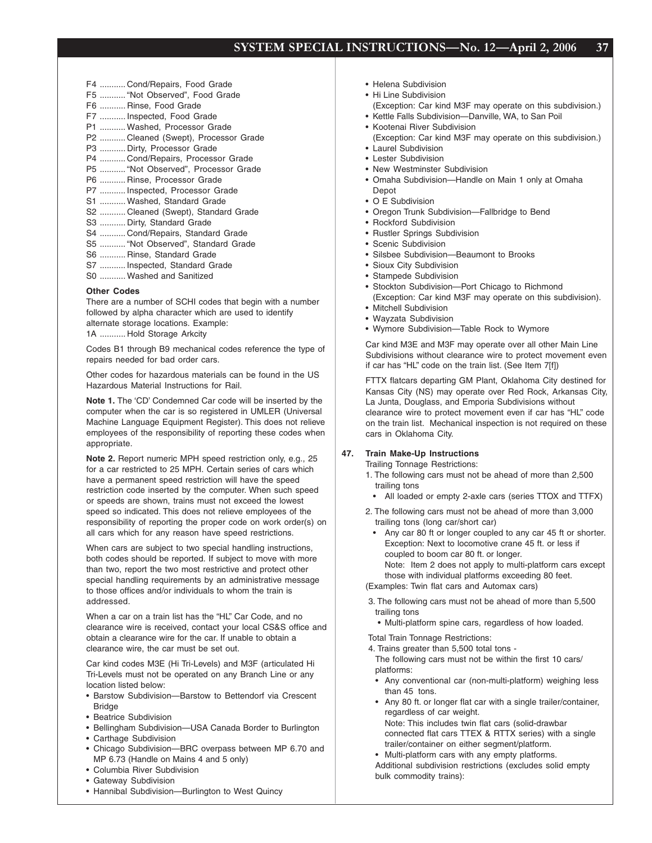| F4  Cond/Repairs, Food Grade         |
|--------------------------------------|
| F5  "Not Observed", Food Grade       |
| F6  Rinse, Food Grade                |
| F7  Inspected, Food Grade            |
| P1  Washed, Processor Grade          |
| P2  Cleaned (Swept), Processor Grade |
| P3  Dirty, Processor Grade           |
| P4  Cond/Repairs, Processor Grade    |
| P5  "Not Observed", Processor Grade  |
| P6  Rinse, Processor Grade           |
| P7  Inspected, Processor Grade       |
| S1  Washed, Standard Grade           |
| S2  Cleaned (Swept), Standard Grade  |
| S3  Dirty, Standard Grade            |
| S4  Cond/Repairs, Standard Grade     |
| S5  "Not Observed", Standard Grade   |
| S6  Rinse, Standard Grade            |
| S7  Inspected, Standard Grade        |
| S0  Washed and Sanitized             |

#### **Other Codes**

There are a number of SCHI codes that begin with a number followed by alpha character which are used to identify alternate storage locations. Example: 1A ........... Hold Storage Arkcity

Codes B1 through B9 mechanical codes reference the type of repairs needed for bad order cars.

Other codes for hazardous materials can be found in the US Hazardous Material Instructions for Rail.

**Note 1.** The 'CD' Condemned Car code will be inserted by the computer when the car is so registered in UMLER (Universal Machine Language Equipment Register). This does not relieve employees of the responsibility of reporting these codes when appropriate.

**Note 2.** Report numeric MPH speed restriction only, e.g., 25 for a car restricted to 25 MPH. Certain series of cars which have a permanent speed restriction will have the speed restriction code inserted by the computer. When such speed or speeds are shown, trains must not exceed the lowest speed so indicated. This does not relieve employees of the responsibility of reporting the proper code on work order(s) on all cars which for any reason have speed restrictions.

When cars are subject to two special handling instructions, both codes should be reported. If subject to move with more than two, report the two most restrictive and protect other special handling requirements by an administrative message to those offices and/or individuals to whom the train is addressed.

When a car on a train list has the "HL" Car Code, and no clearance wire is received, contact your local CS&S office and obtain a clearance wire for the car. If unable to obtain a clearance wire, the car must be set out.

Car kind codes M3E (Hi Tri-Levels) and M3F (articulated Hi Tri-Levels must not be operated on any Branch Line or any location listed below:

- Barstow Subdivision—Barstow to Bettendorf via Crescent **Bridge**
- Beatrice Subdivision
- Bellingham Subdivision—USA Canada Border to Burlington
- Carthage Subdivision
- Chicago Subdivision—BRC overpass between MP 6.70 and MP 6.73 (Handle on Mains 4 and 5 only)
- Columbia River Subdivision
- Gateway Subdivision
- Hannibal Subdivision—Burlington to West Quincy
- Helena Subdivision
- Hi Line Subdivision
- (Exception: Car kind M3F may operate on this subdivision.) • Kettle Falls Subdivision—Danville, WA, to San Poil
- Kootenai River Subdivision
- (Exception: Car kind M3F may operate on this subdivision.) • Laurel Subdivision
- Lester Subdivision
- New Westminster Subdivision
- Omaha Subdivision—Handle on Main 1 only at Omaha Depot
- O E Subdivision
- Oregon Trunk Subdivision—Fallbridge to Bend
- Rockford Subdivision
- Rustler Springs Subdivision
- Scenic Subdivision
- Silsbee Subdivision—Beaumont to Brooks
- Sioux City Subdivision
- Stampede Subdivision
- Stockton Subdivision—Port Chicago to Richmond (Exception: Car kind M3F may operate on this subdivision).
- Mitchell Subdivision
- Wayzata Subdivision
- Wymore Subdivision—Table Rock to Wymore

Car kind M3E and M3F may operate over all other Main Line Subdivisions without clearance wire to protect movement even if car has "HL" code on the train list. (See Item 7[f])

FTTX flatcars departing GM Plant, Oklahoma City destined for Kansas City (NS) may operate over Red Rock, Arkansas City, La Junta, Douglass, and Emporia Subdivisions without clearance wire to protect movement even if car has "HL" code on the train list. Mechanical inspection is not required on these cars in Oklahoma City.

#### **47. Train Make-Up Instructions**

Trailing Tonnage Restrictions:

- 1. The following cars must not be ahead of more than 2,500 trailing tons
	- All loaded or empty 2-axle cars (series TTOX and TTFX)
- 2. The following cars must not be ahead of more than 3,000 trailing tons (long car/short car)
	- Any car 80 ft or longer coupled to any car 45 ft or shorter. Exception: Next to locomotive crane 45 ft. or less if coupled to boom car 80 ft. or longer.

Note: Item 2 does not apply to multi-platform cars except those with individual platforms exceeding 80 feet.

(Examples: Twin flat cars and Automax cars)

- 3. The following cars must not be ahead of more than 5,500 trailing tons
	- Multi-platform spine cars, regardless of how loaded.

Total Train Tonnage Restrictions:

- 4. Trains greater than 5,500 total tons -
- The following cars must not be within the first 10 cars/ platforms:
- Any conventional car (non-multi-platform) weighing less than 45 tons.
- Any 80 ft. or longer flat car with a single trailer/container, regardless of car weight. Note: This includes twin flat cars (solid-drawbar
- connected flat cars TTEX & RTTX series) with a single trailer/container on either segment/platform. • Multi-platform cars with any empty platforms.

Additional subdivision restrictions (excludes solid empty bulk commodity trains):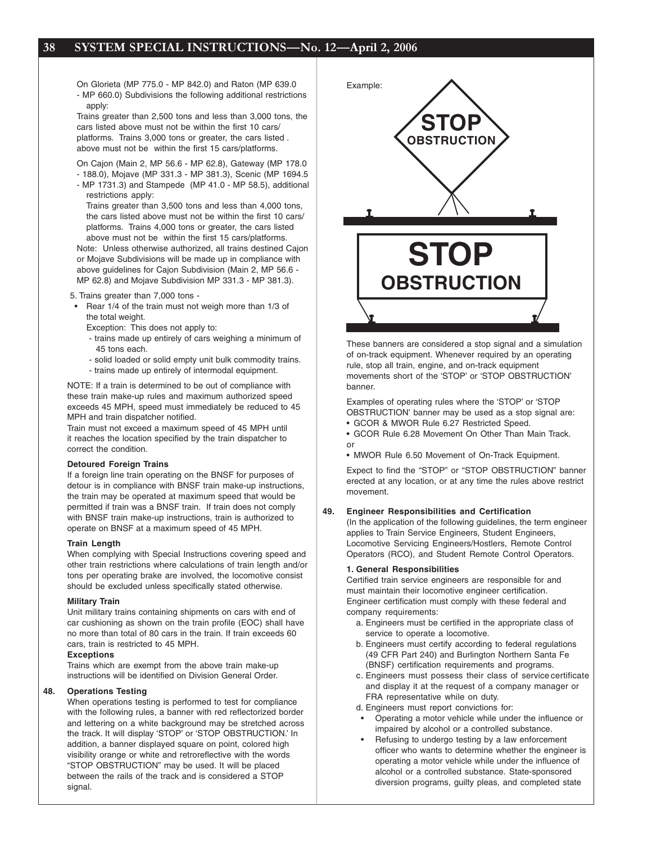On Glorieta (MP 775.0 - MP 842.0) and Raton (MP 639.0 - MP 660.0) Subdivisions the following additional restrictions apply:

Trains greater than 2,500 tons and less than 3,000 tons, the cars listed above must not be within the first 10 cars/ platforms. Trains 3,000 tons or greater, the cars listed . above must not be within the first 15 cars/platforms.

On Cajon (Main 2, MP 56.6 - MP 62.8), Gateway (MP 178.0 - 188.0), Mojave (MP 331.3 - MP 381.3), Scenic (MP 1694.5

- MP 1731.3) and Stampede (MP 41.0 MP 58.5), additional restrictions apply:
	- Trains greater than 3,500 tons and less than 4,000 tons, the cars listed above must not be within the first 10 cars/ platforms. Trains 4,000 tons or greater, the cars listed above must not be within the first 15 cars/platforms.

Note: Unless otherwise authorized, all trains destined Cajon or Mojave Subdivisions will be made up in compliance with above guidelines for Cajon Subdivision (Main 2, MP 56.6 - MP 62.8) and Mojave Subdivision MP 331.3 - MP 381.3).

5. Trains greater than 7,000 tons -

- Rear 1/4 of the train must not weigh more than 1/3 of the total weight.
	- Exception: This does not apply to:
	- trains made up entirely of cars weighing a minimum of 45 tons each.
	- solid loaded or solid empty unit bulk commodity trains.
	- trains made up entirely of intermodal equipment.

NOTE: If a train is determined to be out of compliance with these train make-up rules and maximum authorized speed exceeds 45 MPH, speed must immediately be reduced to 45 MPH and train dispatcher notified.

Train must not exceed a maximum speed of 45 MPH until it reaches the location specified by the train dispatcher to correct the condition.

#### **Detoured Foreign Trains**

If a foreign line train operating on the BNSF for purposes of detour is in compliance with BNSF train make-up instructions, the train may be operated at maximum speed that would be permitted if train was a BNSF train. If train does not comply with BNSF train make-up instructions, train is authorized to operate on BNSF at a maximum speed of 45 MPH.

#### **Train Length**

When complying with Special Instructions covering speed and other train restrictions where calculations of train length and/or tons per operating brake are involved, the locomotive consist should be excluded unless specifically stated otherwise.

#### **Military Train**

Unit military trains containing shipments on cars with end of car cushioning as shown on the train profile (EOC) shall have no more than total of 80 cars in the train. If train exceeds 60 cars, train is restricted to 45 MPH.

#### **Exceptions**

Trains which are exempt from the above train make-up instructions will be identified on Division General Order.

#### **48. Operations Testing**

When operations testing is performed to test for compliance with the following rules, a banner with red reflectorized border and lettering on a white background may be stretched across the track. It will display 'STOP' or 'STOP OBSTRUCTION.' In addition, a banner displayed square on point, colored high visibility orange or white and retroreflective with the words "STOP OBSTRUCTION" may be used. It will be placed between the rails of the track and is considered a STOP signal.



These banners are considered a stop signal and a simulation of on-track equipment. Whenever required by an operating rule, stop all train, engine, and on-track equipment movements short of the 'STOP' or 'STOP OBSTRUCTION' banner.

Examples of operating rules where the 'STOP' or 'STOP OBSTRUCTION' banner may be used as a stop signal are:

- GCOR & MWOR Rule 6.27 Restricted Speed.
- GCOR Rule 6.28 Movement On Other Than Main Track. or
- MWOR Rule 6.50 Movement of On-Track Equipment.

Expect to find the "STOP" or "STOP OBSTRUCTION" banner erected at any location, or at any time the rules above restrict movement.

#### **49. Engineer Responsibilities and Certification**

(In the application of the following guidelines, the term engineer applies to Train Service Engineers, Student Engineers, Locomotive Servicing Engineers/Hostlers, Remote Control Operators (RCO), and Student Remote Control Operators.

#### **1. General Responsibilities**

Certified train service engineers are responsible for and must maintain their locomotive engineer certification. Engineer certification must comply with these federal and company requirements:

- a. Engineers must be certified in the appropriate class of service to operate a locomotive.
- b. Engineers must certify according to federal regulations (49 CFR Part 240) and Burlington Northern Santa Fe (BNSF) certification requirements and programs.
- c. Engineers must possess their class of service certificate and display it at the request of a company manager or FRA representative while on duty.
- d. Engineers must report convictions for:
- Operating a motor vehicle while under the influence or impaired by alcohol or a controlled substance.
- Refusing to undergo testing by a law enforcement officer who wants to determine whether the engineer is operating a motor vehicle while under the influence of alcohol or a controlled substance. State-sponsored diversion programs, guilty pleas, and completed state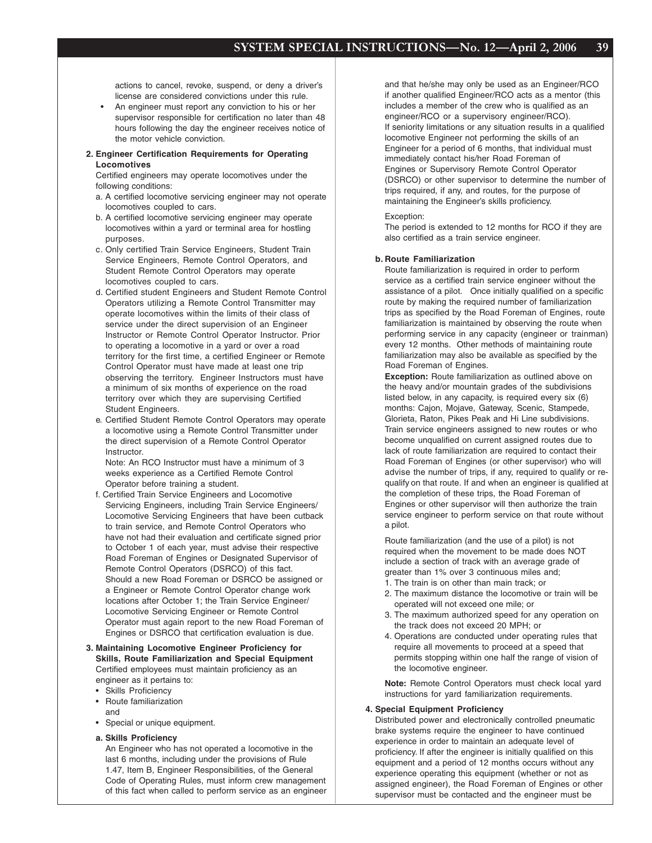actions to cancel, revoke, suspend, or deny a driver's license are considered convictions under this rule.

An engineer must report any conviction to his or her supervisor responsible for certification no later than 48 hours following the day the engineer receives notice of the motor vehicle conviction.

#### **2. Engineer Certification Requirements for Operating Locomotives**

Certified engineers may operate locomotives under the following conditions:

- a. A certified locomotive servicing engineer may not operate locomotives coupled to cars.
- b. A certified locomotive servicing engineer may operate locomotives within a yard or terminal area for hostling purposes.
- c. Only certified Train Service Engineers, Student Train Service Engineers, Remote Control Operators, and Student Remote Control Operators may operate locomotives coupled to cars.
- d. Certified student Engineers and Student Remote Control Operators utilizing a Remote Control Transmitter may operate locomotives within the limits of their class of service under the direct supervision of an Engineer Instructor or Remote Control Operator Instructor. Prior to operating a locomotive in a yard or over a road territory for the first time, a certified Engineer or Remote Control Operator must have made at least one trip observing the territory. Engineer Instructors must have a minimum of six months of experience on the road territory over which they are supervising Certified Student Engineers.
- e. Certified Student Remote Control Operators may operate a locomotive using a Remote Control Transmitter under the direct supervision of a Remote Control Operator Instructor.

Note: An RCO Instructor must have a minimum of 3 weeks experience as a Certified Remote Control Operator before training a student.

- f. Certified Train Service Engineers and Locomotive Servicing Engineers, including Train Service Engineers/ Locomotive Servicing Engineers that have been cutback to train service, and Remote Control Operators who have not had their evaluation and certificate signed prior to October 1 of each year, must advise their respective Road Foreman of Engines or Designated Supervisor of Remote Control Operators (DSRCO) of this fact. Should a new Road Foreman or DSRCO be assigned or a Engineer or Remote Control Operator change work locations after October 1; the Train Service Engineer/ Locomotive Servicing Engineer or Remote Control Operator must again report to the new Road Foreman of Engines or DSRCO that certification evaluation is due.
- **3. Maintaining Locomotive Engineer Proficiency for Skills, Route Familiarization and Special Equipment** Certified employees must maintain proficiency as an engineer as it pertains to:
	- Skills Proficiency
	- Route familiarization and
	- Special or unique equipment.
	- **a. Skills Proficiency**

An Engineer who has not operated a locomotive in the last 6 months, including under the provisions of Rule 1.47, Item B, Engineer Responsibilities, of the General Code of Operating Rules, must inform crew management of this fact when called to perform service as an engineer and that he/she may only be used as an Engineer/RCO if another qualified Engineer/RCO acts as a mentor (this includes a member of the crew who is qualified as an engineer/RCO or a supervisory engineer/RCO). If seniority limitations or any situation results in a qualified locomotive Engineer not performing the skills of an Engineer for a period of 6 months, that individual must immediately contact his/her Road Foreman of Engines or Supervisory Remote Control Operator (DSRCO) or other supervisor to determine the number of trips required, if any, and routes, for the purpose of maintaining the Engineer's skills proficiency.

#### Exception:

The period is extended to 12 months for RCO if they are also certified as a train service engineer.

#### **b. Route Familiarization**

Route familiarization is required in order to perform service as a certified train service engineer without the assistance of a pilot. Once initially qualified on a specific route by making the required number of familiarization trips as specified by the Road Foreman of Engines, route familiarization is maintained by observing the route when performing service in any capacity (engineer or trainman) every 12 months. Other methods of maintaining route familiarization may also be available as specified by the Road Foreman of Engines.

**Exception:** Route familiarization as outlined above on the heavy and/or mountain grades of the subdivisions listed below, in any capacity, is required every six (6) months: Cajon, Mojave, Gateway, Scenic, Stampede, Glorieta, Raton, Pikes Peak and Hi Line subdivisions. Train service engineers assigned to new routes or who become unqualified on current assigned routes due to lack of route familiarization are required to contact their Road Foreman of Engines (or other supervisor) who will advise the number of trips, if any, required to qualify or requalify on that route. If and when an engineer is qualified at the completion of these trips, the Road Foreman of Engines or other supervisor will then authorize the train service engineer to perform service on that route without a pilot.

Route familiarization (and the use of a pilot) is not required when the movement to be made does NOT include a section of track with an average grade of greater than 1% over 3 continuous miles and;

- 1. The train is on other than main track; or
- 2. The maximum distance the locomotive or train will be operated will not exceed one mile; or
- 3. The maximum authorized speed for any operation on the track does not exceed 20 MPH; or
- 4. Operations are conducted under operating rules that require all movements to proceed at a speed that permits stopping within one half the range of vision of the locomotive engineer.

**Note:** Remote Control Operators must check local yard instructions for yard familiarization requirements.

#### **4. Special Equipment Proficiency**

Distributed power and electronically controlled pneumatic brake systems require the engineer to have continued experience in order to maintain an adequate level of proficiency. If after the engineer is initially qualified on this equipment and a period of 12 months occurs without any experience operating this equipment (whether or not as assigned engineer), the Road Foreman of Engines or other supervisor must be contacted and the engineer must be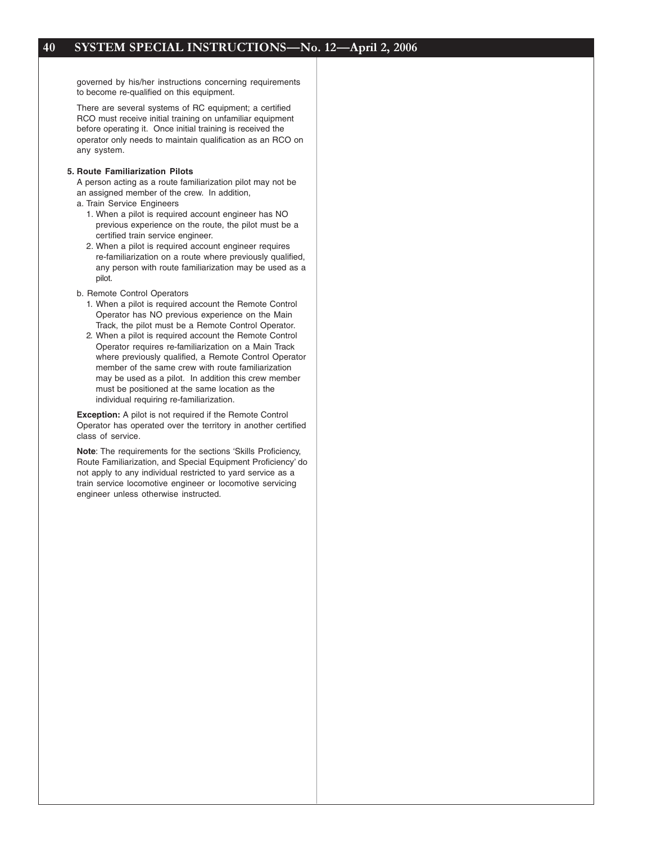governed by his/her instructions concerning requirements to become re-qualified on this equipment.

There are several systems of RC equipment; a certified RCO must receive initial training on unfamiliar equipment before operating it. Once initial training is received the operator only needs to maintain qualification as an RCO on any system.

#### **5. Route Familiarization Pilots**

A person acting as a route familiarization pilot may not be an assigned member of the crew. In addition,

- a. Train Service Engineers
	- 1. When a pilot is required account engineer has NO previous experience on the route, the pilot must be a certified train service engineer.
	- 2. When a pilot is required account engineer requires re-familiarization on a route where previously qualified, any person with route familiarization may be used as a pilot.
- b. Remote Control Operators
	- 1. When a pilot is required account the Remote Control Operator has NO previous experience on the Main Track, the pilot must be a Remote Control Operator.
	- 2. When a pilot is required account the Remote Control Operator requires re-familiarization on a Main Track where previously qualified, a Remote Control Operator member of the same crew with route familiarization may be used as a pilot. In addition this crew member must be positioned at the same location as the individual requiring re-familiarization.

**Exception:** A pilot is not required if the Remote Control Operator has operated over the territory in another certified class of service.

**Note**: The requirements for the sections 'Skills Proficiency, Route Familiarization, and Special Equipment Proficiency' do not apply to any individual restricted to yard service as a train service locomotive engineer or locomotive servicing engineer unless otherwise instructed.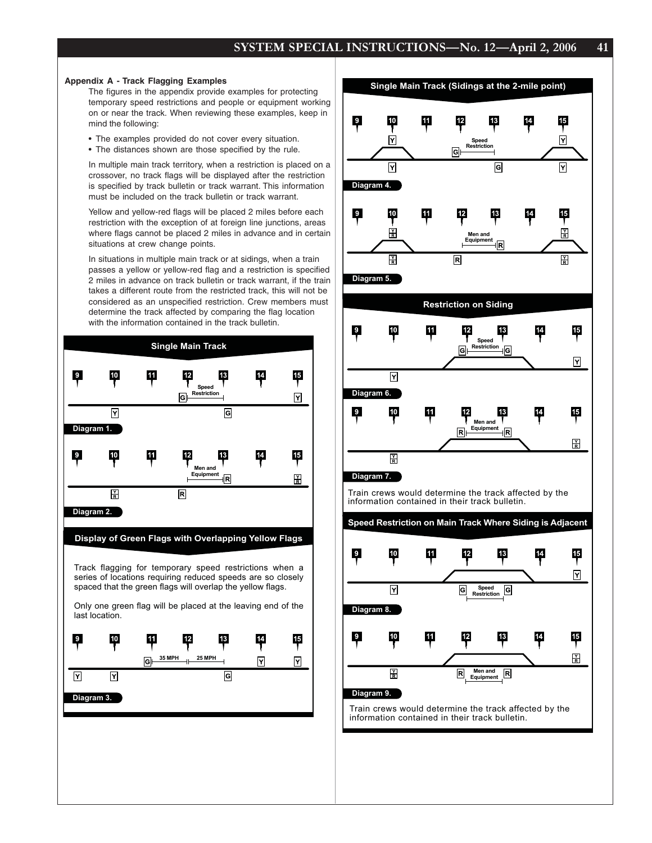#### **Appendix A - Track Flagging Examples**

The figures in the appendix provide examples for protecting temporary speed restrictions and people or equipment working on or near the track. When reviewing these examples, keep in mind the following:

- The examples provided do not cover every situation.
- The distances shown are those specified by the rule.

In multiple main track territory, when a restriction is placed on a crossover, no track flags will be displayed after the restriction is specified by track bulletin or track warrant. This information must be included on the track bulletin or track warrant.

Yellow and yellow-red flags will be placed 2 miles before each restriction with the exception of at foreign line junctions, areas where flags cannot be placed 2 miles in advance and in certain situations at crew change points.

In situations in multiple main track or at sidings, when a train passes a yellow or yellow-red flag and a restriction is specified 2 miles in advance on track bulletin or track warrant, if the train takes a different route from the restricted track, this will not be considered as an unspecified restriction. Crew members must determine the track affected by comparing the flag location with the information contained in the track bulletin.







Train crews would determine the track affected by the information contained in their track bulletin.

**Speed Restriction on Main Track Where Siding is Adjacent**



Train crews would determine the track affected by the information contained in their track bulletin.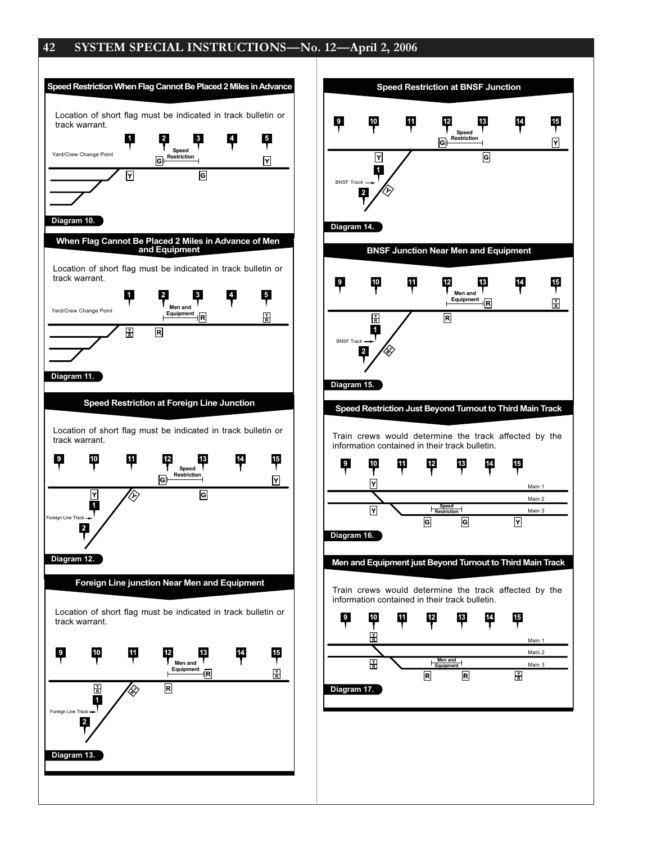

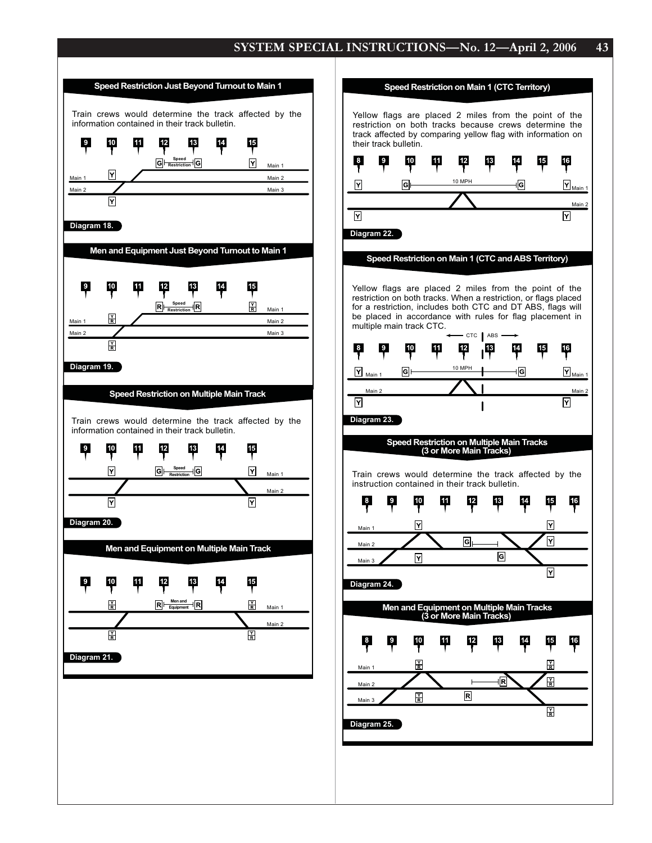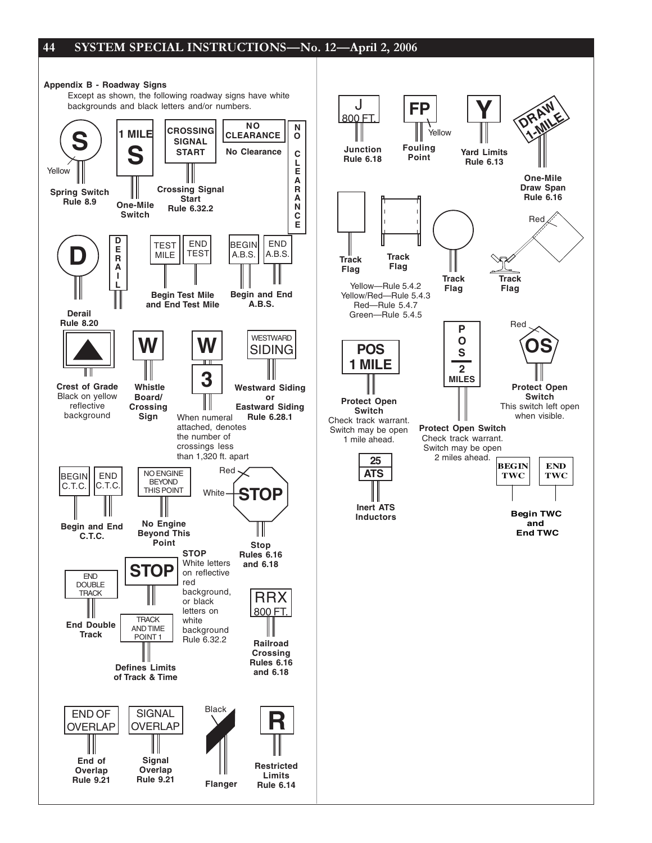

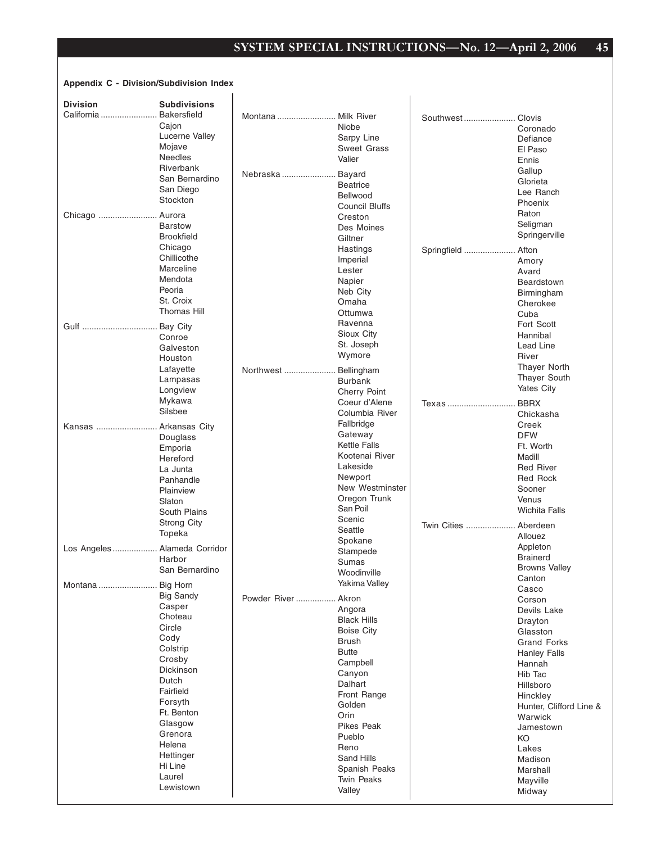## **Appendix C - Division/Subdivision Index**

 $\overline{1}$ 

| <b>Division</b>               | <b>Subdivisions</b> |              |                       |                    |                         |
|-------------------------------|---------------------|--------------|-----------------------|--------------------|-------------------------|
| California                    | <b>Bakersfield</b>  | Montana      | Milk River            | Southwest          | Clovis                  |
|                               | Cajon               |              | Niobe                 |                    | Coronado                |
|                               | Lucerne Valley      |              | Sarpy Line            |                    | Defiance                |
|                               | Mojave              |              | <b>Sweet Grass</b>    |                    | El Paso                 |
|                               | <b>Needles</b>      |              | Valier                |                    | Ennis                   |
|                               | Riverbank           | Nebraska     | . Bayard              |                    | Gallup                  |
|                               | San Bernardino      |              | <b>Beatrice</b>       |                    | Glorieta                |
|                               | San Diego           |              | Bellwood              |                    | Lee Ranch               |
|                               | Stockton            |              | <b>Council Bluffs</b> |                    | Phoenix                 |
| Chicago  Aurora               |                     |              | Creston               |                    | Raton                   |
|                               | <b>Barstow</b>      |              | Des Moines            |                    | Seligman                |
|                               | <b>Brookfield</b>   |              | Giltner               |                    | Springerville           |
|                               | Chicago             |              |                       |                    |                         |
|                               | Chillicothe         |              | Hastings              | Springfield  Afton |                         |
|                               | Marceline           |              | Imperial<br>Lester    |                    | Amory                   |
|                               | Mendota             |              |                       |                    | Avard                   |
|                               | Peoria              |              | Napier                |                    | Beardstown              |
|                               | St. Croix           |              | Neb City<br>Omaha     |                    | Birmingham              |
|                               | <b>Thomas Hill</b>  |              | Ottumwa               |                    | Cherokee                |
|                               |                     |              | Ravenna               |                    | Cuba                    |
| Gulf                          | <b>Bay City</b>     |              | Sioux City            |                    | Fort Scott              |
|                               | Conroe              |              |                       |                    | Hannibal                |
|                               | Galveston           |              | St. Joseph            |                    | Lead Line               |
|                               | Houston             |              | Wymore                |                    | River                   |
|                               | Lafayette           | Northwest    | Bellingham            |                    | <b>Thayer North</b>     |
|                               | Lampasas            |              | <b>Burbank</b>        |                    | Thayer South            |
|                               | Longview            |              | <b>Cherry Point</b>   |                    | Yates City              |
|                               | Mykawa              |              | Coeur d'Alene         | Texas              | <b>BBRX</b>             |
|                               | Silsbee             |              | Columbia River        |                    | Chickasha               |
| Kansas  Arkansas City         |                     |              | Fallbridge            |                    | Creek                   |
|                               | Douglass            |              | Gateway               |                    | <b>DFW</b>              |
|                               | Emporia             |              | <b>Kettle Falls</b>   |                    | Ft. Worth               |
|                               | Hereford            |              | Kootenai River        |                    | Madill                  |
|                               | La Junta            |              | Lakeside              |                    | <b>Red River</b>        |
|                               | Panhandle           |              | Newport               |                    | Red Rock                |
|                               | Plainview           |              | New Westminster       |                    | Sooner                  |
|                               | Slaton              |              | Oregon Trunk          |                    | Venus                   |
|                               | South Plains        |              | San Poil              |                    | <b>Wichita Falls</b>    |
|                               | <b>Strong City</b>  |              | Scenic                | Twin Cities        | . Aberdeen              |
|                               | Topeka              |              | Seattle               |                    | Allouez                 |
|                               |                     |              | Spokane               |                    | Appleton                |
| Los Angeles  Alameda Corridor |                     |              | Stampede              |                    | <b>Brainerd</b>         |
|                               | Harbor              |              | Sumas                 |                    | <b>Browns Valley</b>    |
|                               | San Bernardino      |              | Woodinville           |                    | Canton                  |
| Montana                       | <b>Big Horn</b>     |              | Yakima Valley         |                    | Casco                   |
|                               | <b>Big Sandy</b>    | Powder River | Akron                 |                    | Corson                  |
|                               | Casper              |              | Angora                |                    | Devils Lake             |
|                               | Choteau             |              | <b>Black Hills</b>    |                    | Drayton                 |
|                               | Circle              |              | <b>Boise City</b>     |                    | Glasston                |
|                               | Cody                |              | <b>Brush</b>          |                    | <b>Grand Forks</b>      |
|                               | Colstrip            |              | <b>Butte</b>          |                    | Hanley Falls            |
|                               | Crosby              |              | Campbell              |                    | Hannah                  |
|                               | Dickinson           |              | Canyon                |                    | Hib Tac                 |
|                               | Dutch               |              | Dalhart               |                    | Hillsboro               |
|                               | Fairfield           |              | Front Range           |                    | Hinckley                |
|                               | Forsyth             |              | Golden                |                    | Hunter, Clifford Line & |
|                               | Ft. Benton          |              | Orin                  |                    | Warwick                 |
|                               | Glasgow             |              | Pikes Peak            |                    | Jamestown               |
|                               | Grenora             |              | Pueblo                |                    | KO                      |
|                               | Helena              |              | Reno                  |                    | Lakes                   |
|                               | Hettinger           |              | Sand Hills            |                    | Madison                 |
|                               | Hi Line             |              | Spanish Peaks         |                    | Marshall                |
|                               | Laurel              |              | <b>Twin Peaks</b>     |                    | Mayville                |
|                               | Lewistown           |              | Valley                |                    | Midway                  |
|                               |                     |              |                       |                    |                         |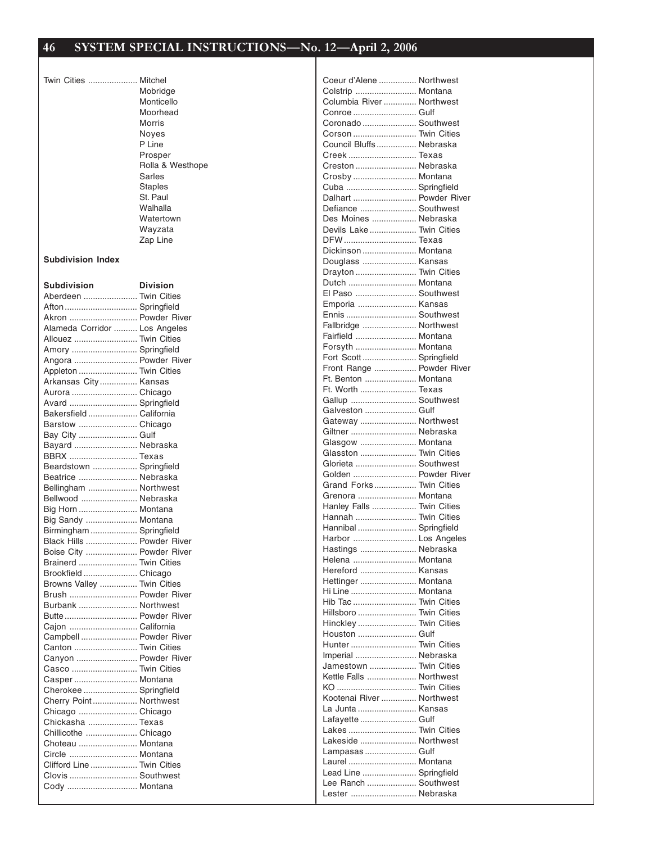Twin Cities ..................... Mitchel Mobridge Monticello Moorhead Morris Noyes P Line Prosper Rolla & Westhope Sarles Staples St. Paul Walhalla Watertown Wayzata Zap Line

**Subdivision Index**

| Subdivision                   | <b>Division</b> |
|-------------------------------|-----------------|
| Aberdeen  Twin Cities         |                 |
| Afton  Springfield            |                 |
| Akron  Powder River           |                 |
| Alameda Corridor  Los Angeles |                 |
| Allouez  Twin Cities          |                 |
| Amory  Springfield            |                 |
| Angora  Powder River          |                 |
| Appleton  Twin Cities         |                 |
| Arkansas City  Kansas         |                 |
| Aurora  Chicago               |                 |
| Avard  Springfield            |                 |
| Bakersfield  California       |                 |
| Barstow  Chicago              |                 |
| Bay City  Gulf                |                 |
| Bayard  Nebraska              |                 |
| BBRX  Texas                   |                 |
| Beardstown  Springfield       |                 |
| Beatrice  Nebraska            |                 |
| Bellingham  Northwest         |                 |
| Bellwood  Nebraska            |                 |
| Big Horn  Montana             |                 |
| Big Sandy  Montana            |                 |
| Birmingham  Springfield       |                 |
| Black Hills  Powder River     |                 |
| Boise City  Powder River      |                 |
| Brainerd  Twin Cities         |                 |
| Brookfield  Chicago           |                 |
| Browns Valley  Twin Cities    |                 |
| Brush  Powder River           |                 |
| Burbank  Northwest            |                 |
| Butte Powder River            |                 |
| Cajon  California             |                 |
| Campbell  Powder River        |                 |
| Canton  Twin Cities           |                 |
| Canyon  Powder River          |                 |
| Casco  Twin Cities            |                 |
| Casper  Montana               |                 |
| Cherokee  Springfield         |                 |
| Cherry Point Northwest        |                 |
| Chicago  Chicago              |                 |
| Chickasha  Texas              |                 |
| Chillicothe  Chicago          |                 |
| Choteau  Montana              |                 |
| Circle  Montana               |                 |
| Clifford Line  Twin Cities    |                 |
| Clovis  Southwest             |                 |
| Cody  Montana                 |                 |

| Coeur d'Alene  Northwest                       |  |
|------------------------------------------------|--|
| Colstrip  Montana                              |  |
| Columbia River  Northwest                      |  |
| Conroe  Gulf                                   |  |
| Coronado  Southwest                            |  |
| Corson  Twin Cities                            |  |
| Council Bluffs  Nebraska                       |  |
| Creek Texas                                    |  |
| Creston  Nebraska                              |  |
| Crosby  Montana<br>Cuba  Springfield           |  |
| Dalhart  Powder River                          |  |
| Defiance  Southwest                            |  |
| Des Moines  Nebraska                           |  |
| Devils Lake  Twin Cities                       |  |
| DFW Texas                                      |  |
| Dickinson  Montana                             |  |
| Douglass  Kansas                               |  |
| Drayton  Twin Cities                           |  |
| Dutch  Montana                                 |  |
| El Paso  Southwest                             |  |
| Emporia  Kansas                                |  |
| Ennis  Southwest                               |  |
| Fallbridge  Northwest                          |  |
| Fairfield  Montana                             |  |
| Forsyth  Montana                               |  |
| Fort Scott  Springfield                        |  |
| Front Range  Powder River                      |  |
| Ft. Benton  Montana                            |  |
| Ft. Worth  Texas                               |  |
| Gallup  Southwest                              |  |
| Galveston  Gulf                                |  |
| Gateway  Northwest                             |  |
| Giltner  Nebraska                              |  |
|                                                |  |
| Glasgow  Montana                               |  |
| Glasston  Twin Cities                          |  |
| Glorieta  Southwest                            |  |
| Golden  Powder River                           |  |
| Grand Forks Twin Cities                        |  |
| Grenora  Montana                               |  |
| Hanley Falls  Twin Cities                      |  |
| Hannah  Twin Cities                            |  |
| Hannibal  Springfield                          |  |
| Harbor  Los Angeles                            |  |
| Hastings  Nebraska<br>Helena  Montana          |  |
| Hereford  Kansas                               |  |
| Hettinger  Montana                             |  |
| Hi Line  Montana                               |  |
| Hib Tac  Twin Cities                           |  |
| Hillsboro  Twin Cities                         |  |
| Hinckley  Twin Cities                          |  |
| Houston  Gulf                                  |  |
| Hunter  Twin Cities                            |  |
| Imperial  Nebraska                             |  |
| Jamestown  Twin Cities                         |  |
| Kettle Falls  Northwest                        |  |
| KO  Twin Cities                                |  |
| Kootenai River  Northwest                      |  |
| La Junta  Kansas                               |  |
| Lafayette  Gulf                                |  |
| Lakes  Twin Cities                             |  |
| Lakeside  Northwest                            |  |
| Lampasas  Gulf                                 |  |
| Laurel  Montana                                |  |
| Lead Line  Springfield<br>Lee Ranch  Southwest |  |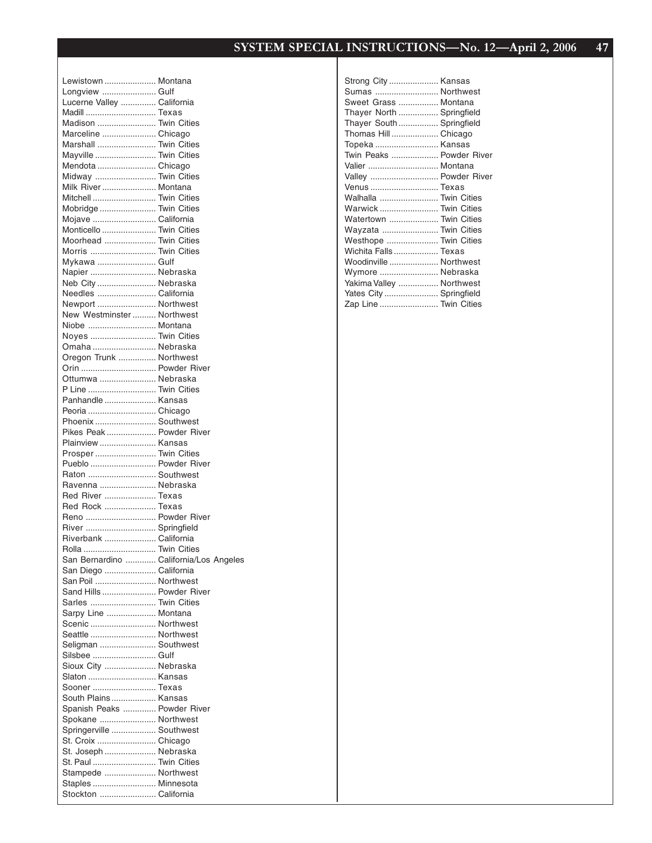| Lewistown  Montana                               |  |
|--------------------------------------------------|--|
| Longview  Gulf                                   |  |
| Lucerne Valley  California                       |  |
| Madill  Texas<br>Madison  Twin Cities            |  |
| Marceline  Chicago                               |  |
| Marshall  Twin Cities                            |  |
| Mayville  Twin Cities                            |  |
| Mendota  Chicago                                 |  |
| Midway  Twin Cities                              |  |
| Milk River  Montana                              |  |
| Mitchell  Twin Cities                            |  |
| Mobridge  Twin Cities                            |  |
| Mojave  California                               |  |
| Monticello  Twin Cities                          |  |
| Moorhead  Twin Cities                            |  |
| Morris  Twin Cities                              |  |
| Mykawa  Gulf                                     |  |
| Napier  Nebraska                                 |  |
| Neb City  Nebraska                               |  |
| Needles  California                              |  |
| Newport  Northwest<br>New Westminster  Northwest |  |
| Niobe  Montana                                   |  |
| Noyes  Twin Cities                               |  |
| Omaha  Nebraska                                  |  |
| Oregon Trunk  Northwest                          |  |
| Orin  Powder River                               |  |
| Ottumwa  Nebraska                                |  |
| P Line  Twin Cities                              |  |
| Panhandle  Kansas                                |  |
| Peoria  Chicago                                  |  |
| Phoenix  Southwest                               |  |
| Pikes Peak Powder River                          |  |
| Plainview  Kansas                                |  |
| Prosper  Twin Cities                             |  |
| Pueblo  Powder River                             |  |
| Raton  Southwest                                 |  |
| Ravenna  Nebraska                                |  |
| Red River  Texas                                 |  |
| Red Rock  Texas<br>Reno  Powder River            |  |
| River  Springfield                               |  |
| Riverbank  California                            |  |
| Rolla  Twin Cities                               |  |
| San Bernardino  California/Los Angeles           |  |
| San Diego  California                            |  |
| San Poil  Northwest                              |  |
| Sand Hills  Powder River                         |  |
| Sarles  Twin Cities                              |  |
| Sarpy Line  Montana                              |  |
| Scenic  Northwest                                |  |
| Seattle  Northwest                               |  |
| Seligman  Southwest                              |  |
| Silsbee  Gulf                                    |  |
| Sioux City  Nebraska                             |  |
| Slaton  Kansas<br>Sooner  Texas                  |  |
| South Plains  Kansas                             |  |
| Spanish Peaks  Powder River                      |  |
| Spokane  Northwest                               |  |
| Springerville  Southwest                         |  |
| St. Croix  Chicago                               |  |
| St. Joseph  Nebraska                             |  |
| St. Paul  Twin Cities                            |  |
| Stampede  Northwest                              |  |
| Staples  Minnesota                               |  |
| Stockton  California                             |  |

| Strong City  Kansas       |  |
|---------------------------|--|
| Sumas  Northwest          |  |
| Sweet Grass  Montana      |  |
| Thayer North  Springfield |  |
| Thayer South  Springfield |  |
| Thomas Hill  Chicago      |  |
| Topeka  Kansas            |  |
| Twin Peaks  Powder River  |  |
| Valier  Montana           |  |
| Valley  Powder River      |  |
| Venus  Texas              |  |
| Walhalla  Twin Cities     |  |
| Warwick  Twin Cities      |  |
| Watertown  Twin Cities    |  |
| Wayzata  Twin Cities      |  |
| Westhope  Twin Cities     |  |
| Wichita Falls Texas       |  |
| Woodinville  Northwest    |  |
| Wymore  Nebraska          |  |
| Yakima Valley  Northwest  |  |
| Yates City  Springfield   |  |
| Zap Line  Twin Cities     |  |
|                           |  |